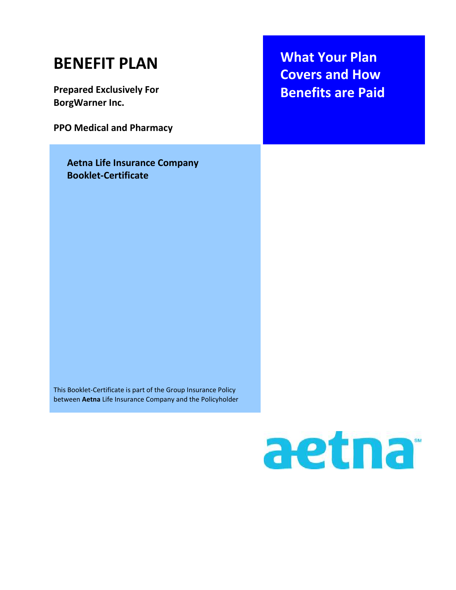| <b>BENEFIT PLAN</b><br><b>Prepared Exclusively For</b><br><b>BorgWarner Inc.</b><br><b>PPO Medical and Pharmacy</b>         | <b>What Your Plan</b><br><b>Covers and How</b><br><b>Benefits are Paid</b> |
|-----------------------------------------------------------------------------------------------------------------------------|----------------------------------------------------------------------------|
| <b>Aetna Life Insurance Company</b><br><b>Booklet-Certificate</b>                                                           |                                                                            |
| This Booklet-Certificate is part of the Group Insurance Policy<br>between Aetna Life Insurance Company and the Policyholder |                                                                            |

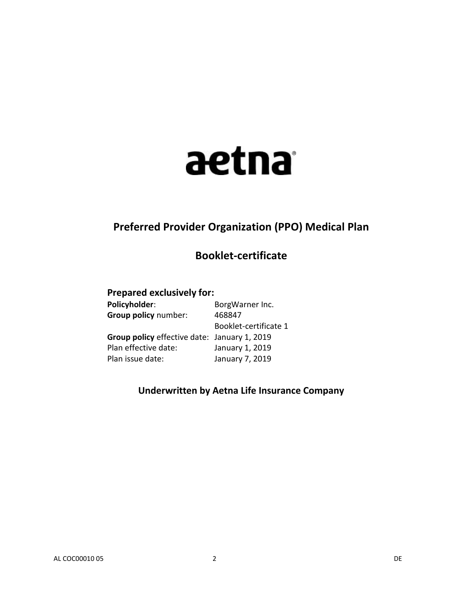# aetna

# **Preferred Provider Organization (PPO) Medical Plan**

# **Booklet-certificate**

# **Prepared exclusively for:**

| BorgWarner Inc.                              |
|----------------------------------------------|
| 468847                                       |
| Booklet-certificate 1                        |
| Group policy effective date: January 1, 2019 |
| January 1, 2019                              |
| January 7, 2019                              |
|                                              |

# **Underwritten by Aetna Life Insurance Company**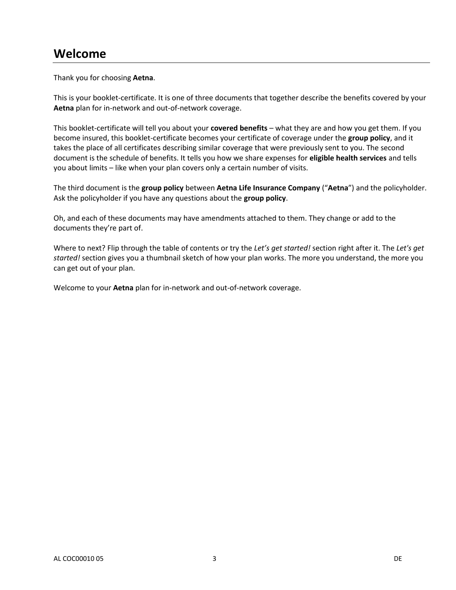# **Welcome**

Thank you for choosing **Aetna**.

This is your booklet-certificate. It is one of three documents that together describe the benefits covered by your **Aetna** plan for in-network and out-of-network coverage.

This booklet-certificate will tell you about your **covered benefits** – what they are and how you get them. If you become insured, this booklet-certificate becomes your certificate of coverage under the **group policy**, and it takes the place of all certificates describing similar coverage that were previously sent to you. The second document is the schedule of benefits. It tells you how we share expenses for **eligible health services** and tells you about limits – like when your plan covers only a certain number of visits.

The third document is the **group policy** between **Aetna Life Insurance Company** ("**Aetna**") and the policyholder. Ask the policyholder if you have any questions about the **group policy**.

Oh, and each of these documents may have amendments attached to them. They change or add to the documents they're part of.

Where to next? Flip through the table of contents or try the *Let's get started!* section right after it. The *Let's get started!* section gives you a thumbnail sketch of how your plan works. The more you understand, the more you can get out of your plan.

Welcome to your **Aetna** plan for in-network and out-of-network coverage.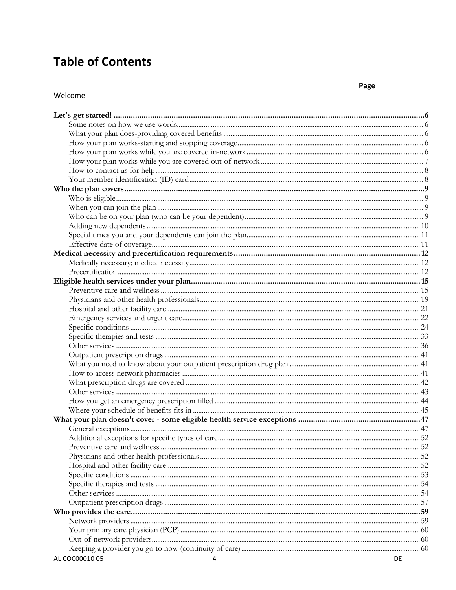# **Table of Contents**

#### Welcome

|                     | 60        |
|---------------------|-----------|
|                     |           |
|                     |           |
| AL COC00010 05<br>4 | <b>DE</b> |

# Page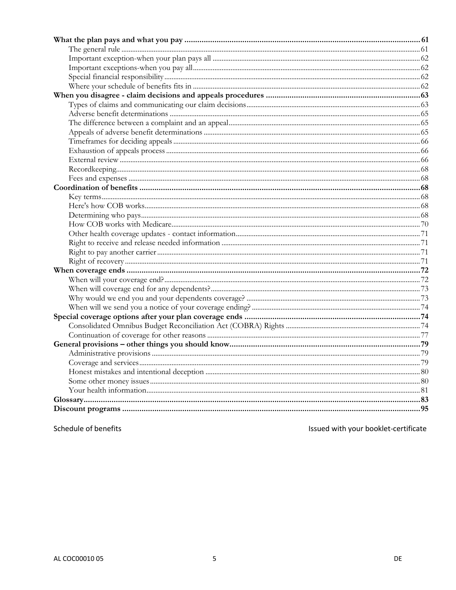Schedule of benefits

Issued with your booklet-certificate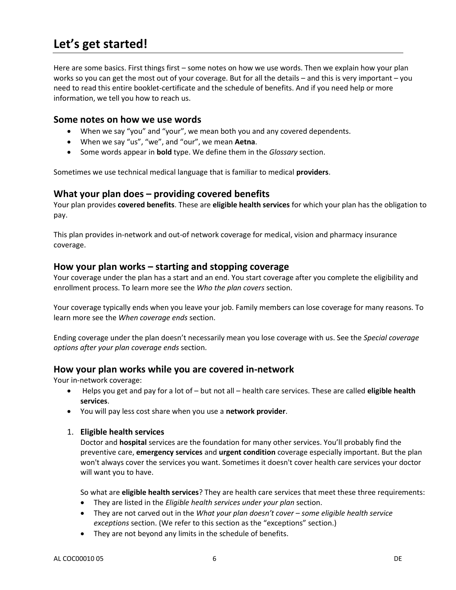# **Let's get started!**

Here are some basics. First things first – some notes on how we use words. Then we explain how your plan works so you can get the most out of your coverage. But for all the details – and this is very important – you need to read this entire booklet-certificate and the schedule of benefits. And if you need help or more information, we tell you how to reach us.

#### **Some notes on how we use words**

- When we say "you" and "your", we mean both you and any covered dependents.
- When we say "us", "we", and "our", we mean **Aetna**.
- Some words appear in **bold** type. We define them in the *Glossary* section.

Sometimes we use technical medical language that is familiar to medical **providers**.

#### **What your plan does – providing covered benefits**

Your plan provides **covered benefits**. These are **eligible health services** for which your plan has the obligation to pay.

This plan provides in-network and out-of network coverage for medical, vision and pharmacy insurance coverage.

#### **How your plan works – starting and stopping coverage**

Your coverage under the plan has a start and an end. You start coverage after you complete the eligibility and enrollment process. To learn more see the *Who the plan covers* section.

Your coverage typically ends when you leave your job. Family members can lose coverage for many reasons. To learn more see the *When coverage ends* section.

Ending coverage under the plan doesn't necessarily mean you lose coverage with us. See the *Special coverage options after your plan coverage ends* section.

#### **How your plan works while you are covered in-network**

Your in-network coverage:

- Helps you get and pay for a lot of but not all health care services. These are called **eligible health services**.
- You will pay less cost share when you use a **network provider**.

#### 1. **Eligible health services**

Doctor and **hospital** services are the foundation for many other services. You'll probably find the preventive care, **emergency services** and **urgent condition** coverage especially important. But the plan won't always cover the services you want. Sometimes it doesn't cover health care services your doctor will want you to have.

So what are **eligible health services**? They are health care services that meet these three requirements:

- They are listed in the *Eligible health services under your plan* section.
- They are not carved out in the *What your plan doesn't cover – some eligible health service exceptions* section. (We refer to this section as the "exceptions" section.)
- They are not beyond any limits in the schedule of benefits.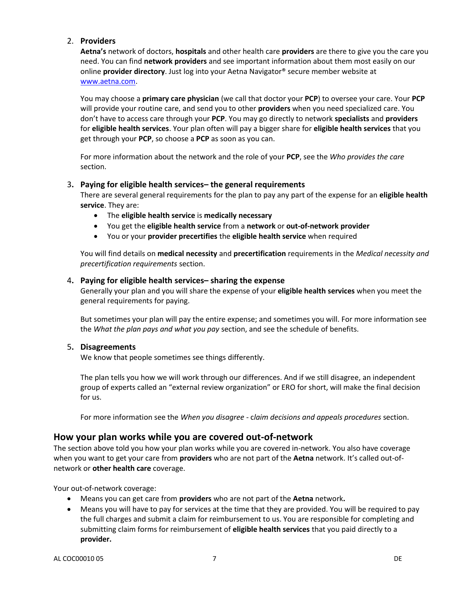#### 2. **Providers**

**Aetna's** network of doctors, **hospitals** and other health care **providers** are there to give you the care you need. You can find **network providers** and see important information about them most easily on our online **provider directory**. Just log into your Aetna Navigator® secure member website at [www.aetna.com.](http://www.aetna.com/)

You may choose a **primary care physician** (we call that doctor your **PCP**) to oversee your care. Your **PCP** will provide your routine care, and send you to other **providers** when you need specialized care. You don't have to access care through your **PCP**. You may go directly to network **specialists** and **providers** for **eligible health services**. Your plan often will pay a bigger share for **eligible health services** that you get through your **PCP**, so choose a **PCP** as soon as you can.

For more information about the network and the role of your **PCP**, see the *Who provides the care*  section.

#### 3**. Paying for eligible health services– the general requirements**

There are several general requirements for the plan to pay any part of the expense for an **eligible health service**. They are:

- The **eligible health service** is **medically necessary**
- You get the **eligible health service** from a **network** or **out-of-network provider**
- You or your **provider precertifies** the **eligible health service** when required

You will find details on **medical necessity** and **precertification** requirements in the *Medical necessity and precertification requirements* section.

#### 4**. Paying for eligible health services– sharing the expense**

Generally your plan and you will share the expense of your **eligible health services** when you meet the general requirements for paying.

But sometimes your plan will pay the entire expense; and sometimes you will. For more information see the *What the plan pays and what you pay* section, and see the schedule of benefits.

#### 5**. Disagreements**

We know that people sometimes see things differently.

The plan tells you how we will work through our differences. And if we still disagree, an independent group of experts called an "external review organization" or ERO for short, will make the final decision for us.

For more information see the *When you disagree -* c*laim decisions and appeals procedures* section.

#### **How your plan works while you are covered out-of-network**

The section above told you how your plan works while you are covered in-network. You also have coverage when you want to get your care from **providers** who are not part of the **Aetna** network. It's called out-ofnetwork or **other health care** coverage.

Your out-of-network coverage:

- Means you can get care from **providers** who are not part of the **Aetna** network**.**
- Means you will have to pay for services at the time that they are provided. You will be required to pay the full charges and submit a claim for reimbursement to us. You are responsible for completing and submitting claim forms for reimbursement of **eligible health services** that you paid directly to a **provider.**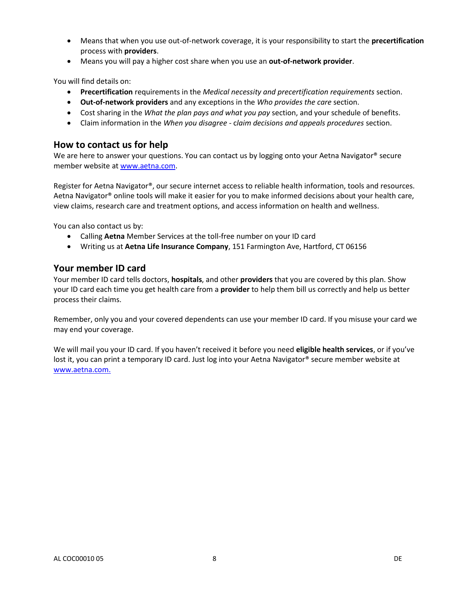- Means that when you use out-of-network coverage, it is your responsibility to start the **precertification**  process with **providers**.
- Means you will pay a higher cost share when you use an **out-of-network provider**.

You will find details on:

- **Precertification** requirements in the *Medical necessity and precertification requirements* section.
- **Out-of-network providers** and any exceptions in the *Who provides the care* section.
- Cost sharing in the *What the plan pays and what you pay* section, and your schedule of benefits.
- Claim information in the *When you disagree -* c*laim decisions and appeals procedures* section.

# **How to contact us for help**

We are here to answer your questions. You can contact us by logging onto your Aetna Navigator® secure member website at [www.aetna.com.](file:///C:/EPUB/Project/Common/ePubEditor/ProcessFolders/4427807/Files/www.aetna.com)

Register for Aetna Navigator®, our secure internet access to reliable health information, tools and resources. Aetna Navigator® online tools will make it easier for you to make informed decisions about your health care, view claims, research care and treatment options, and access information on health and wellness.

You can also contact us by:

- Calling **Aetna** Member Services at the toll-free number on your ID card
- Writing us at **Aetna Life Insurance Company**, 151 Farmington Ave, Hartford, CT 06156

#### **Your member ID card**

Your member ID card tells doctors, **hospitals**, and other **providers** that you are covered by this plan. Show your ID card each time you get health care from a **provider** to help them bill us correctly and help us better process their claims.

Remember, only you and your covered dependents can use your member ID card. If you misuse your card we may end your coverage.

We will mail you your ID card. If you haven't received it before you need **eligible health services**, or if you've lost it, you can print a temporary ID card. Just log into your Aetna Navigator® secure member website at [www.aetna.com.](file:///C:/EPUB/Project/Common/ePubEditor/ProcessFolders/4427807/Files/www.aetna.com)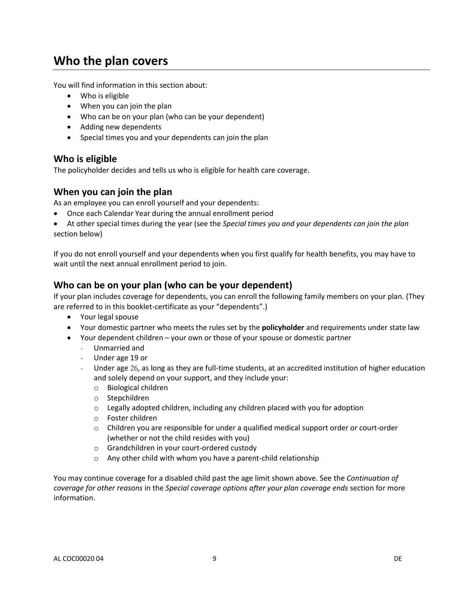# **Who the plan covers**

You will find information in this section about:

- Who is eligible
- When you can join the plan
- Who can be on your plan (who can be your dependent)
- Adding new dependents
- Special times you and your dependents can join the plan

#### **Who is eligible**

The policyholder decides and tells us who is eligible for health care coverage.

# **When you can join the plan**

As an employee you can enroll yourself and your dependents:

- Once each Calendar Year during the annual enrollment period
- At other special times during the year (see the *Special times you and your dependents can join the plan*  section below)

If you do not enroll yourself and your dependents when you first qualify for health benefits, you may have to wait until the next annual enrollment period to join.

# **Who can be on your plan (who can be your dependent)**

If your plan includes coverage for dependents, you can enroll the following family members on your plan. (They are referred to in this booklet-certificate as your "dependents".)

- Your legal spouse
- Your domestic partner who meets the rules set by the **policyholder** and requirements under state law
- Your dependent children your own or those of your spouse or domestic partner
	- Unmarried and
	- Under age 19 or
	- Under age 26, as long as they are full-time students, at an accredited institution of higher education and solely depend on your support, and they include your:
		- o Biological children
		- o Stepchildren
		- o Legally adopted children, including any children placed with you for adoption
		- o Foster children
		- $\circ$  Children you are responsible for under a qualified medical support order or court-order (whether or not the child resides with you)
		- o Grandchildren in your court-ordered custody
		- o Any other child with whom you have a parent-child relationship

You may continue coverage for a disabled child past the age limit shown above. See the *Continuation of coverage for other reasons* in the *Special coverage options after your plan coverage ends* section for more information.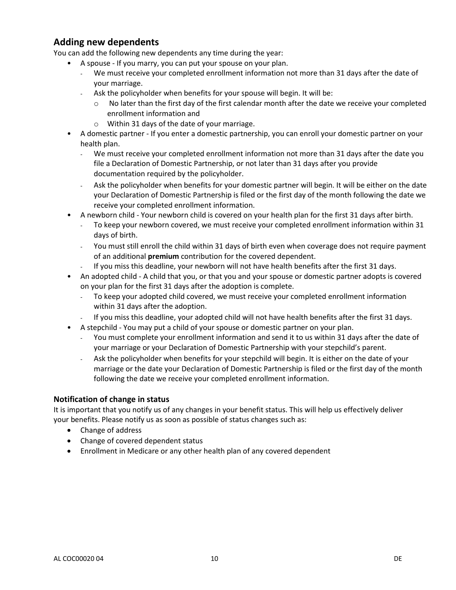# **Adding new dependents**

You can add the following new dependents any time during the year:

- A spouse If you marry, you can put your spouse on your plan.
	- We must receive your completed enrollment information not more than 31 days after the date of your marriage.
	- Ask the policyholder when benefits for your spouse will begin. It will be:
		- $\circ$  No later than the first day of the first calendar month after the date we receive your completed enrollment information and
		- o Within 31 days of the date of your marriage.
- A domestic partner If you enter a domestic partnership, you can enroll your domestic partner on your health plan.
	- We must receive your completed enrollment information not more than 31 days after the date you file a Declaration of Domestic Partnership, or not later than 31 days after you provide documentation required by the policyholder.
	- Ask the policyholder when benefits for your domestic partner will begin. It will be either on the date your Declaration of Domestic Partnership is filed or the first day of the month following the date we receive your completed enrollment information.
- A newborn child Your newborn child is covered on your health plan for the first 31 days after birth.
	- To keep your newborn covered, we must receive your completed enrollment information within 31 days of birth.
	- You must still enroll the child within 31 days of birth even when coverage does not require payment of an additional **premium** contribution for the covered dependent.
	- If you miss this deadline, your newborn will not have health benefits after the first 31 days.
- An adopted child A child that you, or that you and your spouse or domestic partner adopts is covered on your plan for the first 31 days after the adoption is complete.
	- To keep your adopted child covered, we must receive your completed enrollment information within 31 days after the adoption.
- If you miss this deadline, your adopted child will not have health benefits after the first 31 days.
- A stepchild You may put a child of your spouse or domestic partner on your plan.
	- You must complete your enrollment information and send it to us within 31 days after the date of your marriage or your Declaration of Domestic Partnership with your stepchild's parent.
	- Ask the policyholder when benefits for your stepchild will begin. It is either on the date of your marriage or the date your Declaration of Domestic Partnership is filed or the first day of the month following the date we receive your completed enrollment information.

#### **Notification of change in status**

It is important that you notify us of any changes in your benefit status. This will help us effectively deliver your benefits. Please notify us as soon as possible of status changes such as:

- Change of address
- Change of covered dependent status
- Enrollment in Medicare or any other health plan of any covered dependent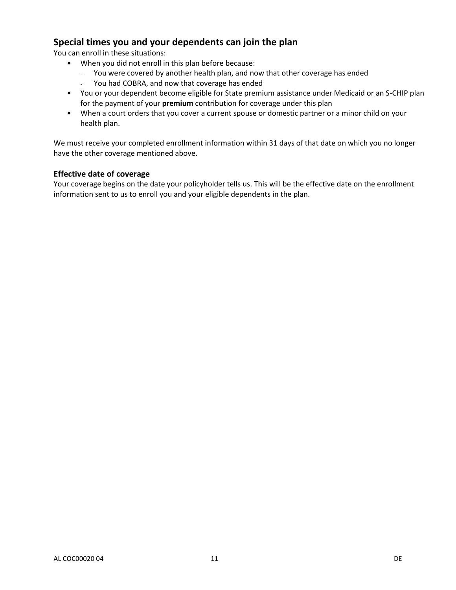# **Special times you and your dependents can join the plan**

You can enroll in these situations:

- When you did not enroll in this plan before because:
	- You were covered by another health plan, and now that other coverage has ended
	- You had COBRA, and now that coverage has ended
- You or your dependent become eligible for State premium assistance under Medicaid or an S-CHIP plan for the payment of your **premium** contribution for coverage under this plan
- When a court orders that you cover a current spouse or domestic partner or a minor child on your health plan.

We must receive your completed enrollment information within 31 days of that date on which you no longer have the other coverage mentioned above.

#### **Effective date of coverage**

Your coverage begins on the date your policyholder tells us. This will be the effective date on the enrollment information sent to us to enroll you and your eligible dependents in the plan.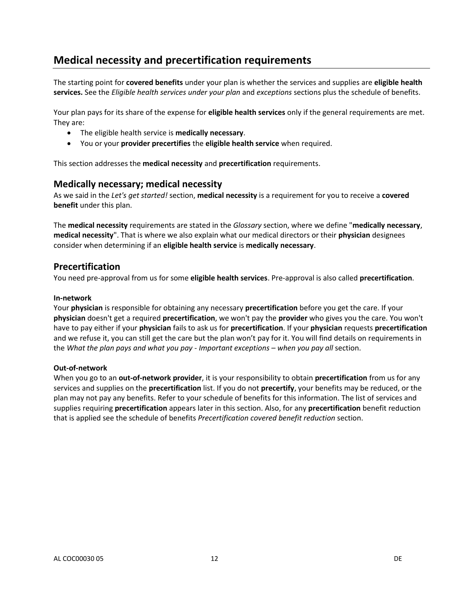# **Medical necessity and precertification requirements**

The starting point for **covered benefits** under your plan is whether the services and supplies are **eligible health services.** See the *Eligible health services under your plan* and *exceptions* sections plus the schedule of benefits.

Your plan pays for its share of the expense for **eligible health services** only if the general requirements are met. They are:

- The eligible health service is **medically necessary**.
- You or your **provider precertifies** the **eligible health service** when required.

This section addresses the **medical necessity** and **precertification** requirements.

#### **Medically necessary; medical necessity**

As we said in the *Let's get started!* section, **medical necessity** is a requirement for you to receive a **covered benefit** under this plan.

The **medical necessity** requirements are stated in the *Glossary* section, where we define "**medically necessary**, **medical necessity**". That is where we also explain what our medical directors or their **physician** designees consider when determining if an **eligible health service** is **medically necessary**.

# **Precertification**

You need pre-approval from us for some **eligible health services**. Pre-approval is also called **precertification**.

#### **In-network**

Your **physician** is responsible for obtaining any necessary **precertification** before you get the care. If your **physician** doesn't get a required **precertification**, we won't pay the **provider** who gives you the care. You won't have to pay either if your **physician** fails to ask us for **precertification**. If your **physician** requests **precertification** and we refuse it, you can still get the care but the plan won't pay for it. You will find details on requirements in the *What the plan pays and what you pay - Important exceptions – when you pay all* section.

#### **Out-of-network**

When you go to an **out-of-network provider**, it is your responsibility to obtain **precertification** from us for any services and supplies on the **precertification** list. If you do not **precertify**, your benefits may be reduced, or the plan may not pay any benefits. Refer to your schedule of benefits for this information. The list of services and supplies requiring **precertification** appears later in this section. Also, for any **precertification** benefit reduction that is applied see the schedule of benefits *Precertification covered benefit reduction* section.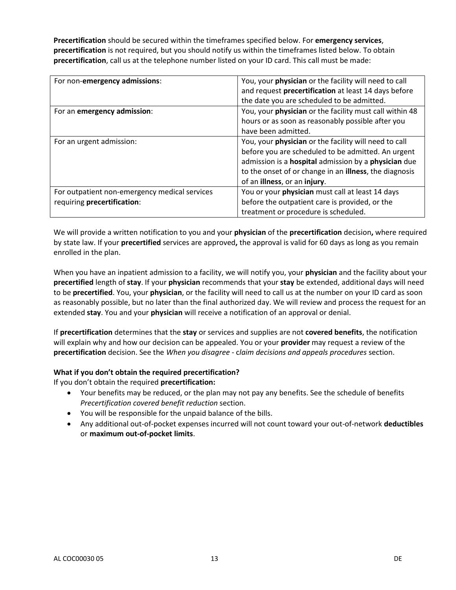**Precertification** should be secured within the timeframes specified below. For **emergency services**, **precertification** is not required, but you should notify us within the timeframes listed below. To obtain **precertification**, call us at the telephone number listed on your ID card. This call must be made:

| For non-emergency admissions:                 | You, your physician or the facility will need to call              |
|-----------------------------------------------|--------------------------------------------------------------------|
|                                               | and request precertification at least 14 days before               |
|                                               | the date you are scheduled to be admitted.                         |
| For an emergency admission:                   | You, your physician or the facility must call within 48            |
|                                               | hours or as soon as reasonably possible after you                  |
|                                               | have been admitted.                                                |
| For an urgent admission:                      | You, your physician or the facility will need to call              |
|                                               | before you are scheduled to be admitted. An urgent                 |
|                                               | admission is a <b>hospital</b> admission by a <b>physician</b> due |
|                                               | to the onset of or change in an <b>illness</b> , the diagnosis     |
|                                               | of an illness, or an injury.                                       |
| For outpatient non-emergency medical services | You or your physician must call at least 14 days                   |
| requiring precertification:                   | before the outpatient care is provided, or the                     |
|                                               | treatment or procedure is scheduled.                               |

We will provide a written notification to you and your **physician** of the **precertification** decision**,** where required by state law. If your **precertified** services are approved**,** the approval is valid for 60 days as long as you remain enrolled in the plan.

When you have an inpatient admission to a facility, we will notify you, your **physician** and the facility about your **precertified** length of **stay**. If your **physician** recommends that your **stay** be extended, additional days will need to be **precertified**. You, your **physician**, or the facility will need to call us at the number on your ID card as soon as reasonably possible, but no later than the final authorized day. We will review and process the request for an extended **stay**. You and your **physician** will receive a notification of an approval or denial.

If **precertification** determines that the **stay** or services and supplies are not **covered benefits**, the notification will explain why and how our decision can be appealed. You or your **provider** may request a review of the **precertification** decision. See the *When you disagree -* c*laim decisions and appeals procedures* section.

#### **What if you don't obtain the required precertification?**

If you don't obtain the required **precertification:**

- Your benefits may be reduced, or the plan may not pay any benefits. See the schedule of benefits *Precertification covered benefit reduction* section.
- You will be responsible for the unpaid balance of the bills.
- Any additional out-of-pocket expenses incurred will not count toward your out-of-network **deductibles** or **maximum out-of-pocket limits**.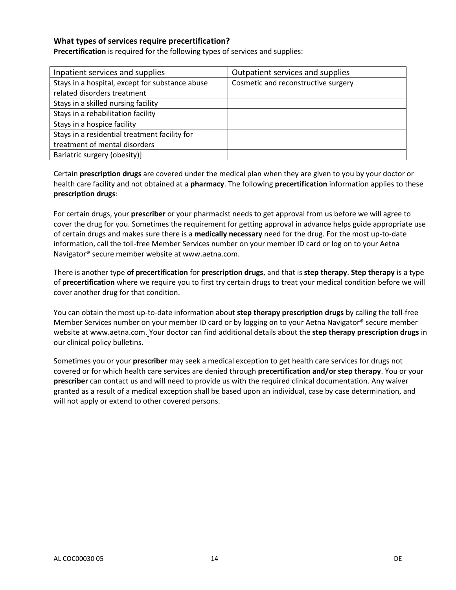#### **What types of services require precertification?**

**Precertification** is required for the following types of services and supplies:

| Inpatient services and supplies                 | Outpatient services and supplies    |
|-------------------------------------------------|-------------------------------------|
| Stays in a hospital, except for substance abuse | Cosmetic and reconstructive surgery |
| related disorders treatment                     |                                     |
| Stays in a skilled nursing facility             |                                     |
| Stays in a rehabilitation facility              |                                     |
| Stays in a hospice facility                     |                                     |
| Stays in a residential treatment facility for   |                                     |
| treatment of mental disorders                   |                                     |
| Bariatric surgery (obesity)]                    |                                     |

Certain **prescription drugs** are covered under the medical plan when they are given to you by your doctor or health care facility and not obtained at a **pharmacy**. The following **precertification** information applies to these **prescription drugs**:

For certain drugs, your **prescriber** or your pharmacist needs to get approval from us before we will agree to cover the drug for you. Sometimes the requirement for getting approval in advance helps guide appropriate use of certain drugs and makes sure there is a **medically necessary** need for the drug. For the most up-to-date information, call the toll-free Member Services number on your member ID card or log on to your Aetna Navigator® secure member website a[t www.aetna.com.](http://www.aetna.com/)

There is another type **of precertification** for **prescription drugs**, and that is **step therapy**. **Step therapy** is a type of **precertification** where we require you to first try certain drugs to treat your medical condition before we will cover another drug for that condition.

You can obtain the most up-to-date information about **step therapy prescription drugs** by calling the toll-free Member Services number on your member ID card or by logging on to your Aetna Navigator® secure member website at [www.aetna.com.](http://www.aetna.com/) Your doctor can find additional details about the **step therapy prescription drugs** in our clinical policy bulletins.

Sometimes you or your **prescriber** may seek a medical exception to get health care services for drugs not covered or for which health care services are denied through **precertification and/or step therapy**. You or your **prescriber** can contact us and will need to provide us with the required clinical documentation. Any waiver granted as a result of a medical exception shall be based upon an individual, case by case determination, and will not apply or extend to other covered persons.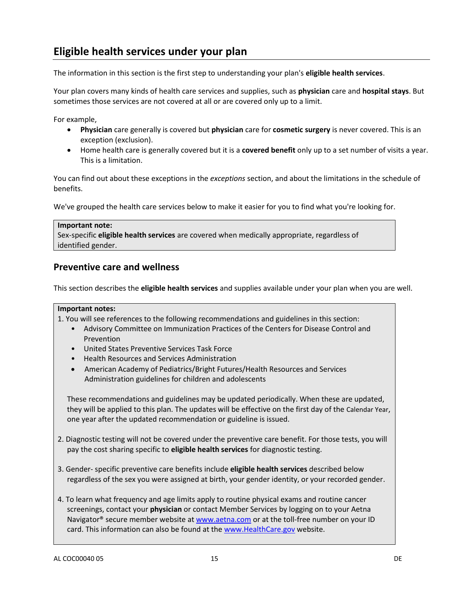# **Eligible health services under your plan**

The information in this section is the first step to understanding your plan's **eligible health services**.

Your plan covers many kinds of health care services and supplies, such as **physician** care and **hospital stays**. But sometimes those services are not covered at all or are covered only up to a limit.

For example,

- **Physician** care generally is covered but **physician** care for **cosmetic surgery** is never covered. This is an exception (exclusion).
- Home health care is generally covered but it is a **covered benefit** only up to a set number of visits a year. This is a limitation.

You can find out about these exceptions in the *exceptions* section, and about the limitations in the schedule of benefits.

We've grouped the health care services below to make it easier for you to find what you're looking for.

#### **Important note:**

Sex-specific **eligible health services** are covered when medically appropriate, regardless of identified gender.

# **Preventive care and wellness**

This section describes the **eligible health services** and supplies available under your plan when you are well.

#### **Important notes:**

1. You will see references to the following recommendations and guidelines in this section:

- Advisory Committee on Immunization Practices of the Centers for Disease Control and Prevention
- United States Preventive Services Task Force
- Health Resources and Services Administration
- American Academy of Pediatrics/Bright Futures/Health Resources and Services Administration guidelines for children and adolescents

These recommendations and guidelines may be updated periodically. When these are updated, they will be applied to this plan. The updates will be effective on the first day of the Calendar Year, one year after the updated recommendation or guideline is issued.

- 2. Diagnostic testing will not be covered under the preventive care benefit. For those tests, you will pay the cost sharing specific to **eligible health services** for diagnostic testing.
- 3. Gender- specific preventive care benefits include **eligible health services** described below regardless of the sex you were assigned at birth, your gender identity, or your recorded gender.
- 4. To learn what frequency and age limits apply to routine physical exams and routine cancer screenings, contact your **physician** or contact Member Services by logging on to your Aetna Navigator® secure member website a[t www.aetna.com](www.aetna.com%20) or at the toll-free number on your ID card. This information can also be found at the [www.HealthCare.gov](www.HealthCare.gov%20) website.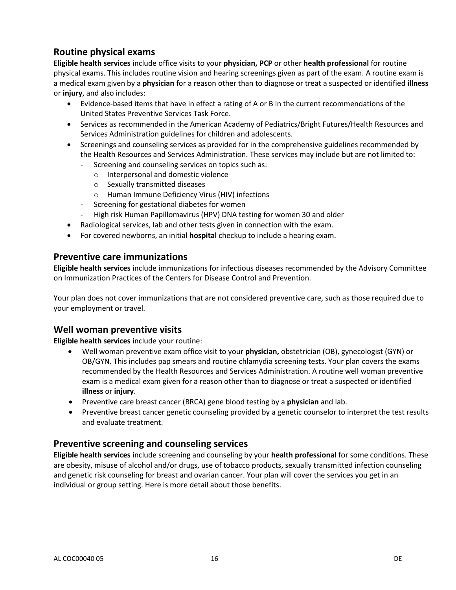# **Routine physical exams**

**Eligible health services** include office visits to your **physician, PCP** or other **health professional** for routine physical exams. This includes routine vision and hearing screenings given as part of the exam. A routine exam is a medical exam given by a **physician** for a reason other than to diagnose or treat a suspected or identified **illness** or **injury**, and also includes:

- Evidence-based items that have in effect a rating of A or B in the current recommendations of the United States Preventive Services Task Force.
- Services as recommended in the American Academy of Pediatrics/Bright Futures/Health Resources and Services Administration guidelines for children and adolescents.
- Screenings and counseling services as provided for in the comprehensive guidelines recommended by the Health Resources and Services Administration. These services may include but are not limited to:
	- Screening and counseling services on topics such as:
		- o Interpersonal and domestic violence
		- o Sexually transmitted diseases
		- o Human Immune Deficiency Virus (HIV) infections
	- Screening for gestational diabetes for women
	- High risk Human Papillomavirus (HPV) DNA testing for women 30 and older
- Radiological services, lab and other tests given in connection with the exam.
- For covered newborns, an initial **hospital** checkup to include a hearing exam.

#### **Preventive care immunizations**

**Eligible health services** include immunizations for infectious diseases recommended by the Advisory Committee on Immunization Practices of the Centers for Disease Control and Prevention.

Your plan does not cover immunizations that are not considered preventive care, such as those required due to your employment or travel.

# **Well woman preventive visits**

**Eligible health services** include your routine:

- Well woman preventive exam office visit to your **physician,** obstetrician (OB), gynecologist (GYN) or OB/GYN. This includes pap smears and routine chlamydia screening tests. Your plan covers the exams recommended by the Health Resources and Services Administration. A routine well woman preventive exam is a medical exam given for a reason other than to diagnose or treat a suspected or identified **illness** or **injury**.
- Preventive care breast cancer (BRCA) gene blood testing by a **physician** and lab.
- Preventive breast cancer genetic counseling provided by a genetic counselor to interpret the test results and evaluate treatment.

# **Preventive screening and counseling services**

**Eligible health services** include screening and counseling by your **health professional** for some conditions. These are obesity, misuse of alcohol and/or drugs, use of tobacco products, sexually transmitted infection counseling and genetic risk counseling for breast and ovarian cancer. Your plan will cover the services you get in an individual or group setting. Here is more detail about those benefits.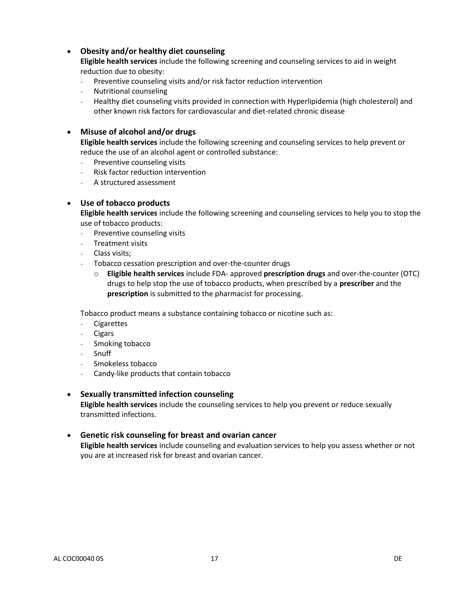#### **Obesity and/or healthy diet counseling**

**Eligible health services** include the following screening and counseling services to aid in weight reduction due to obesity:

- Preventive counseling visits and/or risk factor reduction intervention
- Nutritional counseling
- Healthy diet counseling visits provided in connection with Hyperlipidemia (high cholesterol) and other known risk factors for cardiovascular and diet-related chronic disease

#### **Misuse of alcohol and/or drugs**

**Eligible health services** include the following screening and counseling services to help prevent or reduce the use of an alcohol agent or controlled substance:

- Preventive counseling visits
- Risk factor reduction intervention
- A structured assessment

#### **Use of tobacco products**

**Eligible health services** include the following screening and counseling services to help you to stop the use of tobacco products:

- Preventive counseling visits
- Treatment visits
- Class visits;
- Tobacco cessation prescription and over-the-counter drugs
	- o **Eligible health services** include FDA- approved **prescription drugs** and over-the-counter (OTC) drugs to help stop the use of tobacco products, when prescribed by a **prescriber** and the **prescription** is submitted to the pharmacist for processing.

Tobacco product means a substance containing tobacco or nicotine such as:

- Cigarettes
- Cigars
- Smoking tobacco
- Snuff
- Smokeless tobacco
- Candy-like products that contain tobacco

#### **Sexually transmitted infection counseling**

**Eligible health services** include the counseling services to help you prevent or reduce sexually transmitted infections.

#### **Genetic risk counseling for breast and ovarian cancer**

**Eligible health services** include counseling and evaluation services to help you assess whether or not you are at increased risk for breast and ovarian cancer.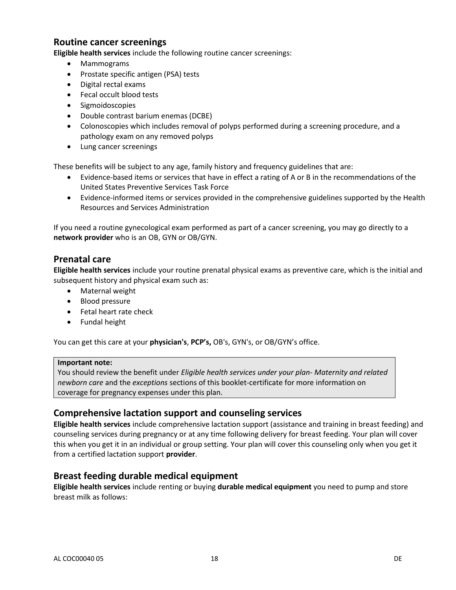# **Routine cancer screenings**

**Eligible health services** include the following routine cancer screenings:

- Mammograms
- Prostate specific antigen (PSA) tests
- Digital rectal exams
- Fecal occult blood tests
- Sigmoidoscopies
- Double contrast barium enemas (DCBE)
- Colonoscopies which includes removal of polyps performed during a screening procedure, and a pathology exam on any removed polyps
- Lung cancer screenings

These benefits will be subject to any age, family history and frequency guidelines that are:

- Evidence-based items or services that have in effect a rating of A or B in the recommendations of the United States Preventive Services Task Force
- Evidence-informed items or services provided in the comprehensive guidelines supported by the Health Resources and Services Administration

If you need a routine gynecological exam performed as part of a cancer screening, you may go directly to a **network provider** who is an OB, GYN or OB/GYN.

#### **Prenatal care**

**Eligible health services** include your routine prenatal physical exams as preventive care, which is the initial and subsequent history and physical exam such as:

- Maternal weight
- Blood pressure
- Fetal heart rate check
- Fundal height

You can get this care at your **physician's**, **PCP's,** OB's, GYN's, or OB/GYN's office.

#### **Important note:**

You should review the benefit under *Eligible health services under your plan- Maternity and related newborn care* and the *exceptions* sections of this booklet-certificate for more information on coverage for pregnancy expenses under this plan.

# **Comprehensive lactation support and counseling services**

**Eligible health services** include comprehensive lactation support (assistance and training in breast feeding) and counseling services during pregnancy or at any time following delivery for breast feeding. Your plan will cover this when you get it in an individual or group setting. Your plan will cover this counseling only when you get it from a certified lactation support **provider**.

# **Breast feeding durable medical equipment**

**Eligible health services** include renting or buying **durable medical equipment** you need to pump and store breast milk as follows: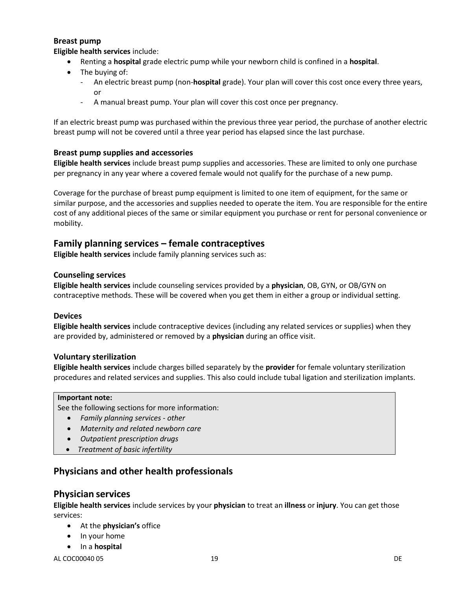#### **Breast pump**

**Eligible health services** include:

- Renting a **hospital** grade electric pump while your newborn child is confined in a **hospital**.
- The buying of:
	- An electric breast pump (non-**hospital** grade). Your plan will cover this cost once every three years, or
	- A manual breast pump. Your plan will cover this cost once per pregnancy.

If an electric breast pump was purchased within the previous three year period, the purchase of another electric breast pump will not be covered until a three year period has elapsed since the last purchase.

#### **Breast pump supplies and accessories**

**Eligible health services** include breast pump supplies and accessories. These are limited to only one purchase per pregnancy in any year where a covered female would not qualify for the purchase of a new pump.

Coverage for the purchase of breast pump equipment is limited to one item of equipment, for the same or similar purpose, and the accessories and supplies needed to operate the item. You are responsible for the entire cost of any additional pieces of the same or similar equipment you purchase or rent for personal convenience or mobility.

#### **Family planning services – female contraceptives**

**Eligible health services** include family planning services such as:

#### **Counseling services**

**Eligible health services** include counseling services provided by a **physician**, OB, GYN, or OB/GYN on contraceptive methods. These will be covered when you get them in either a group or individual setting.

#### **Devices**

**Eligible health services** include contraceptive devices (including any related services or supplies) when they are provided by, administered or removed by a **physician** during an office visit.

#### **Voluntary sterilization**

**Eligible health services** include charges billed separately by the **provider** for female voluntary sterilization procedures and related services and supplies. This also could include tubal ligation and sterilization implants.

#### **Important note:**

See the following sections for more information:

- *Family planning services - other*
- *Maternity and related newborn care*
- *Outpatient prescription drugs*
- *Treatment of basic infertility*

# **Physicians and other health professionals**

#### **Physician services**

**Eligible health services** include services by your **physician** to treat an **illness** or **injury**. You can get those services:

- At the **physician's** office
- In your home
- **•** In a **hospital**

AL COC00040 05 29 DE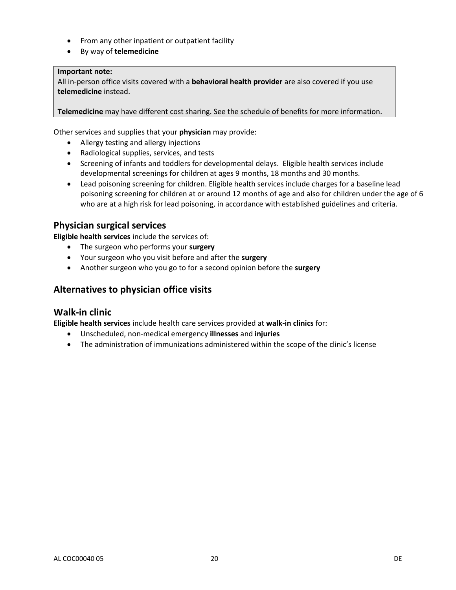- From any other inpatient or outpatient facility
- By way of **telemedicine**

#### **Important note:**

All in-person office visits covered with a **behavioral health provider** are also covered if you use **telemedicine** instead.

**Telemedicine** may have different cost sharing. See the schedule of benefits for more information.

Other services and supplies that your **physician** may provide:

- Allergy testing and allergy injections
- Radiological supplies, services, and tests
- Screening of infants and toddlers for developmental delays. Eligible health services include developmental screenings for children at ages 9 months, 18 months and 30 months.
- Lead poisoning screening for children. Eligible health services include charges for a baseline lead poisoning screening for children at or around 12 months of age and also for children under the age of 6 who are at a high risk for lead poisoning, in accordance with established guidelines and criteria.

# **Physician surgical services**

**Eligible health services** include the services of:

- The surgeon who performs your **surgery**
- Your surgeon who you visit before and after the **surgery**
- Another surgeon who you go to for a second opinion before the **surgery**

# **Alternatives to physician office visits**

#### **Walk-in clinic**

**Eligible health services** include health care services provided at **walk-in clinics** for:

- Unscheduled, non-medical emergency **illnesses** and **injuries**
- The administration of immunizations administered within the scope of the clinic's license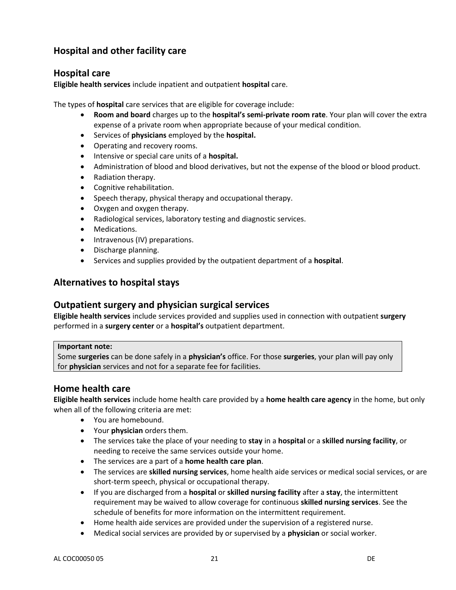# **Hospital and other facility care**

# **Hospital care**

**Eligible health services** include inpatient and outpatient **hospital** care.

The types of **hospital** care services that are eligible for coverage include:

- **Room and board** charges up to the **hospital's semi-private room rate**. Your plan will cover the extra expense of a private room when appropriate because of your medical condition.
- Services of **physicians** employed by the **hospital.**
- Operating and recovery rooms.
- **•** Intensive or special care units of a **hospital.**
- Administration of blood and blood derivatives, but not the expense of the blood or blood product.
- Radiation therapy.
- Cognitive rehabilitation.
- Speech therapy, physical therapy and occupational therapy.
- Oxygen and oxygen therapy.
- Radiological services, laboratory testing and diagnostic services.
- Medications.
- Intravenous (IV) preparations.
- Discharge planning.
- Services and supplies provided by the outpatient department of a **hospital**.

# **Alternatives to hospital stays**

#### **Outpatient surgery and physician surgical services**

**Eligible health services** include services provided and supplies used in connection with outpatient **surgery** performed in a **surgery center** or a **hospital's** outpatient department.

#### **Important note:**

Some **surgeries** can be done safely in a **physician's** office. For those **surgeries**, your plan will pay only for **physician** services and not for a separate fee for facilities.

# **Home health care**

**Eligible health services** include home health care provided by a **home health care agency** in the home, but only when all of the following criteria are met:

- You are homebound.
- Your **physician** orders them.
- The services take the place of your needing to **stay** in a **hospital** or a **skilled nursing facility**, or needing to receive the same services outside your home.
- The services are a part of a **home health care plan**.
- The services are **skilled nursing services**, home health aide services or medical social services, or are short-term speech, physical or occupational therapy.
- If you are discharged from a **hospital** or **skilled nursing facility** after a **stay**, the intermittent requirement may be waived to allow coverage for continuous **skilled nursing services**. See the schedule of benefits for more information on the intermittent requirement.
- Home health aide services are provided under the supervision of a registered nurse.
- Medical social services are provided by or supervised by a **physician** or social worker.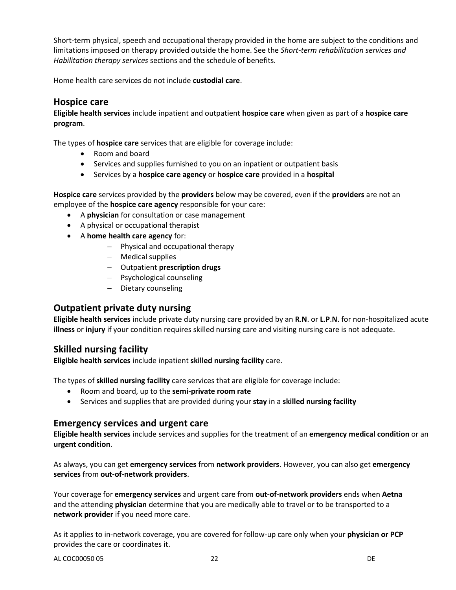Short-term physical, speech and occupational therapy provided in the home are subject to the conditions and limitations imposed on therapy provided outside the home. See the *Short-term rehabilitation services and Habilitation therapy services* sections and the schedule of benefits.

Home health care services do not include **custodial care**.

#### **Hospice care**

**Eligible health services** include inpatient and outpatient **hospice care** when given as part of a **hospice care program**.

The types of **hospice care** services that are eligible for coverage include:

- Room and board
- Services and supplies furnished to you on an inpatient or outpatient basis
- Services by a **hospice care agency** or **hospice care** provided in a **hospital**

**Hospice care** services provided by the **providers** below may be covered, even if the **providers** are not an employee of the **hospice care agency** responsible for your care:

- A **physician** for consultation or case management
- A physical or occupational therapist
- A **home health care agency** for:
	- $-$  Physical and occupational therapy
	- Medical supplies
	- Outpatient **prescription drugs**
	- Psychological counseling
	- Dietary counseling

# **Outpatient private duty nursing**

**Eligible health services** include private duty nursing care provided by an **R**.**N**. or **L**.**P**.**N**. for non-hospitalized acute **illness** or **injury** if your condition requires skilled nursing care and visiting nursing care is not adequate.

# **Skilled nursing facility**

**Eligible health services** include inpatient **skilled nursing facility** care.

The types of **skilled nursing facility** care services that are eligible for coverage include:

- Room and board, up to the **semi-private room rate**
- Services and supplies that are provided during your **stay** in a **skilled nursing facility**

# **Emergency services and urgent care**

**Eligible health services** include services and supplies for the treatment of an **emergency medical condition** or an **urgent condition**.

As always, you can get **emergency services** from **network providers**. However, you can also get **emergency services** from **out-of-network providers**.

Your coverage for **emergency services** and urgent care from **out-of-network providers** ends when **Aetna** and the attending **physician** determine that you are medically able to travel or to be transported to a **network provider** if you need more care.

As it applies to in-network coverage, you are covered for follow-up care only when your **physician or PCP** provides the care or coordinates it.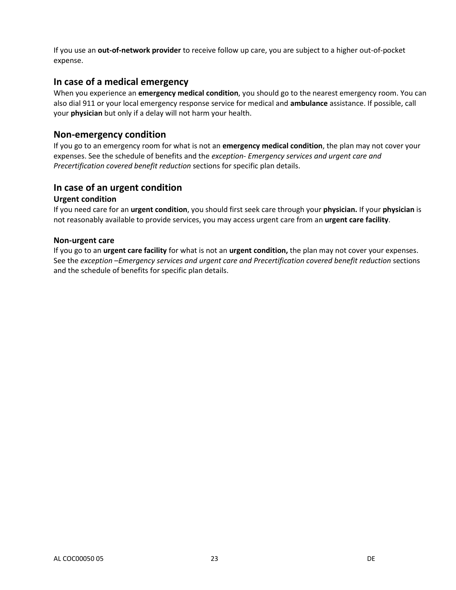If you use an **out-of-network provider** to receive follow up care, you are subject to a higher out-of-pocket expense.

#### **In case of a medical emergency**

When you experience an **emergency medical condition**, you should go to the nearest emergency room. You can also dial 911 or your local emergency response service for medical and **ambulance** assistance. If possible, call your **physician** but only if a delay will not harm your health.

#### **Non-emergency condition**

If you go to an emergency room for what is not an **emergency medical condition**, the plan may not cover your expenses. See the schedule of benefits and the *exception- Emergency services and urgent care and Precertification covered benefit reduction* sections for specific plan details.

# **In case of an urgent condition**

#### **Urgent condition**

If you need care for an **urgent condition**, you should first seek care through your **physician.** If your **physician** is not reasonably available to provide services, you may access urgent care from an **urgent care facility**.

#### **Non-urgent care**

If you go to an **urgent care facility** for what is not an **urgent condition,** the plan may not cover your expenses. See the *exception –Emergency services and urgent care and Precertification covered benefit reduction* sections and the schedule of benefits for specific plan details.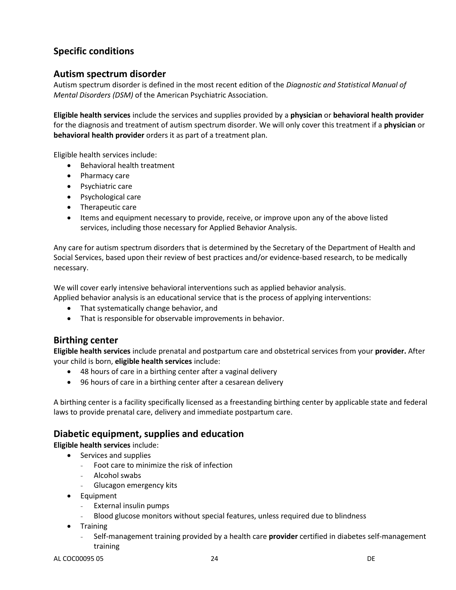# **Specific conditions**

# **Autism spectrum disorder**

Autism spectrum disorder is defined in the most recent edition of the *Diagnostic and Statistical Manual of Mental Disorders (DSM)* of the American Psychiatric Association.

**Eligible health services** include the services and supplies provided by a **physician** or **behavioral health provider**  for the diagnosis and treatment of autism spectrum disorder. We will only cover this treatment if a **physician** or **behavioral health provider** orders it as part of a treatment plan.

Eligible health services include:

- Behavioral health treatment
- Pharmacy care
- Psychiatric care
- Psychological care
- Therapeutic care
- Items and equipment necessary to provide, receive, or improve upon any of the above listed services, including those necessary for Applied Behavior Analysis.

Any care for autism spectrum disorders that is determined by the Secretary of the Department of Health and Social Services, based upon their review of best practices and/or evidence-based research, to be medically necessary.

We will cover early intensive behavioral interventions such as applied behavior analysis.

Applied behavior analysis is an educational service that is the process of applying interventions:

- That systematically change behavior, and
- That is responsible for observable improvements in behavior.

# **Birthing center**

**Eligible health services** include prenatal and postpartum care and obstetrical services from your **provider.** After your child is born, **eligible health services** include:

- 48 hours of care in a birthing center after a vaginal delivery
- 96 hours of care in a birthing center after a cesarean delivery

A birthing center is a facility specifically licensed as a freestanding birthing center by applicable state and federal laws to provide prenatal care, delivery and immediate postpartum care.

# **Diabetic equipment, supplies and education**

**Eligible health services** include:

- Services and supplies
	- Foot care to minimize the risk of infection
	- Alcohol swabs
	- Glucagon emergency kits
- **•** Equipment
	- External insulin pumps
	- Blood glucose monitors without special features, unless required due to blindness
- Training
	- Self-management training provided by a health care **provider** certified in diabetes self-management training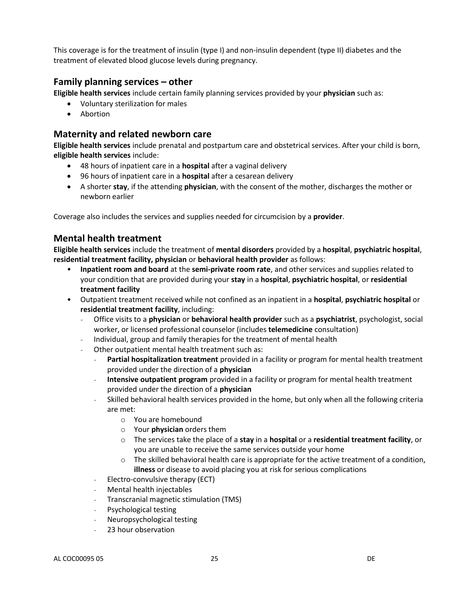This coverage is for the treatment of insulin (type I) and non-insulin dependent (type II) diabetes and the treatment of elevated blood glucose levels during pregnancy.

# **Family planning services – other**

**Eligible health services** include certain family planning services provided by your **physician** such as:

- Voluntary sterilization for males
- Abortion

# **Maternity and related newborn care**

**Eligible health services** include prenatal and postpartum care and obstetrical services. After your child is born, **eligible health services** include:

- 48 hours of inpatient care in a **hospital** after a vaginal delivery
- 96 hours of inpatient care in a **hospital** after a cesarean delivery
- A shorter **stay**, if the attending **physician**, with the consent of the mother, discharges the mother or newborn earlier

Coverage also includes the services and supplies needed for circumcision by a **provider**.

# **Mental health treatment**

**Eligible health services** include the treatment of **mental disorders** provided by a **hospital**, **psychiatric hospital**, **residential treatment facility, physician** or **behavioral health provider** as follows:

- **Inpatient room and board** at the **semi-private room rate**, and other services and supplies related to your condition that are provided during your **stay** in a **hospital**, **psychiatric hospital**, or **residential treatment facility**
- Outpatient treatment received while not confined as an inpatient in a **hospital**, **psychiatric hospital** or **residential treatment facility**, including:
	- Office visits to a **physician** or **behavioral health provider** such as a **psychiatrist**, psychologist, social worker, or licensed professional counselor (includes **telemedicine** consultation)
	- Individual, group and family therapies for the treatment of mental health
	- Other outpatient mental health treatment such as:
		- **Partial hospitalization treatment** provided in a facility or program for mental health treatment provided under the direction of a **physician**
		- **Intensive outpatient program** provided in a facility or program for mental health treatment provided under the direction of a **physician**
		- Skilled behavioral health services provided in the home, but only when all the following criteria are met:
			- o You are homebound
			- o Your **physician** orders them
			- o The services take the place of a **stay** in a **hospital** or a **residential treatment facility**, or you are unable to receive the same services outside your home
			- $\circ$  The skilled behavioral health care is appropriate for the active treatment of a condition, **illness** or disease to avoid placing you at risk for serious complications
		- Electro-convulsive therapy (ECT)
		- Mental health injectables
		- Transcranial magnetic stimulation (TMS)
		- Psychological testing
		- Neuropsychological testing
		- 23 hour observation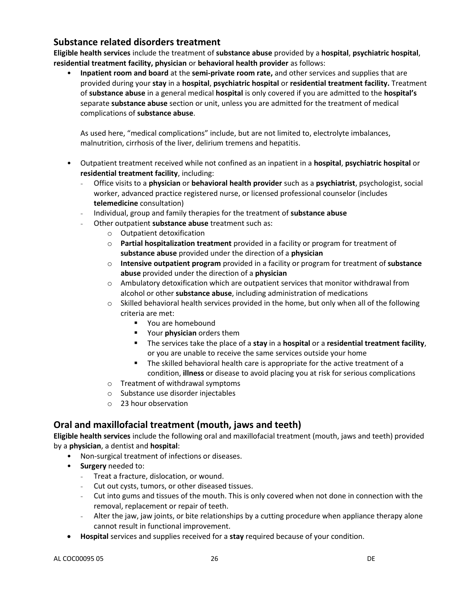# **Substance related disorders treatment**

**Eligible health services** include the treatment of **substance abuse** provided by a **hospital**, **psychiatric hospital**, **residential treatment facility, physician** or **behavioral health provider** as follows:

• **Inpatient room and board** at the **semi-private room rate,** and other services and supplies that are provided during your **stay** in a **hospital**, **psychiatric hospital** or **residential treatment facility.** Treatment of **substance abuse** in a general medical **hospital** is only covered if you are admitted to the **hospital's** separate **substance abuse** section or unit, unless you are admitted for the treatment of medical complications of **substance abuse**.

As used here, "medical complications" include, but are not limited to, electrolyte imbalances, malnutrition, cirrhosis of the liver, delirium tremens and hepatitis.

- Outpatient treatment received while not confined as an inpatient in a **hospital**, **psychiatric hospital** or **residential treatment facility**, including:
	- Office visits to a **physician** or **behavioral health provider** such as a **psychiatrist**, psychologist, social worker, advanced practice registered nurse, or licensed professional counselor (includes **telemedicine** consultation)
	- Individual, group and family therapies for the treatment of **substance abuse**
	- Other outpatient **substance abuse** treatment such as:
		- o Outpatient detoxification
		- o **Partial hospitalization treatment** provided in a facility or program for treatment of **substance abuse** provided under the direction of a **physician**
		- o **Intensive outpatient program** provided in a facility or program for treatment of **substance abuse** provided under the direction of a **physician**
		- o Ambulatory detoxification which are outpatient services that monitor withdrawal from alcohol or other **substance abuse**, including administration of medications
		- $\circ$  Skilled behavioral health services provided in the home, but only when all of the following criteria are met:
			- **P** You are homebound
			- Your **physician** orders them
			- The services take the place of a **stay** in a **hospital** or a **residential treatment facility**, or you are unable to receive the same services outside your home
			- The skilled behavioral health care is appropriate for the active treatment of a condition, **illness** or disease to avoid placing you at risk for serious complications
		- o Treatment of withdrawal symptoms
		- o Substance use disorder injectables
		- o 23 hour observation

# **Oral and maxillofacial treatment (mouth, jaws and teeth)**

**Eligible health services** include the following oral and maxillofacial treatment (mouth, jaws and teeth) provided by a **physician**, a dentist and **hospital**:

- Non-surgical treatment of infections or diseases.
- **Surgery** needed to:
	- Treat a fracture, dislocation, or wound.
	- Cut out cysts, tumors, or other diseased tissues.
	- Cut into gums and tissues of the mouth. This is only covered when not done in connection with the removal, replacement or repair of teeth.
	- Alter the jaw, jaw joints, or bite relationships by a cutting procedure when appliance therapy alone cannot result in functional improvement.
- **Hospital** services and supplies received for a **stay** required because of your condition.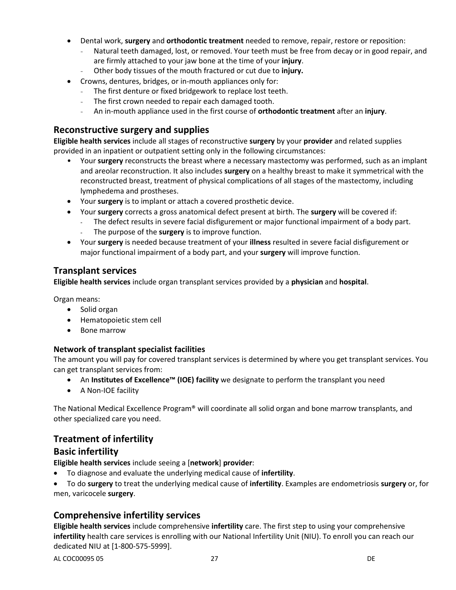- Dental work, **surgery** and **orthodontic treatment** needed to remove, repair, restore or reposition:
	- Natural teeth damaged, lost, or removed. Your teeth must be free from decay or in good repair, and are firmly attached to your jaw bone at the time of your **injury**.
	- Other body tissues of the mouth fractured or cut due to **injury.**
- Crowns, dentures, bridges, or in-mouth appliances only for:
	- The first denture or fixed bridgework to replace lost teeth.
	- The first crown needed to repair each damaged tooth.
	- An in-mouth appliance used in the first course of **orthodontic treatment** after an **injury**.

# **Reconstructive surgery and supplies**

**Eligible health services** include all stages of reconstructive **surgery** by your **provider** and related supplies provided in an inpatient or outpatient setting only in the following circumstances:

- Your **surgery** reconstructs the breast where a necessary mastectomy was performed, such as an implant and areolar reconstruction. It also includes **surgery** on a healthy breast to make it symmetrical with the reconstructed breast, treatment of physical complications of all stages of the mastectomy, including lymphedema and prostheses.
- Your **surgery** is to implant or attach a covered prosthetic device.
- Your **surgery** corrects a gross anatomical defect present at birth. The **surgery** will be covered if:
	- The defect results in severe facial disfigurement or major functional impairment of a body part.
		- The purpose of the **surgery** is to improve function.
- Your **surgery** is needed because treatment of your **illness** resulted in severe facial disfigurement or major functional impairment of a body part, and your **surgery** will improve function.

# **Transplant services**

**Eligible health services** include organ transplant services provided by a **physician** and **hospital**.

Organ means:

- Solid organ
- Hematopoietic stem cell
- Bone marrow

#### **Network of transplant specialist facilities**

The amount you will pay for covered transplant services is determined by where you get transplant services. You can get transplant services from:

- An **Institutes of Excellence™ (IOE) facility** we designate to perform the transplant you need
- A Non-IOE facility

The National Medical Excellence Program® will coordinate all solid organ and bone marrow transplants, and other specialized care you need.

# **Treatment of infertility**

# **Basic infertility**

**Eligible health services** include seeing a [**network**] **provider**:

- To diagnose and evaluate the underlying medical cause of **infertility**.
- To do **surgery** to treat the underlying medical cause of **infertility**. Examples are endometriosis **surgery** or, for men, varicocele **surgery**.

# **Comprehensive infertility services**

**Eligible health services** include comprehensive **infertility** care. The first step to using your comprehensive **infertility** health care services is enrolling with our National Infertility Unit (NIU). To enroll you can reach our dedicated NIU at [1-800-575-5999].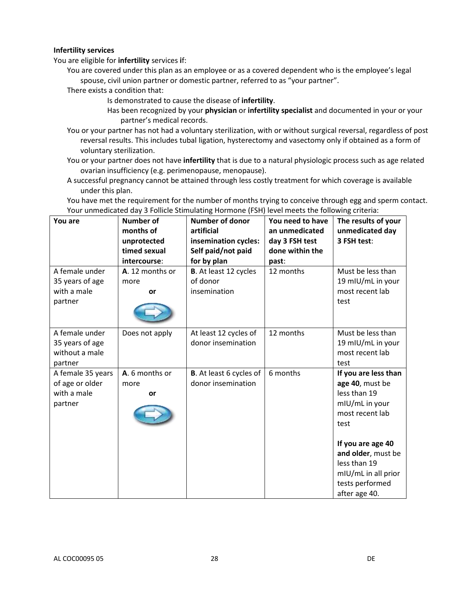#### **Infertility services**

You are eligible for **infertility** services **i**f:

You are covered under this plan as an employee or as a covered dependent who is the employee's legal spouse, civil union partner or domestic partner, referred to as "your partner".

There exists a condition that:

- Is demonstrated to cause the disease of **infertility**.
- Has been recognized by your **physician** or **infertility specialist** and documented in your or your partner's medical records.
- You or your partner has not had a voluntary sterilization, with or without surgical reversal, regardless of post reversal results. This includes tubal ligation, hysterectomy and vasectomy only if obtained as a form of voluntary sterilization.
- You or your partner does not have **infertility** that is due to a natural physiologic process such as age related ovarian insufficiency (e.g. perimenopause, menopause).
- A successful pregnancy cannot be attained through less costly treatment for which coverage is available under this plan.

You have met the requirement for the number of months trying to conceive through egg and sperm contact. Your unmedicated day 3 Follicle Stimulating Hormone (FSH) level meets the following criteria:

| You are                                                        | <b>Number of</b><br>months of<br>unprotected<br>timed sexual<br>intercourse: | <b>Number of donor</b><br>artificial<br>insemination cycles:<br>Self paid/not paid<br>for by plan | You need to have<br>an unmedicated<br>day 3 FSH test<br>done within the<br>past: | The results of your<br>unmedicated day<br>3 FSH test:                                                                                                                                                                      |
|----------------------------------------------------------------|------------------------------------------------------------------------------|---------------------------------------------------------------------------------------------------|----------------------------------------------------------------------------------|----------------------------------------------------------------------------------------------------------------------------------------------------------------------------------------------------------------------------|
| A female under                                                 | A. 12 months or                                                              | <b>B.</b> At least 12 cycles                                                                      | 12 months                                                                        | Must be less than                                                                                                                                                                                                          |
| 35 years of age                                                | more                                                                         | of donor                                                                                          |                                                                                  | 19 mIU/mL in your                                                                                                                                                                                                          |
| with a male<br>partner                                         | or                                                                           | insemination                                                                                      |                                                                                  | most recent lab<br>test                                                                                                                                                                                                    |
| A female under<br>35 years of age<br>without a male<br>partner | Does not apply                                                               | At least 12 cycles of<br>donor insemination                                                       | 12 months                                                                        | Must be less than<br>19 mIU/mL in your<br>most recent lab<br>test                                                                                                                                                          |
| A female 35 years<br>of age or older<br>with a male<br>partner | A. 6 months or<br>more<br>or                                                 | <b>B</b> . At least 6 cycles of<br>donor insemination                                             | 6 months                                                                         | If you are less than<br>age 40, must be<br>less than 19<br>mIU/mL in your<br>most recent lab<br>test<br>If you are age 40<br>and older, must be<br>less than 19<br>mIU/mL in all prior<br>tests performed<br>after age 40. |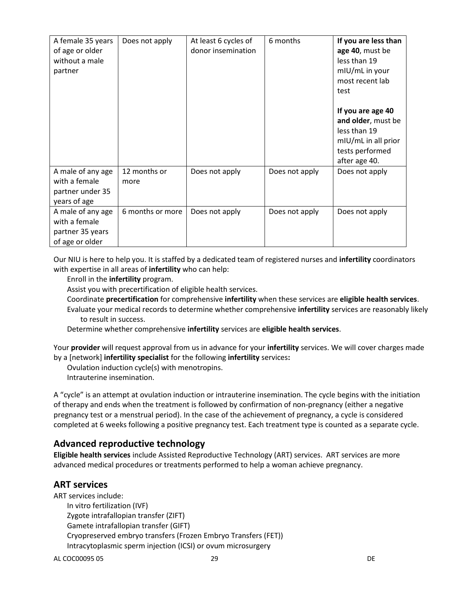| A female 35 years<br>of age or older<br>without a male<br>partner         | Does not apply       | At least 6 cycles of<br>donor insemination | 6 months       | If you are less than<br>age 40, must be<br>less than 19<br>mIU/mL in your<br>most recent lab<br>test<br>If you are age 40<br>and older, must be<br>less than 19<br>mIU/mL in all prior<br>tests performed<br>after age 40. |
|---------------------------------------------------------------------------|----------------------|--------------------------------------------|----------------|----------------------------------------------------------------------------------------------------------------------------------------------------------------------------------------------------------------------------|
| A male of any age<br>with a female<br>partner under 35<br>years of age    | 12 months or<br>more | Does not apply                             | Does not apply | Does not apply                                                                                                                                                                                                             |
| A male of any age<br>with a female<br>partner 35 years<br>of age or older | 6 months or more     | Does not apply                             | Does not apply | Does not apply                                                                                                                                                                                                             |

Our NIU is here to help you. It is staffed by a dedicated team of registered nurses and **infertility** coordinators with expertise in all areas of **infertility** who can help:

Enroll in the **infertility** program.

Assist you with precertification of eligible health services.

Coordinate **precertification** for comprehensive **infertility** when these services are **eligible health services**.

Evaluate your medical records to determine whether comprehensive **infertility** services are reasonably likely to result in success.

Determine whether comprehensive **infertility** services are **eligible health services**.

Your **provider** will request approval from us in advance for your **infertility** services. We will cover charges made by a [network] **infertility specialist** for the following **infertility** services**:**

Ovulation induction cycle(s) with menotropins.

Intrauterine insemination.

A "cycle" is an attempt at ovulation induction or intrauterine insemination. The cycle begins with the initiation of therapy and ends when the treatment is followed by confirmation of non-pregnancy (either a negative pregnancy test or a menstrual period). In the case of the achievement of pregnancy, a cycle is considered completed at 6 weeks following a positive pregnancy test. Each treatment type is counted as a separate cycle.

# **Advanced reproductive technology**

**Eligible health services** include Assisted Reproductive Technology (ART) services. ART services are more advanced medical procedures or treatments performed to help a woman achieve pregnancy.

# **ART services**

ART services include: In vitro fertilization (IVF) Zygote intrafallopian transfer (ZIFT) Gamete intrafallopian transfer (GIFT) Cryopreserved embryo transfers (Frozen Embryo Transfers (FET)) Intracytoplasmic sperm injection (ICSI) or ovum microsurgery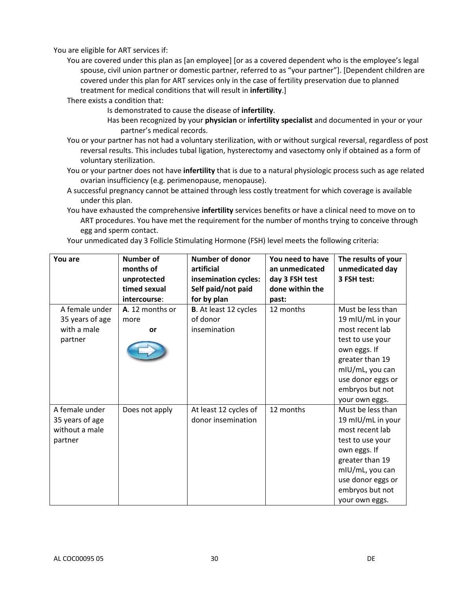You are eligible for ART services if:

You are covered under this plan as [an employee] [or as a covered dependent who is the employee's legal spouse, civil union partner or domestic partner, referred to as "your partner"]. [Dependent children are covered under this plan for ART services only in the case of fertility preservation due to planned treatment for medical conditions that will result in **infertility**.]

There exists a condition that:

- Is demonstrated to cause the disease of **infertility**.
- Has been recognized by your **physician** or **infertility specialist** and documented in your or your partner's medical records.
- You or your partner has not had a voluntary sterilization, with or without surgical reversal, regardless of post reversal results. This includes tubal ligation, hysterectomy and vasectomy only if obtained as a form of voluntary sterilization.
- You or your partner does not have **infertility** that is due to a natural physiologic process such as age related ovarian insufficiency (e.g. perimenopause, menopause).
- A successful pregnancy cannot be attained through less costly treatment for which coverage is available under this plan.
- You have exhausted the comprehensive **infertility** services benefits or have a clinical need to move on to ART procedures. You have met the requirement for the number of months trying to conceive through egg and sperm contact.

| You are         | <b>Number of</b><br>months of | <b>Number of donor</b><br>artificial | You need to have<br>an unmedicated | The results of your<br>unmedicated day |
|-----------------|-------------------------------|--------------------------------------|------------------------------------|----------------------------------------|
|                 | unprotected                   | insemination cycles:                 | day 3 FSH test                     | 3 FSH test:                            |
|                 | timed sexual                  | Self paid/not paid                   | done within the                    |                                        |
|                 | intercourse:                  | for by plan                          | past:                              |                                        |
| A female under  | A. 12 months or               | <b>B.</b> At least 12 cycles         | 12 months                          | Must be less than                      |
| 35 years of age | more                          | of donor                             |                                    | 19 mIU/mL in your                      |
| with a male     | or                            | insemination                         |                                    | most recent lab                        |
| partner         |                               |                                      |                                    | test to use your                       |
|                 |                               |                                      |                                    | own eggs. If                           |
|                 |                               |                                      |                                    | greater than 19                        |
|                 |                               |                                      |                                    | mIU/mL, you can                        |
|                 |                               |                                      |                                    | use donor eggs or                      |
|                 |                               |                                      |                                    | embryos but not                        |
|                 |                               |                                      |                                    | your own eggs.                         |
| A female under  | Does not apply                | At least 12 cycles of                | 12 months                          | Must be less than                      |
| 35 years of age |                               | donor insemination                   |                                    | 19 mIU/mL in your                      |
| without a male  |                               |                                      |                                    | most recent lab                        |
| partner         |                               |                                      |                                    | test to use your                       |
|                 |                               |                                      |                                    | own eggs. If                           |
|                 |                               |                                      |                                    | greater than 19                        |
|                 |                               |                                      |                                    | mIU/mL, you can                        |
|                 |                               |                                      |                                    | use donor eggs or                      |
|                 |                               |                                      |                                    | embryos but not                        |
|                 |                               |                                      |                                    | your own eggs.                         |

Your unmedicated day 3 Follicle Stimulating Hormone (FSH) level meets the following criteria: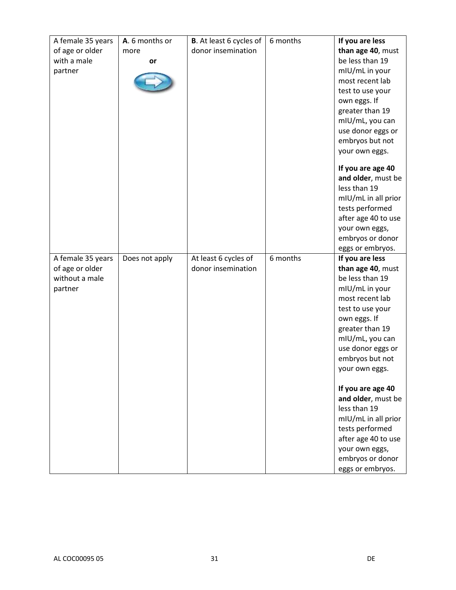| A female 35 years | A. 6 months or | <b>B</b> . At least 6 cycles of | 6 months | If you are less                    |
|-------------------|----------------|---------------------------------|----------|------------------------------------|
| of age or older   | more           | donor insemination              |          | than age 40, must                  |
| with a male       | or             |                                 |          | be less than 19                    |
| partner           |                |                                 |          | mIU/mL in your                     |
|                   |                |                                 |          | most recent lab                    |
|                   |                |                                 |          | test to use your                   |
|                   |                |                                 |          | own eggs. If                       |
|                   |                |                                 |          | greater than 19                    |
|                   |                |                                 |          | mIU/mL, you can                    |
|                   |                |                                 |          | use donor eggs or                  |
|                   |                |                                 |          | embryos but not                    |
|                   |                |                                 |          | your own eggs.                     |
|                   |                |                                 |          |                                    |
|                   |                |                                 |          | If you are age 40                  |
|                   |                |                                 |          | and older, must be                 |
|                   |                |                                 |          | less than 19                       |
|                   |                |                                 |          | mIU/mL in all prior                |
|                   |                |                                 |          | tests performed                    |
|                   |                |                                 |          | after age 40 to use                |
|                   |                |                                 |          | your own eggs,                     |
|                   |                |                                 |          | embryos or donor                   |
|                   |                |                                 |          | eggs or embryos.                   |
| A female 35 years | Does not apply | At least 6 cycles of            | 6 months |                                    |
|                   |                |                                 |          | If you are less                    |
| of age or older   |                | donor insemination              |          | than age 40, must                  |
| without a male    |                |                                 |          | be less than 19                    |
| partner           |                |                                 |          | mIU/mL in your                     |
|                   |                |                                 |          | most recent lab                    |
|                   |                |                                 |          | test to use your                   |
|                   |                |                                 |          | own eggs. If                       |
|                   |                |                                 |          | greater than 19                    |
|                   |                |                                 |          | mIU/mL, you can                    |
|                   |                |                                 |          | use donor eggs or                  |
|                   |                |                                 |          | embryos but not                    |
|                   |                |                                 |          | your own eggs.                     |
|                   |                |                                 |          |                                    |
|                   |                |                                 |          | If you are age 40                  |
|                   |                |                                 |          | and older, must be                 |
|                   |                |                                 |          | less than 19                       |
|                   |                |                                 |          | mIU/mL in all prior                |
|                   |                |                                 |          | tests performed                    |
|                   |                |                                 |          | after age 40 to use                |
|                   |                |                                 |          | your own eggs,<br>embryos or donor |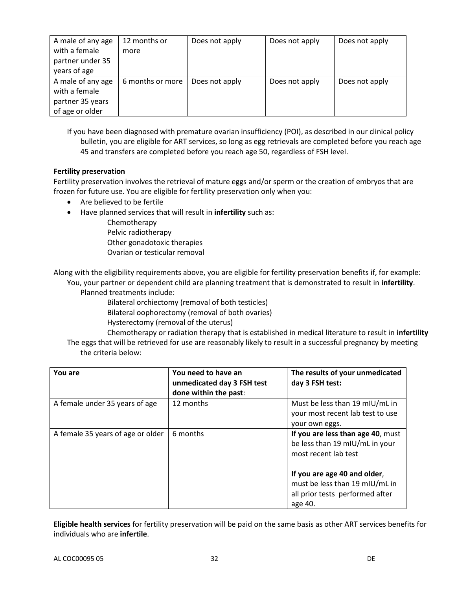| A male of any age<br>with a female<br>partner under 35<br>years of age    | 12 months or<br>more | Does not apply | Does not apply | Does not apply |
|---------------------------------------------------------------------------|----------------------|----------------|----------------|----------------|
| A male of any age<br>with a female<br>partner 35 years<br>of age or older | 6 months or more     | Does not apply | Does not apply | Does not apply |

If you have been diagnosed with premature ovarian insufficiency (POI), as described in our clinical policy bulletin, you are eligible for ART services, so long as egg retrievals are completed before you reach age 45 and transfers are completed before you reach age 50, regardless of FSH level.

#### **Fertility preservation**

Fertility preservation involves the retrieval of mature eggs and/or sperm or the creation of embryos that are frozen for future use. You are eligible for fertility preservation only when you:

- Are believed to be fertile
- Have planned services that will result in **infertility** such as:
	- Chemotherapy Pelvic radiotherapy Other gonadotoxic therapies Ovarian or testicular removal

Along with the eligibility requirements above, you are eligible for fertility preservation benefits if, for example: You, your partner or dependent child are planning treatment that is demonstrated to result in **infertility**.

Planned treatments include:

Bilateral orchiectomy (removal of both testicles)

- Bilateral oophorectomy (removal of both ovaries)
- Hysterectomy (removal of the uterus)

Chemotherapy or radiation therapy that is established in medical literature to result in **infertility** The eggs that will be retrieved for use are reasonably likely to result in a successful pregnancy by meeting

| the criteria below: |  |
|---------------------|--|
|                     |  |

| You are                           | You need to have an<br>unmedicated day 3 FSH test<br>done within the past: | The results of your unmedicated<br>day 3 FSH test:                                                           |
|-----------------------------------|----------------------------------------------------------------------------|--------------------------------------------------------------------------------------------------------------|
| A female under 35 years of age    | 12 months                                                                  | Must be less than 19 mIU/mL in<br>your most recent lab test to use<br>your own eggs.                         |
| A female 35 years of age or older | 6 months                                                                   | If you are less than age 40, must<br>be less than 19 mIU/mL in your<br>most recent lab test                  |
|                                   |                                                                            | If you are age 40 and older,<br>must be less than 19 mIU/mL in<br>all prior tests performed after<br>age 40. |

**Eligible health services** for fertility preservation will be paid on the same basis as other ART services benefits for individuals who are **infertile**.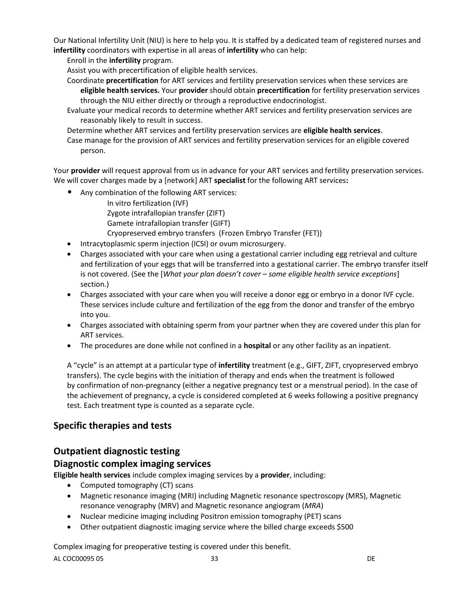Our National Infertility Unit (NIU) is here to help you. It is staffed by a dedicated team of registered nurses and **infertility** coordinators with expertise in all areas of **infertility** who can help:

Enroll in the **infertility** program.

Assist you with precertification of eligible health services.

- Coordinate **precertification** for ART services and fertility preservation services when these services are **eligible health services.** Your **provider** should obtain **precertification** for fertility preservation services through the NIU either directly or through a reproductive endocrinologist.
- Evaluate your medical records to determine whether ART services and fertility preservation services are reasonably likely to result in success.

Determine whether ART services and fertility preservation services are **eligible health services**.

Case manage for the provision of ART services and fertility preservation services for an eligible covered person.

Your **provider** will request approval from us in advance for your ART services and fertility preservation services. We will cover charges made by a [network] ART **specialist** for the following ART services**:** 

• Any combination of the following ART services:

In vitro fertilization (IVF) Zygote intrafallopian transfer (ZIFT) Gamete intrafallopian transfer (GIFT) Cryopreserved embryo transfers (Frozen Embryo Transfer (FET))

- Intracytoplasmic sperm injection (ICSI) or ovum microsurgery.
- Charges associated with your care when using a gestational carrier including egg retrieval and culture and fertilization of your eggs that will be transferred into a gestational carrier. The embryo transfer itself is not covered. (See the [*What your plan doesn't cover – some eligible health service exceptions*] section.)
- Charges associated with your care when you will receive a donor egg or embryo in a donor IVF cycle. These services include culture and fertilization of the egg from the donor and transfer of the embryo into you.
- Charges associated with obtaining sperm from your partner when they are covered under this plan for ART services.
- The procedures are done while not confined in a **hospital** or any other facility as an inpatient.

A "cycle" is an attempt at a particular type of **infertility** treatment (e.g., GIFT, ZIFT, cryopreserved embryo transfers). The cycle begins with the initiation of therapy and ends when the treatment is followed by confirmation of non-pregnancy (either a negative pregnancy test or a menstrual period). In the case of the achievement of pregnancy, a cycle is considered completed at 6 weeks following a positive pregnancy test. Each treatment type is counted as a separate cycle.

# **Specific therapies and tests**

# **Outpatient diagnostic testing**

# **Diagnostic complex imaging services**

**Eligible health services** include complex imaging services by a **provider**, including:

- Computed tomography (CT) scans
- Magnetic resonance imaging (MRI) including Magnetic resonance spectroscopy (MRS), Magnetic resonance venography (MRV) and Magnetic resonance angiogram (*MRA*)
- Nuclear medicine imaging including Positron emission tomography (PET) scans
- Other outpatient diagnostic imaging service where the billed charge exceeds \$500

Complex imaging for preoperative testing is covered under this benefit.

AL COC00095 05 DE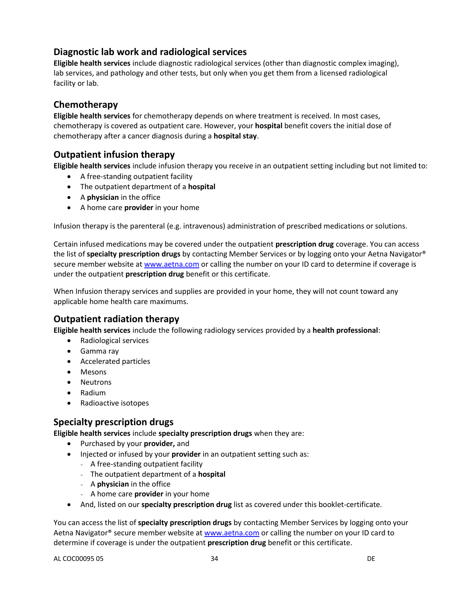# **Diagnostic lab work and radiological services**

**Eligible health services** include diagnostic radiological services (other than diagnostic complex imaging), lab services, and pathology and other tests, but only when you get them from a licensed radiological facility or lab.

# **Chemotherapy**

**Eligible health services** for chemotherapy depends on where treatment is received. In most cases, chemotherapy is covered as outpatient care. However, your **hospital** benefit covers the initial dose of chemotherapy after a cancer diagnosis during a **hospital stay**.

# **Outpatient infusion therapy**

**Eligible health services** include infusion therapy you receive in an outpatient setting including but not limited to:

- A free-standing outpatient facility
- The outpatient department of a **hospital**
- A **physician** in the office
- A home care **provider** in your home

Infusion therapy is the parenteral (e.g. intravenous) administration of prescribed medications or solutions.

Certain infused medications may be covered under the outpatient **prescription drug** coverage. You can access the list of **specialty prescription drugs** by contacting Member Services or by logging onto your Aetna Navigator® secure member website a[t www.aetna.com](http://www.aetna.com/) or calling the number on your ID card to determine if coverage is under the outpatient **prescription drug** benefit or this certificate.

When Infusion therapy services and supplies are provided in your home, they will not count toward any applicable home health care maximums.

# **Outpatient radiation therapy**

**Eligible health services** include the following radiology services provided by a **health professional**:

- Radiological services
- Gamma ray
- Accelerated particles
- Mesons
- Neutrons
- Radium
- Radioactive isotopes

# **Specialty prescription drugs**

**Eligible health services** include **specialty prescription drugs** when they are:

- Purchased by your **provider,** and
- Injected or infused by your **provider** in an outpatient setting such as:
	- A free-standing outpatient facility
		- The outpatient department of a **hospital**
		- A **physician** in the office
		- A home care **provider** in your home
- And, listed on our **specialty prescription drug** list as covered under this booklet-certificate.

You can access the list of **specialty prescription drugs** by contacting Member Services by logging onto your Aetna Navigator® secure member website a[t www.aetna.com](http://www.aetna.com/) or calling the number on your ID card to determine if coverage is under the outpatient **prescription drug** benefit or this certificate.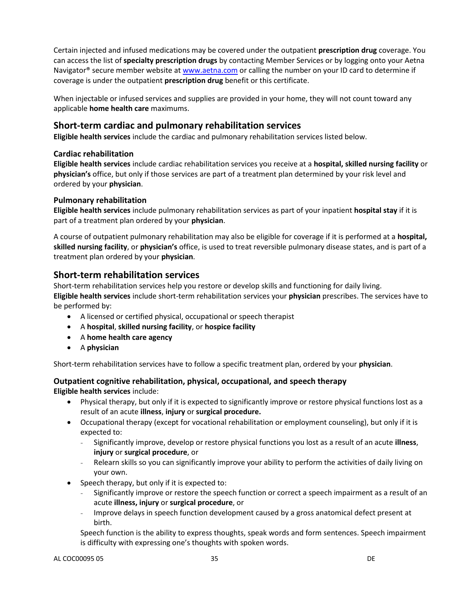Certain injected and infused medications may be covered under the outpatient **prescription drug** coverage. You can access the list of **specialty prescription drugs** by contacting Member Services or by logging onto your Aetna Navigator® secure member website at [www.aetna.com](http://www.aetna.com/) or calling the number on your ID card to determine if coverage is under the outpatient **prescription drug** benefit or this certificate.

When injectable or infused services and supplies are provided in your home, they will not count toward any applicable **home health care** maximums.

# **Short-term cardiac and pulmonary rehabilitation services**

**Eligible health services** include the cardiac and pulmonary rehabilitation services listed below.

#### **Cardiac rehabilitation**

**Eligible health services** include cardiac rehabilitation services you receive at a **hospital, skilled nursing facility** or **physician's** office, but only if those services are part of a treatment plan determined by your risk level and ordered by your **physician**.

#### **Pulmonary rehabilitation**

**Eligible health services** include pulmonary rehabilitation services as part of your inpatient **hospital stay** if it is part of a treatment plan ordered by your **physician**.

A course of outpatient pulmonary rehabilitation may also be eligible for coverage if it is performed at a **hospital, skilled nursing facility**, or **physician's** office, is used to treat reversible pulmonary disease states, and is part of a treatment plan ordered by your **physician**.

# **Short-term rehabilitation services**

Short-term rehabilitation services help you restore or develop skills and functioning for daily living. **Eligible health services** include short-term rehabilitation services your **physician** prescribes. The services have to be performed by:

- A licensed or certified physical, occupational or speech therapist
- A **hospital**, **skilled nursing facility**, or **hospice facility**
- A **home health care agency**
- A **physician**

Short-term rehabilitation services have to follow a specific treatment plan, ordered by your **physician**.

#### **Outpatient cognitive rehabilitation, physical, occupational, and speech therapy Eligible health services** include:

- Physical therapy, but only if it is expected to significantly improve or restore physical functions lost as a result of an acute **illness**, **injury** or **surgical procedure.**
- Occupational therapy (except for vocational rehabilitation or employment counseling), but only if it is expected to:
	- Significantly improve, develop or restore physical functions you lost as a result of an acute **illness**, **injury** or **surgical procedure**, or
	- Relearn skills so you can significantly improve your ability to perform the activities of daily living on your own.
- Speech therapy, but only if it is expected to:
	- Significantly improve or restore the speech function or correct a speech impairment as a result of an acute **illness, injury** or **surgical procedure**, or
	- Improve delays in speech function development caused by a gross anatomical defect present at birth.

Speech function is the ability to express thoughts, speak words and form sentences. Speech impairment is difficulty with expressing one's thoughts with spoken words.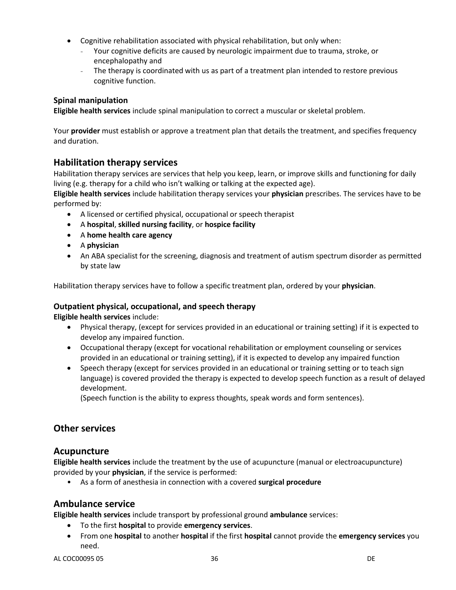- Cognitive rehabilitation associated with physical rehabilitation, but only when:
	- Your cognitive deficits are caused by neurologic impairment due to trauma, stroke, or encephalopathy and
	- The therapy is coordinated with us as part of a treatment plan intended to restore previous cognitive function.

#### **Spinal manipulation**

**Eligible health services** include spinal manipulation to correct a muscular or skeletal problem.

Your **provider** must establish or approve a treatment plan that details the treatment, and specifies frequency and duration.

# **Habilitation therapy services**

Habilitation therapy services are services that help you keep, learn, or improve skills and functioning for daily living (e.g. therapy for a child who isn't walking or talking at the expected age).

**Eligible health services** include habilitation therapy services your **physician** prescribes. The services have to be performed by:

- A licensed or certified physical, occupational or speech therapist
- A **hospital**, **skilled nursing facility**, or **hospice facility**
- A **home health care agency**
- A **physician**
- An ABA specialist for the screening, diagnosis and treatment of autism spectrum disorder as permitted by state law

Habilitation therapy services have to follow a specific treatment plan, ordered by your **physician**.

#### **Outpatient physical, occupational, and speech therapy**

**Eligible health services** include:

- Physical therapy, (except for services provided in an educational or training setting) if it is expected to develop any impaired function.
- Occupational therapy (except for vocational rehabilitation or employment counseling or services provided in an educational or training setting), if it is expected to develop any impaired function
- Speech therapy (except for services provided in an educational or training setting or to teach sign language) is covered provided the therapy is expected to develop speech function as a result of delayed development.

(Speech function is the ability to express thoughts, speak words and form sentences).

# **Other services**

# **Acupuncture**

**Eligible health services** include the treatment by the use of acupuncture (manual or electroacupuncture) provided by your **physician**, if the service is performed:

• As a form of anesthesia in connection with a covered **surgical procedure**

# **Ambulance service**

**Eligible health services** include transport by professional ground **ambulance** services:

- To the first **hospital** to provide **emergency services**.
- From one **hospital** to another **hospital** if the first **hospital** cannot provide the **emergency services** you need.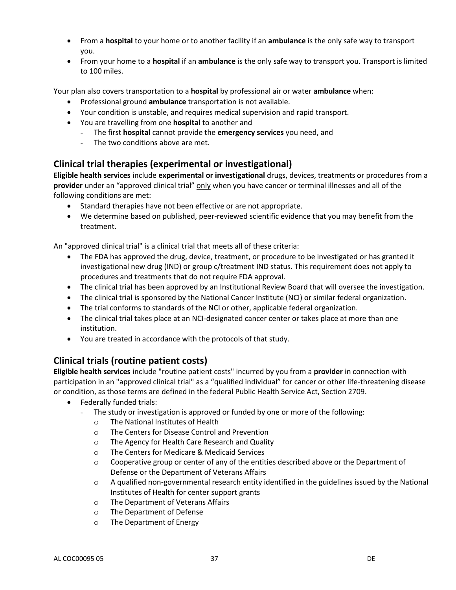- From a **hospital** to your home or to another facility if an **ambulance** is the only safe way to transport you.
- From your home to a **hospital** if an **ambulance** is the only safe way to transport you. Transport is limited to 100 miles.

Your plan also covers transportation to a **hospital** by professional air or water **ambulance** when:

- Professional ground **ambulance** transportation is not available.
- Your condition is unstable, and requires medical supervision and rapid transport.
- You are travelling from one **hospital** to another and
	- The first **hospital** cannot provide the **emergency services** you need, and
	- The two conditions above are met.

# **Clinical trial therapies (experimental or investigational)**

**Eligible health services** include **experimental or investigational** drugs, devices, treatments or procedures from a **provider** under an "approved clinical trial" only when you have cancer or terminal illnesses and all of the following conditions are met:

- Standard therapies have not been effective or are not appropriate.
- We determine based on published, peer-reviewed scientific evidence that you may benefit from the treatment.

An "approved clinical trial" is a clinical trial that meets all of these criteria:

- The FDA has approved the drug, device, treatment, or procedure to be investigated or has granted it investigational new drug (IND) or group c/treatment IND status. This requirement does not apply to procedures and treatments that do not require FDA approval.
- The clinical trial has been approved by an Institutional Review Board that will oversee the investigation.
- The clinical trial is sponsored by the National Cancer Institute (NCI) or similar federal organization.
- The trial conforms to standards of the NCI or other, applicable federal organization.
- The clinical trial takes place at an NCI-designated cancer center or takes place at more than one institution.
- You are treated in accordance with the protocols of that study.

# **Clinical trials (routine patient costs)**

**Eligible health services** include "routine patient costs" incurred by you from a **provider** in connection with participation in an "approved clinical trial" as a "qualified individual" for cancer or other life-threatening disease or condition, as those terms are defined in the federal Public Health Service Act, Section 2709.

- Federally funded trials:
	- The study or investigation is approved or funded by one or more of the following:
		- o The National Institutes of Health
		- o The Centers for Disease Control and Prevention
		- o The Agency for Health Care Research and Quality
		- o The Centers for Medicare & Medicaid Services
		- o Cooperative group or center of any of the entities described above or the Department of Defense or the Department of Veterans Affairs
		- o A qualified non-governmental research entity identified in the guidelines issued by the National Institutes of Health for center support grants
		- o The Department of Veterans Affairs
		- o The Department of Defense
		- o The Department of Energy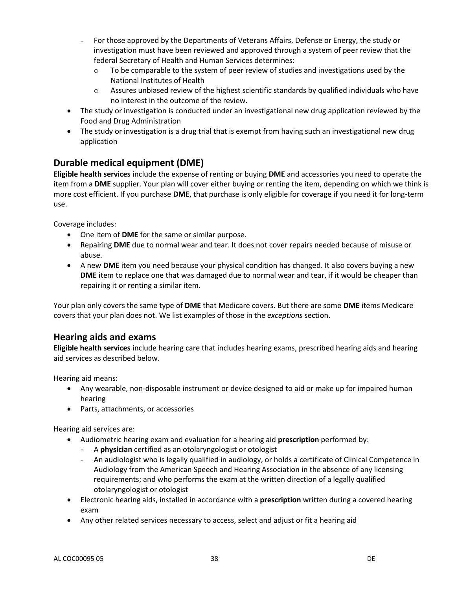- For those approved by the Departments of Veterans Affairs, Defense or Energy, the study or investigation must have been reviewed and approved through a system of peer review that the federal Secretary of Health and Human Services determines:
	- $\circ$  To be comparable to the system of peer review of studies and investigations used by the National Institutes of Health
	- $\circ$  Assures unbiased review of the highest scientific standards by qualified individuals who have no interest in the outcome of the review.
- The study or investigation is conducted under an investigational new drug application reviewed by the Food and Drug Administration
- The study or investigation is a drug trial that is exempt from having such an investigational new drug application

# **Durable medical equipment (DME)**

**Eligible health services** include the expense of renting or buying **DME** and accessories you need to operate the item from a **DME** supplier. Your plan will cover either buying or renting the item, depending on which we think is more cost efficient. If you purchase **DME**, that purchase is only eligible for coverage if you need it for long-term use.

Coverage includes:

- One item of **DME** for the same or similar purpose.
- Repairing **DME** due to normal wear and tear. It does not cover repairs needed because of misuse or abuse.
- A new **DME** item you need because your physical condition has changed. It also covers buying a new **DME** item to replace one that was damaged due to normal wear and tear, if it would be cheaper than repairing it or renting a similar item.

Your plan only covers the same type of **DME** that Medicare covers. But there are some **DME** items Medicare covers that your plan does not. We list examples of those in the *exceptions* section.

# **Hearing aids and exams**

**Eligible health services** include hearing care that includes hearing exams, prescribed hearing aids and hearing aid services as described below.

Hearing aid means:

- Any wearable, non-disposable instrument or device designed to aid or make up for impaired human hearing
- Parts, attachments, or accessories

Hearing aid services are:

- Audiometric hearing exam and evaluation for a hearing aid **prescription** performed by:
	- A **physician** certified as an otolaryngologist or otologist
	- An audiologist who is legally qualified in audiology, or holds a certificate of Clinical Competence in Audiology from the American Speech and Hearing Association in the absence of any licensing requirements; and who performs the exam at the written direction of a legally qualified otolaryngologist or otologist
- Electronic hearing aids, installed in accordance with a **prescription** written during a covered hearing exam
- Any other related services necessary to access, select and adjust or fit a hearing aid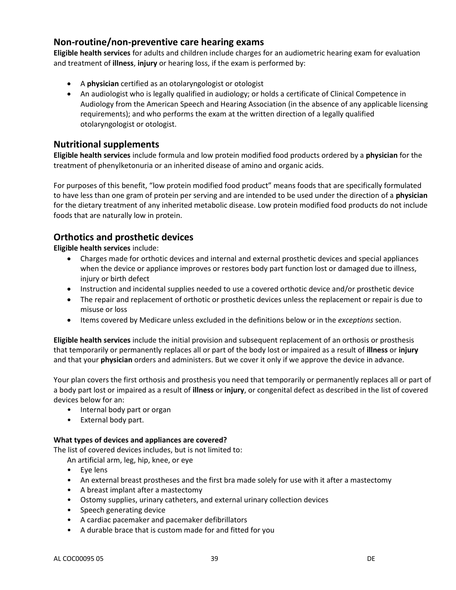# **Non-routine/non-preventive care hearing exams**

**Eligible health services** for adults and children include charges for an audiometric hearing exam for evaluation and treatment of **illness**, **injury** or hearing loss, if the exam is performed by:

- A **physician** certified as an otolaryngologist or otologist
- An audiologist who is legally qualified in audiology; or holds a certificate of Clinical Competence in Audiology from the American Speech and Hearing Association (in the absence of any applicable licensing requirements); and who performs the exam at the written direction of a legally qualified otolaryngologist or otologist.

# **Nutritional supplements**

**Eligible health services** include formula and low protein modified food products ordered by a **physician** for the treatment of phenylketonuria or an inherited disease of amino and organic acids.

For purposes of this benefit, "low protein modified food product" means foods that are specifically formulated to have less than one gram of protein per serving and are intended to be used under the direction of a **physician**  for the dietary treatment of any inherited metabolic disease. Low protein modified food products do not include foods that are naturally low in protein.

# **Orthotics and prosthetic devices**

**Eligible health services** include:

- Charges made for orthotic devices and internal and external prosthetic devices and special appliances when the device or appliance improves or restores body part function lost or damaged due to illness, injury or birth defect
- Instruction and incidental supplies needed to use a covered orthotic device and/or prosthetic device
- The repair and replacement of orthotic or prosthetic devices unless the replacement or repair is due to misuse or loss
- Items covered by Medicare unless excluded in the definitions below or in the *exceptions* section.

**Eligible health services** include the initial provision and subsequent replacement of an orthosis or prosthesis that temporarily or permanently replaces all or part of the body lost or impaired as a result of **illness** or **injury**  and that your **physician** orders and administers. But we cover it only if we approve the device in advance.

Your plan covers the first orthosis and prosthesis you need that temporarily or permanently replaces all or part of a body part lost or impaired as a result of **illness** or **injury**, or congenital defect as described in the list of covered devices below for an:

- Internal body part or organ
- External body part.

#### **What types of devices and appliances are covered?**

The list of covered devices includes, but is not limited to:

An artificial arm, leg, hip, knee, or eye

- Eye lens
- An external breast prostheses and the first bra made solely for use with it after a mastectomy
- A breast implant after a mastectomy
- Ostomy supplies, urinary catheters, and external urinary collection devices
- Speech generating device
- A cardiac pacemaker and pacemaker defibrillators
- A durable brace that is custom made for and fitted for you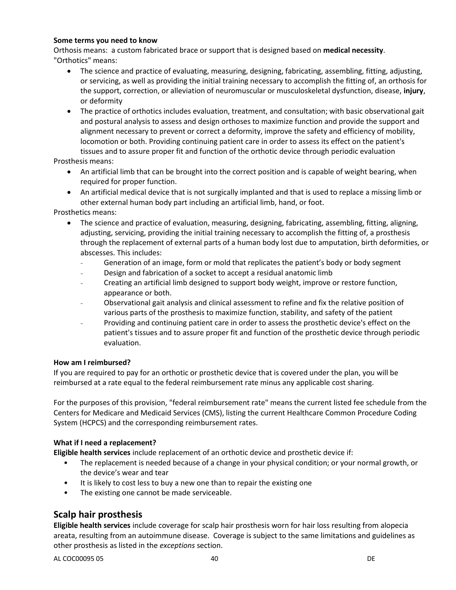#### **Some terms you need to know**

Orthosis means: a custom fabricated brace or support that is designed based on **medical necessity**. "Orthotics" means:

- The science and practice of evaluating, measuring, designing, fabricating, assembling, fitting, adjusting, or servicing, as well as providing the initial training necessary to accomplish the fitting of, an orthosis for the support, correction, or alleviation of neuromuscular or musculoskeletal dysfunction, disease, **injury**, or deformity
- The practice of orthotics includes evaluation, treatment, and consultation; with basic observational gait and postural analysis to assess and design orthoses to maximize function and provide the support and alignment necessary to prevent or correct a deformity, improve the safety and efficiency of mobility, locomotion or both. Providing continuing patient care in order to assess its effect on the patient's tissues and to assure proper fit and function of the orthotic device through periodic evaluation

Prosthesis means:

- An artificial limb that can be brought into the correct position and is capable of weight bearing, when required for proper function.
- An artificial medical device that is not surgically implanted and that is used to replace a missing limb or other external human body part including an artificial limb, hand, or foot.

Prosthetics means:

- The science and practice of evaluation, measuring, designing, fabricating, assembling, fitting, aligning, adjusting, servicing, providing the initial training necessary to accomplish the fitting of, a prosthesis through the replacement of external parts of a human body lost due to amputation, birth deformities, or abscesses. This includes:
	- Generation of an image, form or mold that replicates the patient's body or body segment
	- Design and fabrication of a socket to accept a residual anatomic limb
	- Creating an artificial limb designed to support body weight, improve or restore function, appearance or both.
	- Observational gait analysis and clinical assessment to refine and fix the relative position of various parts of the prosthesis to maximize function, stability, and safety of the patient
	- Providing and continuing patient care in order to assess the prosthetic device's effect on the patient's tissues and to assure proper fit and function of the prosthetic device through periodic evaluation.

#### **How am I reimbursed?**

If you are required to pay for an orthotic or prosthetic device that is covered under the plan, you will be reimbursed at a rate equal to the federal reimbursement rate minus any applicable cost sharing.

For the purposes of this provision, "federal reimbursement rate" means the current listed fee schedule from the Centers for Medicare and Medicaid Services (CMS), listing the current Healthcare Common Procedure Coding System (HCPCS) and the corresponding reimbursement rates.

#### **What if I need a replacement?**

**Eligible health services** include replacement of an orthotic device and prosthetic device if:

- The replacement is needed because of a change in your physical condition; or your normal growth, or the device's wear and tear
- It is likely to cost less to buy a new one than to repair the existing one
- The existing one cannot be made serviceable.

# **Scalp hair prosthesis**

**Eligible health services** include coverage for scalp hair prosthesis worn for hair loss resulting from alopecia areata, resulting from an autoimmune disease. Coverage is subject to the same limitations and guidelines as other prosthesis as listed in the *exceptions* section.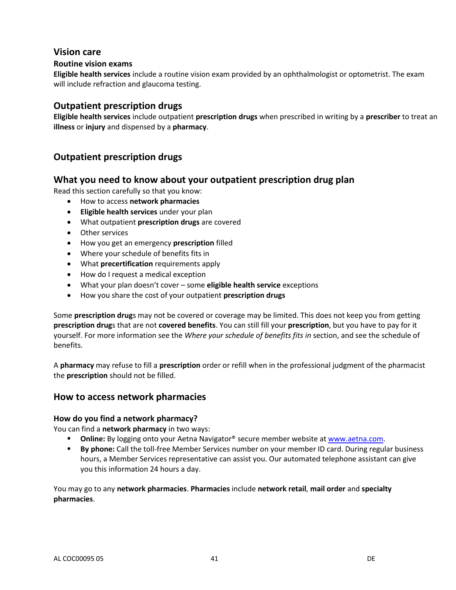# **Vision care**

### **Routine vision exams**

**Eligible health services** include a routine vision exam provided by an ophthalmologist or optometrist. The exam will include refraction and glaucoma testing.

## **Outpatient prescription drugs**

**Eligible health services** include outpatient **prescription drugs** when prescribed in writing by a **prescriber** to treat an **illness** or **injury** and dispensed by a **pharmacy**.

# **Outpatient prescription drugs**

# **What you need to know about your outpatient prescription drug plan**

Read this section carefully so that you know:

- How to access **network pharmacies**
- **Eligible health services** under your plan
- What outpatient **prescription drugs** are covered
- Other services
- How you get an emergency **prescription** filled
- Where your schedule of benefits fits in
- What **precertification** requirements apply
- How do I request a medical exception
- What your plan doesn't cover some **eligible health service** exceptions
- How you share the cost of your outpatient **prescription drugs**

Some **prescription drug**s may not be covered or coverage may be limited. This does not keep you from getting **prescription drug**s that are not **covered benefits**. You can still fill your **prescription**, but you have to pay for it yourself. For more information see the *Where your schedule of benefits fits in* section, and see the schedule of benefits.

A **pharmacy** may refuse to fill a **prescription** order or refill when in the professional judgment of the pharmacist the **prescription** should not be filled.

### **How to access network pharmacies**

#### **How do you find a network pharmacy?**

You can find a **network pharmacy** in two ways:

- **Online:** By logging onto your Aetna Navigator<sup>®</sup> secure member website a[t www.aetna.com.](http://www.aetna.com/)
- **By phone:** Call the toll-free Member Services number on your member ID card. During regular business hours, a Member Services representative can assist you. Our automated telephone assistant can give you this information 24 hours a day.

You may go to any **network pharmacies**. **Pharmacies** include **network retail**, **mail order** and **specialty pharmacies**.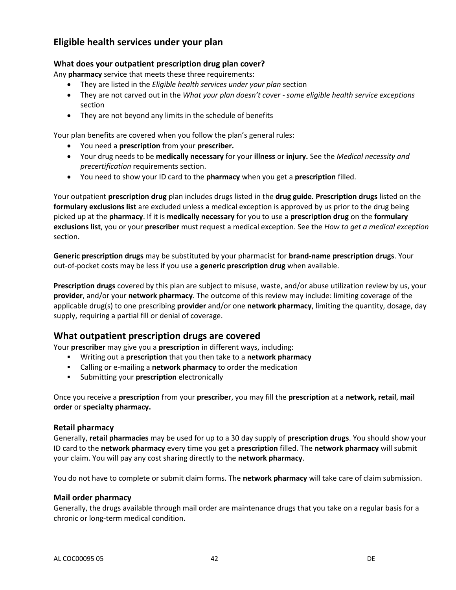# **Eligible health services under your plan**

### **What does your outpatient prescription drug plan cover?**

Any **pharmacy** service that meets these three requirements:

- They are listed in the *Eligible health services under your plan* section
- They are not carved out in the *What your plan doesn't cover - some eligible health service exceptions* section
- They are not beyond any limits in the schedule of benefits

Your plan benefits are covered when you follow the plan's general rules:

- You need a **prescription** from your **prescriber.**
- Your drug needs to be **medically necessary** for your **illness** or **injury.** See the *Medical necessity and precertification* requirements section.
- You need to show your ID card to the **pharmacy** when you get a **prescription** filled.

Your outpatient **prescription drug** plan includes drugs listed in the **drug guide. Prescription drugs** listed on the **formulary exclusions list** are excluded unless a medical exception is approved by us prior to the drug being picked up at the **pharmacy**. If it is **medically necessary** for you to use a **prescription drug** on the **formulary exclusions list**, you or your **prescriber** must request a medical exception. See the *How to get a medical exception* section.

**Generic prescription drugs** may be substituted by your pharmacist for **brand-name prescription drugs**. Your out-of-pocket costs may be less if you use a **generic prescription drug** when available.

**Prescription drugs** covered by this plan are subject to misuse, waste, and/or abuse utilization review by us, your **provider**, and/or your **network pharmacy**. The outcome of this review may include: limiting coverage of the applicable drug(s) to one prescribing **provider** and/or one **network pharmacy**, limiting the quantity, dosage, day supply, requiring a partial fill or denial of coverage.

# **What outpatient prescription drugs are covered**

Your **prescriber** may give you a **prescription** in different ways, including:

- Writing out a **prescription** that you then take to a **network pharmacy**
- Calling or e-mailing a **network pharmacy** to order the medication
- Submitting your **prescription** electronically

Once you receive a **prescription** from your **prescriber**, you may fill the **prescription** at a **network, retail**, **mail order** or **specialty pharmacy.**

#### **Retail pharmacy**

Generally, **retail pharmacies** may be used for up to a 30 day supply of **prescription drugs**. You should show your ID card to the **network pharmacy** every time you get a **prescription** filled. The **network pharmacy** will submit your claim. You will pay any cost sharing directly to the **network pharmacy**.

You do not have to complete or submit claim forms. The **network pharmacy** will take care of claim submission.

#### **Mail order pharmacy**

Generally, the drugs available through mail order are maintenance drugs that you take on a regular basis for a chronic or long-term medical condition.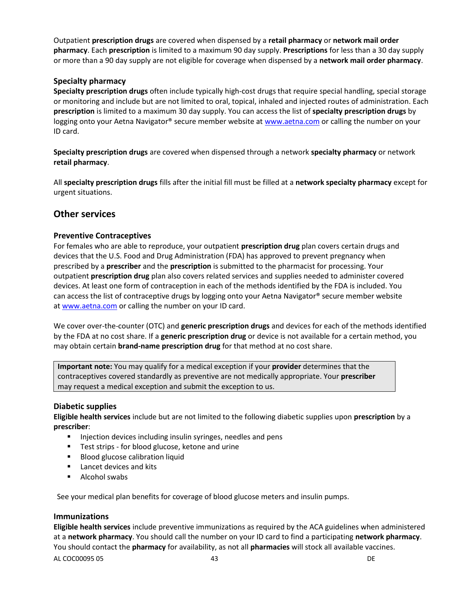Outpatient **prescription drugs** are covered when dispensed by a **retail pharmacy** or **network mail order pharmacy**. Each **prescription** is limited to a maximum 90 day supply. **Prescriptions** for less than a 30 day supply or more than a 90 day supply are not eligible for coverage when dispensed by a **network mail order pharmacy**.

### **Specialty pharmacy**

**Specialty prescription drugs** often include typically high-cost drugs that require special handling, special storage or monitoring and include but are not limited to oral, topical, inhaled and injected routes of administration. Each **prescription** is limited to a maximum 30 day supply. You can access the list of **specialty prescription drugs** by logging onto your Aetna Navigator® secure member website at [www.aetna.com](http://www.aetna.com/) or calling the number on your ID card.

**Specialty prescription drugs** are covered when dispensed through a network **specialty pharmacy** or network **retail pharmacy**.

All **specialty prescription drugs** fills after the initial fill must be filled at a **network specialty pharmacy** except for urgent situations.

### **Other services**

### **Preventive Contraceptives**

For females who are able to reproduce, your outpatient **prescription drug** plan covers certain drugs and devices that the U.S. Food and Drug Administration (FDA) has approved to prevent pregnancy when prescribed by a **prescriber** and the **prescription** is submitted to the pharmacist for processing. Your outpatient **prescription drug** plan also covers related services and supplies needed to administer covered devices. At least one form of contraception in each of the methods identified by the FDA is included. You can access the list of contraceptive drugs by logging onto your Aetna Navigator® secure member website a[t www.aetna.com](http://www.aetna.com/) or calling the number on your ID card.

We cover over-the-counter (OTC) and **generic prescription drugs** and devices for each of the methods identified by the FDA at no cost share. If a **generic prescription drug** or device is not available for a certain method, you may obtain certain **brand-name prescription drug** for that method at no cost share.

**Important note:** You may qualify for a medical exception if your **provider** determines that the contraceptives covered standardly as preventive are not medically appropriate. Your **prescriber** may request a medical exception and submit the exception to us.

#### **Diabetic supplies**

**Eligible health services** include but are not limited to the following diabetic supplies upon **prescription** by a **prescriber**:

- **Injection devices including insulin syringes, needles and pens**
- **Test strips for blood glucose, ketone and urine**
- **Blood glucose calibration liquid**
- **Lancet devices and kits**
- **Alcohol swabs**

See your medical plan benefits for coverage of blood glucose meters and insulin pumps.

#### **Immunizations**

**Eligible health services** include preventive immunizations as required by the ACA guidelines when administered at a **network pharmacy**. You should call the number on your ID card to find a participating **network pharmacy**. You should contact the **pharmacy** for availability, as not all **pharmacies** will stock all available vaccines.

AL COC00095 05 23 DE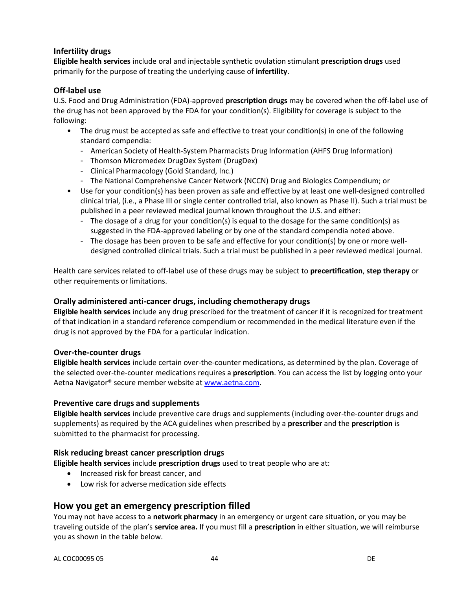### **Infertility drugs**

**Eligible health services** include oral and injectable synthetic ovulation stimulant **prescription drugs** used primarily for the purpose of treating the underlying cause of **infertility**.

### **Off-label use**

U.S. Food and Drug Administration (FDA)-approved **prescription drugs** may be covered when the off-label use of the drug has not been approved by the FDA for your condition(s). Eligibility for coverage is subject to the following:

- The drug must be accepted as safe and effective to treat your condition(s) in one of the following standard compendia:
	- American Society of Health-System Pharmacists Drug Information (AHFS Drug Information)
	- Thomson Micromedex DrugDex System (DrugDex)
	- Clinical Pharmacology (Gold Standard, Inc.)
	- The National Comprehensive Cancer Network (NCCN) Drug and Biologics Compendium; or
- Use for your condition(s) has been proven as safe and effective by at least one well-designed controlled clinical trial, (i.e., a Phase III or single center controlled trial, also known as Phase II). Such a trial must be published in a peer reviewed medical journal known throughout the U.S. and either:
	- The dosage of a drug for your condition(s) is equal to the dosage for the same condition(s) as suggested in the FDA-approved labeling or by one of the standard compendia noted above.
	- The dosage has been proven to be safe and effective for your condition(s) by one or more welldesigned controlled clinical trials. Such a trial must be published in a peer reviewed medical journal.

Health care services related to off-label use of these drugs may be subject to **precertification**, **step therapy** or other requirements or limitations.

### **Orally administered anti-cancer drugs, including chemotherapy drugs**

**Eligible health services** include any drug prescribed for the treatment of cancer if it is recognized for treatment of that indication in a standard reference compendium or recommended in the medical literature even if the drug is not approved by the FDA for a particular indication.

### **Over-the-counter drugs**

**Eligible health services** include certain over-the-counter medications, as determined by the plan. Coverage of the selected over-the-counter medications requires a **prescription**. You can access the list by logging onto your Aetna Navigator® secure member website a[t www.aetna.com.](http://www.aetna.com/)

### **Preventive care drugs and supplements**

**Eligible health services** include preventive care drugs and supplements (including over-the-counter drugs and supplements) as required by the ACA guidelines when prescribed by a **prescriber** and the **prescription** is submitted to the pharmacist for processing.

### **Risk reducing breast cancer prescription drugs**

**Eligible health services** include **prescription drugs** used to treat people who are at:

- Increased risk for breast cancer, and
- Low risk for adverse medication side effects

# **How you get an emergency prescription filled**

You may not have access to a **network pharmacy** in an emergency or urgent care situation, or you may be traveling outside of the plan's **service area.** If you must fill a **prescription** in either situation, we will reimburse you as shown in the table below.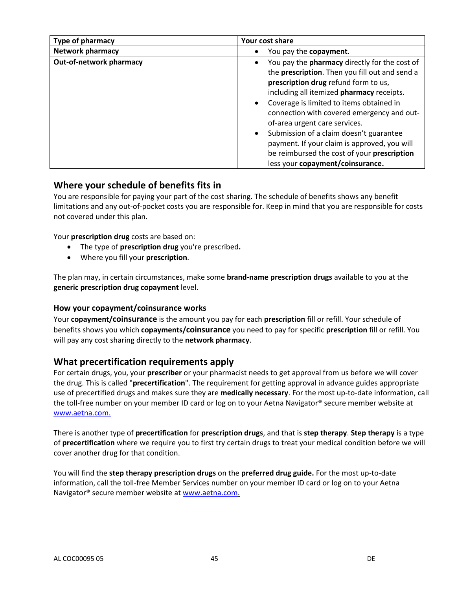| <b>Type of pharmacy</b>        | Your cost share                                                                                                                                                                                                                                                                                                                                                                                                                                                                                                                             |
|--------------------------------|---------------------------------------------------------------------------------------------------------------------------------------------------------------------------------------------------------------------------------------------------------------------------------------------------------------------------------------------------------------------------------------------------------------------------------------------------------------------------------------------------------------------------------------------|
| <b>Network pharmacy</b>        | You pay the copayment.                                                                                                                                                                                                                                                                                                                                                                                                                                                                                                                      |
| <b>Out-of-network pharmacy</b> | You pay the <b>pharmacy</b> directly for the cost of<br>$\bullet$<br>the prescription. Then you fill out and send a<br>prescription drug refund form to us,<br>including all itemized pharmacy receipts.<br>Coverage is limited to items obtained in<br>$\bullet$<br>connection with covered emergency and out-<br>of-area urgent care services.<br>Submission of a claim doesn't guarantee<br>$\bullet$<br>payment. If your claim is approved, you will<br>be reimbursed the cost of your prescription<br>less your copayment/coinsurance. |

# **Where your schedule of benefits fits in**

You are responsible for paying your part of the cost sharing. The schedule of benefits shows any benefit limitations and any out-of-pocket costs you are responsible for. Keep in mind that you are responsible for costs not covered under this plan.

Your **prescription drug** costs are based on:

- The type of **prescription drug** you're prescribed**.**
- Where you fill your **prescription**.

The plan may, in certain circumstances, make some **brand-name prescription drugs** available to you at the **generic prescription drug copayment** level.

### **How your copayment/coinsurance works**

Your **copayment/coinsurance** is the amount you pay for each **prescription** fill or refill. Your schedule of benefits shows you which **copayments/coinsurance** you need to pay for specific **prescription** fill or refill. You will pay any cost sharing directly to the **network pharmacy**.

# **What precertification requirements apply**

For certain drugs, you, your **prescriber** or your pharmacist needs to get approval from us before we will cover the drug. This is called "**precertification**". The requirement for getting approval in advance guides appropriate use of precertified drugs and makes sure they are **medically necessary**. For the most up-to-date information, call the toll-free number on your member ID card or log on to your Aetna Navigator® secure member website at [www.aetna.com.](http://www.aetna.com/)

There is another type of **precertification** for **prescription drugs**, and that is **step therapy**. **Step therapy** is a type of **precertification** where we require you to first try certain drugs to treat your medical condition before we will cover another drug for that condition.

You will find the **step therapy prescription drugs** on the **preferred drug guide.** For the most up-to-date information, call the toll-free Member Services number on your member ID card or log on to your Aetna Navigator<sup>®</sup> secure member website a[t www.aetna.com.](http://www.aetna.com/)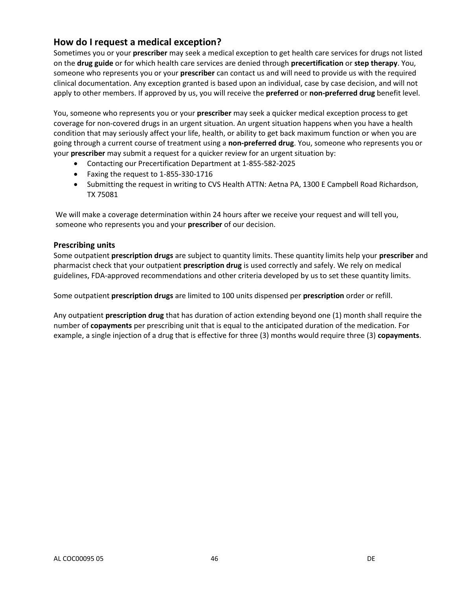# **How do I request a medical exception?**

Sometimes you or your **prescriber** may seek a medical exception to get health care services for drugs not listed on the **drug guide** or for which health care services are denied through **precertification** or **step therapy**. You, someone who represents you or your **prescriber** can contact us and will need to provide us with the required clinical documentation. Any exception granted is based upon an individual, case by case decision, and will not apply to other members. If approved by us, you will receive the **preferred** or **non-preferred drug** benefit level.

You, someone who represents you or your **prescriber** may seek a quicker medical exception process to get coverage for non-covered drugs in an urgent situation. An urgent situation happens when you have a health condition that may seriously affect your life, health, or ability to get back maximum function or when you are going through a current course of treatment using a **non-preferred drug**. You, someone who represents you or your **prescriber** may submit a request for a quicker review for an urgent situation by:

- Contacting our Precertification Department at 1-855*-*582-2025
- Faxing the request to 1-855-330-1716
- Submitting the request in writing to CVS Health ATTN: Aetna PA, 1300 E Campbell Road Richardson, TX 75081

We will make a coverage determination within 24 hours after we receive your request and will tell you, someone who represents you and your **prescriber** of our decision.

#### **Prescribing units**

Some outpatient **prescription drugs** are subject to quantity limits. These quantity limits help your **prescriber** and pharmacist check that your outpatient **prescription drug** is used correctly and safely. We rely on medical guidelines, FDA-approved recommendations and other criteria developed by us to set these quantity limits.

Some outpatient **prescription drugs** are limited to 100 units dispensed per **prescription** order or refill.

Any outpatient **prescription drug** that has duration of action extending beyond one (1) month shall require the number of **copayments** per prescribing unit that is equal to the anticipated duration of the medication. For example, a single injection of a drug that is effective for three (3) months would require three (3) **copayments**.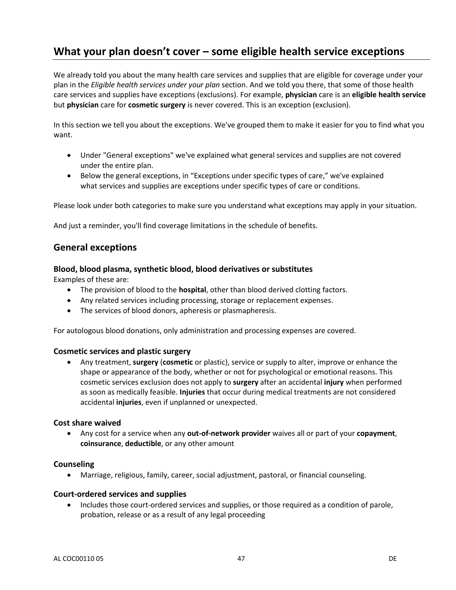# **What your plan doesn't cover – some eligible health service exceptions**

We already told you about the many health care services and supplies that are eligible for coverage under your plan in the *Eligible health services under your plan* section. And we told you there, that some of those health care services and supplies have exceptions (exclusions). For example, **physician** care is an **eligible health service** but **physician** care for **cosmetic surgery** is never covered. This is an exception (exclusion).

In this section we tell you about the exceptions. We've grouped them to make it easier for you to find what you want.

- Under "General exceptions" we've explained what general services and supplies are not covered under the entire plan.
- Below the general exceptions, in "Exceptions under specific types of care," we've explained what services and supplies are exceptions under specific types of care or conditions.

Please look under both categories to make sure you understand what exceptions may apply in your situation.

And just a reminder, you'll find coverage limitations in the schedule of benefits.

### **General exceptions**

### **Blood, blood plasma, synthetic blood, blood derivatives or substitutes**

Examples of these are:

- The provision of blood to the **hospital**, other than blood derived clotting factors.
- Any related services including processing, storage or replacement expenses.
- The services of blood donors, apheresis or plasmapheresis.

For autologous blood donations, only administration and processing expenses are covered.

#### **Cosmetic services and plastic surgery**

 Any treatment, **surgery** (**cosmetic** or plastic), service or supply to alter, improve or enhance the shape or appearance of the body, whether or not for psychological or emotional reasons. This cosmetic services exclusion does not apply to **surgery** after an accidental **injury** when performed as soon as medically feasible. **Injuries** that occur during medical treatments are not considered accidental **injuries**, even if unplanned or unexpected.

#### **Cost share waived**

 Any cost for a service when any **out-of-network provider** waives all or part of your **copayment**, **coinsurance**, **deductible**, or any other amount

#### **Counseling**

Marriage, religious, family, career, social adjustment, pastoral, or financial counseling.

#### **Court-ordered services and supplies**

• Includes those court-ordered services and supplies, or those required as a condition of parole, probation, release or as a result of any legal proceeding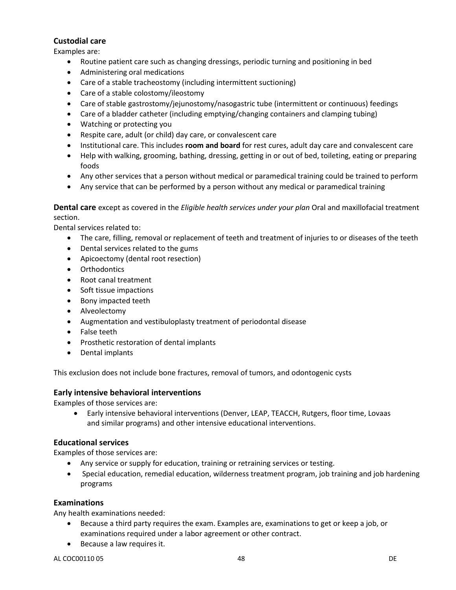## **Custodial care**

Examples are:

- Routine patient care such as changing dressings, periodic turning and positioning in bed
- Administering oral medications
- Care of a stable tracheostomy (including intermittent suctioning)
- Care of a stable colostomy/ileostomy
- Care of stable gastrostomy/jejunostomy/nasogastric tube (intermittent or continuous) feedings
- Care of a bladder catheter (including emptying/changing containers and clamping tubing)
- Watching or protecting you
- Respite care, adult (or child) day care, or convalescent care
- Institutional care. This includes **room and board** for rest cures, adult day care and convalescent care
- Help with walking, grooming, bathing, dressing, getting in or out of bed, toileting, eating or preparing foods
- Any other services that a person without medical or paramedical training could be trained to perform
- Any service that can be performed by a person without any medical or paramedical training

**Dental care** except as covered in the *Eligible health services under your plan* Oral and maxillofacial treatment section.

Dental services related to:

- The care, filling, removal or replacement of teeth and treatment of injuries to or diseases of the teeth
- Dental services related to the gums
- Apicoectomy (dental root resection)
- Orthodontics
- Root canal treatment
- Soft tissue impactions
- Bony impacted teeth
- Alveolectomy
- Augmentation and vestibuloplasty treatment of periodontal disease
- False teeth
- Prosthetic restoration of dental implants
- Dental implants

This exclusion does not include bone fractures, removal of tumors, and odontogenic cysts

#### **Early intensive behavioral interventions**

Examples of those services are:

 Early intensive behavioral interventions (Denver, LEAP, TEACCH, Rutgers, floor time, Lovaas and similar programs) and other intensive educational interventions.

### **Educational services**

Examples of those services are:

- Any service or supply for education, training or retraining services or testing.
- Special education, remedial education, wilderness treatment program, job training and job hardening programs

### **Examinations**

Any health examinations needed:

- Because a third party requires the exam. Examples are, examinations to get or keep a job, or examinations required under a labor agreement or other contract.
- Because a law requires it.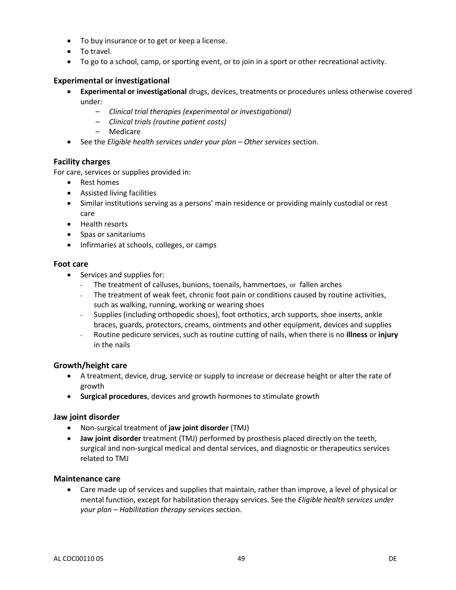- To buy insurance or to get or keep a license.
- To travel.
- To go to a school, camp, or sporting event, or to join in a sport or other recreational activity.

### **Experimental or investigational**

- **Experimental or investigational** drugs, devices, treatments or procedures unless otherwise covered under:
	- *Clinical trial therapies (experimental or investigational)*
	- *Clinical trials (routine patient costs)*
	- Medicare
- See the *Eligible health services under your plan – Other services* section.

### **Facility charges**

For care, services or supplies provided in:

- Rest homes
- Assisted living facilities
- Similar institutions serving as a persons' main residence or providing mainly custodial or rest care
- Health resorts
- Spas or sanitariums
- **•** Infirmaries at schools, colleges, or camps

#### **Foot care**

- Services and supplies for:
	- The treatment of calluses, bunions, toenails, hammertoes, or fallen arches
	- The treatment of weak feet, chronic foot pain or conditions caused by routine activities, such as walking, running, working or wearing shoes
	- Supplies (including orthopedic shoes), foot orthotics, arch supports, shoe inserts, ankle braces, guards, protectors, creams, ointments and other equipment, devices and supplies
	- Routine pedicure services, such as routine cutting of nails, when there is no **illness** or **injury** in the nails

#### **Growth/height care**

- A treatment, device, drug, service or supply to increase or decrease height or alter the rate of growth
- **Surgical procedures**, devices and growth hormones to stimulate growth

#### **Jaw joint disorder**

- Non-surgical treatment of **jaw joint disorder** (TMJ)
- **Jaw joint disorder** treatment (TMJ) performed by prosthesis placed directly on the teeth, surgical and non-surgical medical and dental services, and diagnostic or therapeutics services related to TMJ

#### **Maintenance care**

 Care made up of services and supplies that maintain, rather than improve, a level of physical or mental function, except for habilitation therapy services. See the *Eligible health services under your plan – Habilitation therapy service*s section.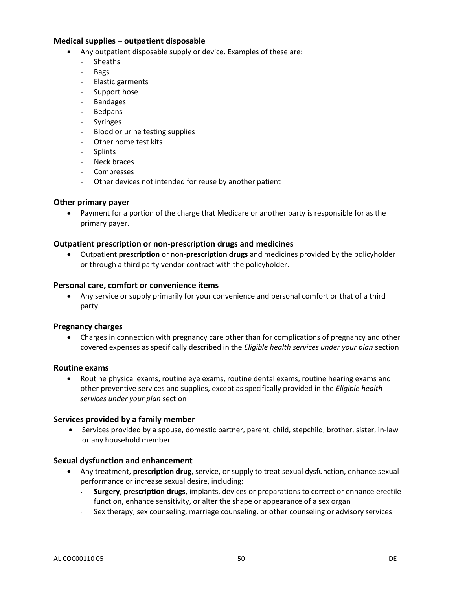### **Medical supplies – outpatient disposable**

- Any outpatient disposable supply or device. Examples of these are:
	- Sheaths
	- Bags
	- Elastic garments
	- Support hose
	- **Bandages**
	- **Bedpans**
	- **Syringes**
	- Blood or urine testing supplies
	- Other home test kits
	- **Splints**
	- Neck braces
	- **Compresses**
	- Other devices not intended for reuse by another patient

#### **Other primary payer**

 Payment for a portion of the charge that Medicare or another party is responsible for as the primary payer.

#### **Outpatient prescription or non-prescription drugs and medicines**

 Outpatient **prescription** or non-**prescription drugs** and medicines provided by the policyholder or through a third party vendor contract with the policyholder.

#### **Personal care, comfort or convenience items**

 Any service or supply primarily for your convenience and personal comfort or that of a third party.

#### **Pregnancy charges**

 Charges in connection with pregnancy care other than for complications of pregnancy and other covered expenses as specifically described in the *Eligible health services under your plan* section

#### **Routine exams**

 Routine physical exams, routine eye exams, routine dental exams, routine hearing exams and other preventive services and supplies, except as specifically provided in the *Eligible health services under your plan* section

#### **Services provided by a family member**

 Services provided by a spouse, domestic partner, parent, child, stepchild, brother, sister, in-law or any household member

#### **Sexual dysfunction and enhancement**

- Any treatment, **prescription drug**, service, or supply to treat sexual dysfunction, enhance sexual performance or increase sexual desire, including:
	- **Surgery**, **prescription drugs**, implants, devices or preparations to correct or enhance erectile function, enhance sensitivity, or alter the shape or appearance of a sex organ
	- Sex therapy, sex counseling, marriage counseling, or other counseling or advisory services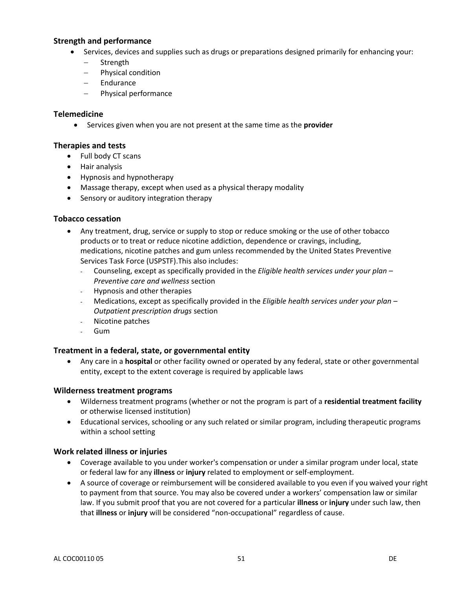### **Strength and performance**

- Services, devices and supplies such as drugs or preparations designed primarily for enhancing your:
	- Strength
	- Physical condition
	- Endurance
	- Physical performance

#### **Telemedicine**

Services given when you are not present at the same time as the **provider**

#### **Therapies and tests**

- Full body CT scans
- Hair analysis
- Hypnosis and hypnotherapy
- Massage therapy, except when used as a physical therapy modality
- Sensory or auditory integration therapy

### **Tobacco cessation**

- Any treatment, drug, service or supply to stop or reduce smoking or the use of other tobacco products or to treat or reduce nicotine addiction, dependence or cravings, including, medications, nicotine patches and gum unless recommended by the United States Preventive Services Task Force (USPSTF).This also includes:
	- Counseling, except as specifically provided in the *Eligible health services under your plan – Preventive care and wellness* section
	- Hypnosis and other therapies
	- Medications, except as specifically provided in the *Eligible health services under your plan – Outpatient prescription drugs* section
	- Nicotine patches
	- Gum

### **Treatment in a federal, state, or governmental entity**

 Any care in a **hospital** or other facility owned or operated by any federal, state or other governmental entity, except to the extent coverage is required by applicable laws

#### **Wilderness treatment programs**

- Wilderness treatment programs (whether or not the program is part of a **residential treatment facility** or otherwise licensed institution)
- Educational services, schooling or any such related or similar program, including therapeutic programs within a school setting

### **Work related illness or injuries**

- Coverage available to you under worker's compensation or under a similar program under local, state or federal law for any **illness** or **injury** related to employment or self-employment.
- A source of coverage or reimbursement will be considered available to you even if you waived your right to payment from that source. You may also be covered under a workers' compensation law or similar law. If you submit proof that you are not covered for a particular **illness** or **injury** under such law, then that **illness** or **injury** will be considered "non-occupational" regardless of cause.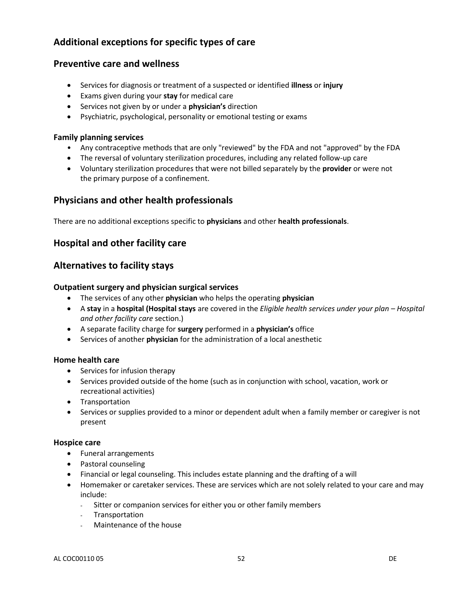# **Additional exceptions for specific types of care**

## **Preventive care and wellness**

- Services for diagnosis or treatment of a suspected or identified **illness** or **injury**
- Exams given during your **stay** for medical care
- Services not given by or under a **physician's** direction
- Psychiatric, psychological, personality or emotional testing or exams

#### **Family planning services**

- Any contraceptive methods that are only "reviewed" by the FDA and not "approved" by the FDA
- The reversal of voluntary sterilization procedures, including any related follow-up care
- Voluntary sterilization procedures that were not billed separately by the **provider** or were not the primary purpose of a confinement.

# **Physicians and other health professionals**

There are no additional exceptions specific to **physicians** and other **health professionals**.

# **Hospital and other facility care**

# **Alternatives to facility stays**

#### **Outpatient surgery and physician surgical services**

- The services of any other **physician** who helps the operating **physician**
- A **stay** in a **hospital (Hospital stays** are covered in the *Eligible health services under your plan – Hospital and other facility care* section.)
- A separate facility charge for **surgery** performed in a **physician's** office
- Services of another **physician** for the administration of a local anesthetic

#### **Home health care**

- Services for infusion therapy
- Services provided outside of the home (such as in conjunction with school, vacation, work or recreational activities)
- **•** Transportation
- Services or supplies provided to a minor or dependent adult when a family member or caregiver is not present

#### **Hospice care**

- Funeral arrangements
- Pastoral counseling
- Financial or legal counseling. This includes estate planning and the drafting of a will
- Homemaker or caretaker services. These are services which are not solely related to your care and may include:
	- Sitter or companion services for either you or other family members
	- **Transportation**
	- Maintenance of the house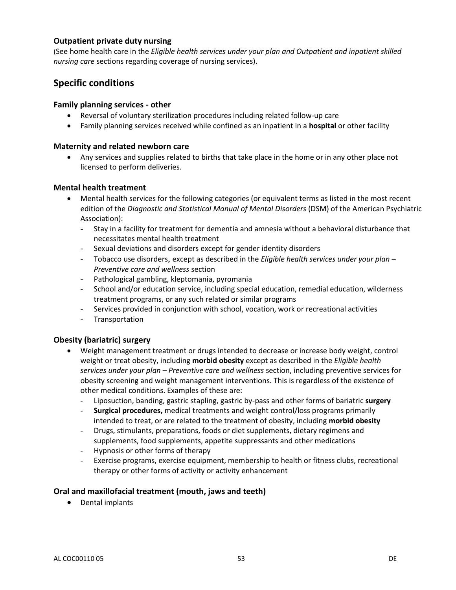### **Outpatient private duty nursing**

(See home health care in the *Eligible health services under your plan and Outpatient and inpatient skilled nursing care* sections regarding coverage of nursing services).

# **Specific conditions**

#### **Family planning services - other**

- Reversal of voluntary sterilization procedures including related follow-up care
- Family planning services received while confined as an inpatient in a **hospital** or other facility

#### **Maternity and related newborn care**

 Any services and supplies related to births that take place in the home or in any other place not licensed to perform deliveries.

### **Mental health treatment**

- Mental health services for the following categories (or equivalent terms as listed in the most recent edition of the *Diagnostic and Statistical Manual of Mental Disorders* (DSM) of the American Psychiatric Association):
	- Stay in a facility for treatment for dementia and amnesia without a behavioral disturbance that necessitates mental health treatment
	- Sexual deviations and disorders except for gender identity disorders
	- Tobacco use disorders, except as described in the *Eligible health services under your plan – Preventive care and wellness* section
	- Pathological gambling, kleptomania, pyromania
	- School and/or education service, including special education, remedial education, wilderness treatment programs, or any such related or similar programs
	- Services provided in conjunction with school, vocation, work or recreational activities
	- Transportation

### **Obesity (bariatric) surgery**

- Weight management treatment or drugs intended to decrease or increase body weight, control weight or treat obesity, including **morbid obesity** except as described in the *Eligible health services under your plan – Preventive care and wellness* section, including preventive services for obesity screening and weight management interventions. This is regardless of the existence of other medical conditions. Examples of these are:
	- Liposuction, banding, gastric stapling, gastric by-pass and other forms of bariatric **surgery**
	- **Surgical procedures,** medical treatments and weight control/loss programs primarily intended to treat, or are related to the treatment of obesity, including **morbid obesity**
	- Drugs, stimulants, preparations, foods or diet supplements, dietary regimens and supplements, food supplements, appetite suppressants and other medications
	- Hypnosis or other forms of therapy
	- Exercise programs, exercise equipment, membership to health or fitness clubs, recreational therapy or other forms of activity or activity enhancement

### **Oral and maxillofacial treatment (mouth, jaws and teeth)**

Dental implants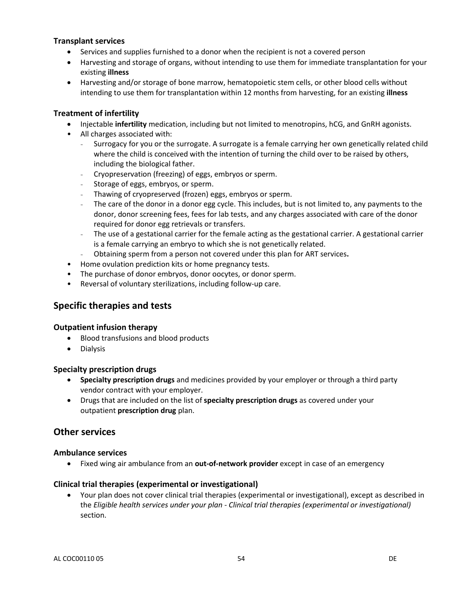### **Transplant services**

- Services and supplies furnished to a donor when the recipient is not a covered person
- Harvesting and storage of organs, without intending to use them for immediate transplantation for your existing **illness**
- Harvesting and/or storage of bone marrow, hematopoietic stem cells, or other blood cells without intending to use them for transplantation within 12 months from harvesting, for an existing **illness**

#### **Treatment of infertility**

- Injectable **infertility** medication, including but not limited to menotropins, hCG, and GnRH agonists.
- All charges associated with:
	- Surrogacy for you or the surrogate. A surrogate is a female carrying her own genetically related child where the child is conceived with the intention of turning the child over to be raised by others, including the biological father.
	- Cryopreservation (freezing) of eggs, embryos or sperm.
	- Storage of eggs, embryos, or sperm.
	- Thawing of cryopreserved (frozen) eggs, embryos or sperm.
	- The care of the donor in a donor egg cycle. This includes, but is not limited to, any payments to the donor, donor screening fees, fees for lab tests, and any charges associated with care of the donor required for donor egg retrievals or transfers.
	- The use of a gestational carrier for the female acting as the gestational carrier. A gestational carrier is a female carrying an embryo to which she is not genetically related.
	- Obtaining sperm from a person not covered under this plan for ART services**.**
- Home ovulation prediction kits or home pregnancy tests.
- The purchase of donor embryos, donor oocytes, or donor sperm.
- Reversal of voluntary sterilizations, including follow-up care.

# **Specific therapies and tests**

#### **Outpatient infusion therapy**

- Blood transfusions and blood products
- Dialysis

#### **Specialty prescription drugs**

- **Specialty prescription drugs** and medicines provided by your employer or through a third party vendor contract with your employer.
- Drugs that are included on the list of **specialty prescription drugs** as covered under your outpatient **prescription drug** plan.

# **Other services**

#### **Ambulance services**

Fixed wing air ambulance from an **out-of-network provider** except in case of an emergency

#### **Clinical trial therapies (experimental or investigational)**

 Your plan does not cover clinical trial therapies (experimental or investigational), except as described in the *Eligible health services under your plan - Clinical trial therapies (experimental or investigational)* section.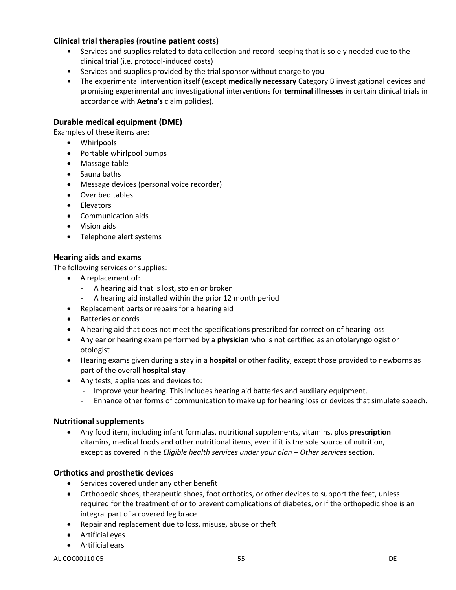## **Clinical trial therapies (routine patient costs)**

- Services and supplies related to data collection and record-keeping that is solely needed due to the clinical trial (i.e. protocol-induced costs)
- Services and supplies provided by the trial sponsor without charge to you
- The experimental intervention itself (except **medically necessary** Category B investigational devices and promising experimental and investigational interventions for **terminal illnesses** in certain clinical trials in accordance with **Aetna's** claim policies).

### **Durable medical equipment (DME)**

Examples of these items are:

- Whirlpools
- Portable whirlpool pumps
- Massage table
- Sauna baths
- Message devices (personal voice recorder)
- Over bed tables
- **•** Elevators
- Communication aids
- Vision aids
- Telephone alert systems

### **Hearing aids and exams**

The following services or supplies:

- A replacement of:
	- A hearing aid that is lost, stolen or broken
	- A hearing aid installed within the prior 12 month period
- Replacement parts or repairs for a hearing aid
- Batteries or cords
- A hearing aid that does not meet the specifications prescribed for correction of hearing loss
- Any ear or hearing exam performed by a **physician** who is not certified as an otolaryngologist or otologist
- Hearing exams given during a stay in a **hospital** or other facility, except those provided to newborns as part of the overall **hospital stay**
- Any tests, appliances and devices to:
	- Improve your hearing. This includes hearing aid batteries and auxiliary equipment.
	- Enhance other forms of communication to make up for hearing loss or devices that simulate speech.

#### **Nutritional supplements**

 Any food item, including infant formulas, nutritional supplements, vitamins, plus **prescription** vitamins, medical foods and other nutritional items, even if it is the sole source of nutrition, except as covered in the *Eligible health services under your plan – Other services* section.

### **Orthotics and prosthetic devices**

- Services covered under any other benefit
- Orthopedic shoes, therapeutic shoes, foot orthotics, or other devices to support the feet, unless required for the treatment of or to prevent complications of diabetes, or if the orthopedic shoe is an integral part of a covered leg brace
- Repair and replacement due to loss, misuse, abuse or theft
- Artificial eyes
- Artificial ears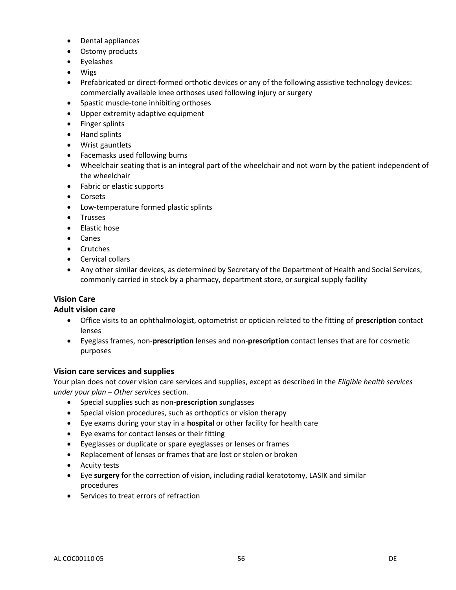- Dental appliances
- Ostomy products
- Eyelashes
- Wigs
- Prefabricated or direct-formed orthotic devices or any of the following assistive technology devices: commercially available knee orthoses used following injury or surgery
- Spastic muscle-tone inhibiting orthoses
- Upper extremity adaptive equipment
- Finger splints
- Hand splints
- Wrist gauntlets
- Facemasks used following burns
- Wheelchair seating that is an integral part of the wheelchair and not worn by the patient independent of the wheelchair
- Fabric or elastic supports
- Corsets
- Low-temperature formed plastic splints
- Trusses
- Elastic hose
- Canes
- Crutches
- Cervical collars
- Any other similar devices, as determined by Secretary of the Department of Health and Social Services, commonly carried in stock by a pharmacy, department store, or surgical supply facility

### **Vision Care**

#### **Adult vision care**

- Office visits to an ophthalmologist, optometrist or optician related to the fitting of **prescription** contact lenses
- Eyeglass frames, non-**prescription** lenses and non-**prescription** contact lenses that are for cosmetic purposes

#### **Vision care services and supplies**

Your plan does not cover vision care services and supplies, except as described in the *Eligible health services under your plan – Other services* section.

- Special supplies such as non-**prescription** sunglasses
- Special vision procedures, such as orthoptics or vision therapy
- Eye exams during your stay in a **hospital** or other facility for health care
- Eye exams for contact lenses or their fitting
- Eyeglasses or duplicate or spare eyeglasses or lenses or frames
- Replacement of lenses or frames that are lost or stolen or broken
- Acuity tests
- Eye **surgery** for the correction of vision, including radial keratotomy, LASIK and similar procedures
- Services to treat errors of refraction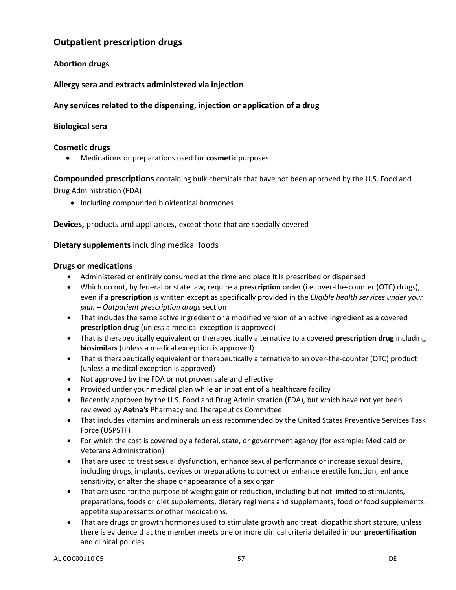# **Outpatient prescription drugs**

## **Abortion drugs**

### **Allergy sera and extracts administered via injection**

### **Any services related to the dispensing, injection or application of a drug**

### **Biological sera**

#### **Cosmetic drugs**

Medications or preparations used for **cosmetic** purposes.

**Compounded prescriptions** containing bulk chemicals that have not been approved by the U.S. Food and Drug Administration (FDA)

• Including compounded bioidentical hormones

**Devices,** products and appliances, except those that are specially covered

### **Dietary supplements** including medical foods

#### **Drugs or medications**

- Administered or entirely consumed at the time and place it is prescribed or dispensed
- Which do not, by federal or state law, require a **prescription** order (i.e. over-the-counter (OTC) drugs), even if a **prescription** is written except as specifically provided in the *Eligible health services under your plan – Outpatient prescription drugs* section
- That includes the same active ingredient or a modified version of an active ingredient as a covered **prescription drug** (unless a medical exception is approved)
- That is therapeutically equivalent or therapeutically alternative to a covered **prescription drug** including **biosimilars** (unless a medical exception is approved)
- That is therapeutically equivalent or therapeutically alternative to an over-the-counter (OTC) product (unless a medical exception is approved)
- Not approved by the FDA or not proven safe and effective
- Provided under your medical plan while an inpatient of a healthcare facility
- Recently approved by the U.S. Food and Drug Administration (FDA), but which have not yet been reviewed by **Aetna's** Pharmacy and Therapeutics Committee
- That includes vitamins and minerals unless recommended by the United States Preventive Services Task Force (USPSTF)
- For which the cost is covered by a federal, state, or government agency (for example: Medicaid or Veterans Administration)
- That are used to treat sexual dysfunction, enhance sexual performance or increase sexual desire, including drugs, implants, devices or preparations to correct or enhance erectile function, enhance sensitivity, or alter the shape or appearance of a sex organ
- That are used for the purpose of weight gain or reduction, including but not limited to stimulants, preparations, foods or diet supplements, dietary regimens and supplements, food or food supplements, appetite suppressants or other medications.
- That are drugs or growth hormones used to stimulate growth and treat idiopathic short stature, unless there is evidence that the member meets one or more clinical criteria detailed in our **precertification**  and clinical policies.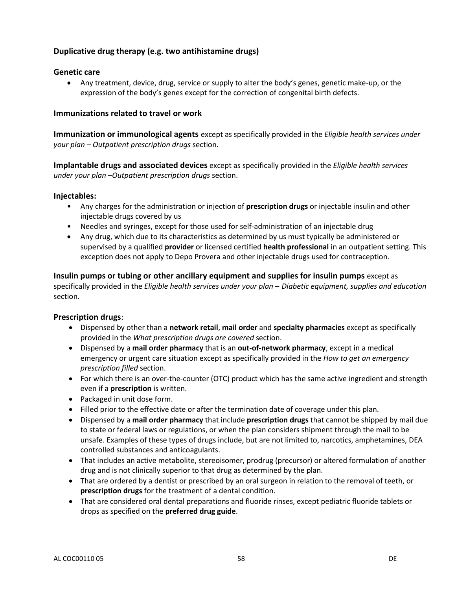## **Duplicative drug therapy (e.g. two antihistamine drugs)**

### **Genetic care**

 Any treatment, device, drug, service or supply to alter the body's genes, genetic make-up, or the expression of the body's genes except for the correction of congenital birth defects.

#### **Immunizations related to travel or work**

**Immunization or immunological agents** except as specifically provided in the *Eligible health services under your plan – Outpatient prescription drugs* section.

**Implantable drugs and associated devices** except as specifically provided in the *Eligible health services under your plan –Outpatient prescription drugs* section.

#### **Injectables:**

- Any charges for the administration or injection of **prescription drugs** or injectable insulin and other injectable drugs covered by us
- Needles and syringes, except for those used for self-administration of an injectable drug
- Any drug, which due to its characteristics as determined by us must typically be administered or supervised by a qualified **provider** or licensed certified **health professional** in an outpatient setting. This exception does not apply to Depo Provera and other injectable drugs used for contraception.

**Insulin pumps or tubing or other ancillary equipment and supplies for insulin pumps** except as specifically provided in the *Eligible health services under your plan – Diabetic equipment, supplies and education*  section.

#### **Prescription drugs**:

- Dispensed by other than a **network retail**, **mail order** and **specialty pharmacies** except as specifically provided in the *What prescription drugs are covered* section.
- Dispensed by a **mail order pharmacy** that is an **out-of-network pharmacy**, except in a medical emergency or urgent care situation except as specifically provided in the *How to get an emergency prescription filled* section.
- For which there is an over-the-counter (OTC) product which has the same active ingredient and strength even if a **prescription** is written.
- Packaged in unit dose form.
- Filled prior to the effective date or after the termination date of coverage under this plan.
- Dispensed by a **mail order pharmacy** that include **prescription drugs** that cannot be shipped by mail due to state or federal laws or regulations, or when the plan considers shipment through the mail to be unsafe. Examples of these types of drugs include, but are not limited to, narcotics, amphetamines, DEA controlled substances and anticoagulants.
- That includes an active metabolite, stereoisomer, prodrug (precursor) or altered formulation of another drug and is not clinically superior to that drug as determined by the plan.
- That are ordered by a dentist or prescribed by an oral surgeon in relation to the removal of teeth, or **prescription drugs** for the treatment of a dental condition.
- That are considered oral dental preparations and fluoride rinses, except pediatric fluoride tablets or drops as specified on the **preferred drug guide**.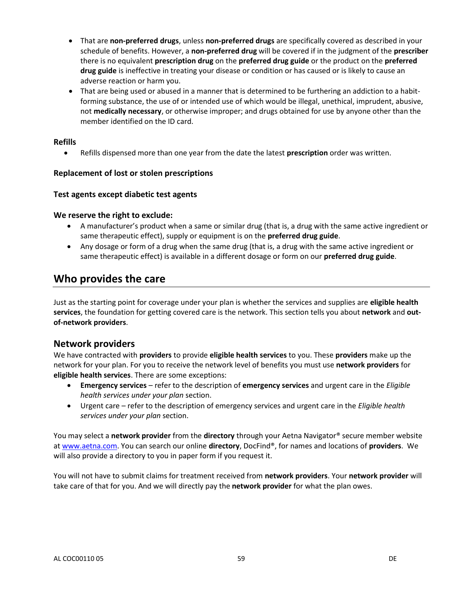- That are **non-preferred drugs**, unless **non-preferred drugs** are specifically covered as described in your schedule of benefits. However, a **non-preferred drug** will be covered if in the judgment of the **prescriber** there is no equivalent **prescription drug** on the **preferred drug guide** or the product on the **preferred drug guide** is ineffective in treating your disease or condition or has caused or is likely to cause an adverse reaction or harm you.
- That are being used or abused in a manner that is determined to be furthering an addiction to a habitforming substance, the use of or intended use of which would be illegal, unethical, imprudent, abusive, not **medically necessary**, or otherwise improper; and drugs obtained for use by anyone other than the member identified on the ID card.

### **Refills**

Refills dispensed more than one year from the date the latest **prescription** order was written.

#### **Replacement of lost or stolen prescriptions**

#### **Test agents except diabetic test agents**

### **We reserve the right to exclude:**

- A manufacturer's product when a same or similar drug (that is, a drug with the same active ingredient or same therapeutic effect), supply or equipment is on the **preferred drug guide**.
- Any dosage or form of a drug when the same drug (that is, a drug with the same active ingredient or same therapeutic effect) is available in a different dosage or form on our **preferred drug guide**.

# **Who provides the care**

Just as the starting point for coverage under your plan is whether the services and supplies are **eligible health services**, the foundation for getting covered care is the network. This section tells you about **network** and **outof-network providers**.

# **Network providers**

We have contracted with **providers** to provide **eligible health services** to you. These **providers** make up the network for your plan. For you to receive the network level of benefits you must use **network providers** for **eligible health services**. There are some exceptions:

- **Emergency services**  refer to the description of **emergency services** and urgent care in the *Eligible health services under your plan* section.
- Urgent care refer to the description of emergency services and urgent care in the *Eligible health services under your plan* section.

You may select a **network provider** from the **directory** through your Aetna Navigator® secure member website a[t www.aetna.com.](http://www.aetna.com/) You can search our online **directory**, DocFind®, for names and locations of **providers**. We will also provide a directory to you in paper form if you request it.

You will not have to submit claims for treatment received from **network providers**. Your **network provider** will take care of that for you. And we will directly pay the **network provider** for what the plan owes.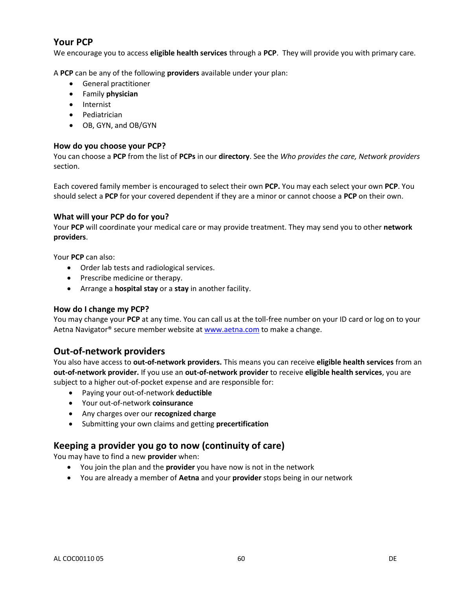# **Your PCP**

We encourage you to access **eligible health services** through a **PCP**. They will provide you with primary care.

A **PCP** can be any of the following **providers** available under your plan:

- General practitioner
- Family **physician**
- Internist
- **•** Pediatrician
- OB, GYN, and OB/GYN

### **How do you choose your PCP?**

You can choose a **PCP** from the list of **PCPs** in our **directory**. See the *Who provides the care, Network providers* section.

Each covered family member is encouraged to select their own **PCP.** You may each select your own **PCP**. You should select a **PCP** for your covered dependent if they are a minor or cannot choose a **PCP** on their own.

### **What will your PCP do for you?**

Your **PCP** will coordinate your medical care or may provide treatment. They may send you to other **network providers**.

Your **PCP** can also:

- Order lab tests and radiological services.
- Prescribe medicine or therapy.
- Arrange a **hospital stay** or a **stay** in another facility.

#### **How do I change my PCP?**

You may change your **PCP** at any time. You can call us at the toll-free number on your ID card or log on to your Aetna Navigator® secure member website a[t www.aetna.com](http://www.aetna.com/) to make a change.

# **Out-of-network providers**

You also have access to **out-of-network providers.** This means you can receive **eligible health services** from an **out-of-network provider.** If you use an **out-of-network provider** to receive **eligible health services**, you are subject to a higher out-of-pocket expense and are responsible for:

- Paying your out-of-network **deductible**
- Your out-of-network **coinsurance**
- Any charges over our **recognized charge**
- Submitting your own claims and getting **precertification**

# **Keeping a provider you go to now (continuity of care)**

You may have to find a new **provider** when:

- You join the plan and the **provider** you have now is not in the network
- You are already a member of **Aetna** and your **provider** stops being in our network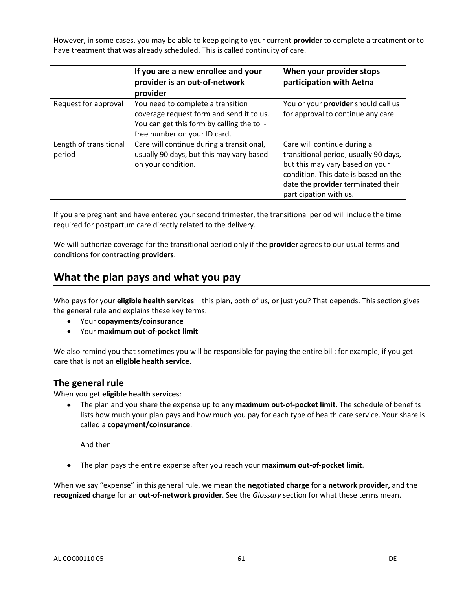However, in some cases, you may be able to keep going to your current **provider** to complete a treatment or to have treatment that was already scheduled. This is called continuity of care.

|                                  | If you are a new enrollee and your<br>provider is an out-of-network<br>provider                                                                             | When your provider stops<br>participation with Aetna                                                                                                                                                            |
|----------------------------------|-------------------------------------------------------------------------------------------------------------------------------------------------------------|-----------------------------------------------------------------------------------------------------------------------------------------------------------------------------------------------------------------|
| Request for approval             | You need to complete a transition<br>coverage request form and send it to us.<br>You can get this form by calling the toll-<br>free number on your ID card. | You or your provider should call us<br>for approval to continue any care.                                                                                                                                       |
| Length of transitional<br>period | Care will continue during a transitional,<br>usually 90 days, but this may vary based<br>on your condition.                                                 | Care will continue during a<br>transitional period, usually 90 days,<br>but this may vary based on your<br>condition. This date is based on the<br>date the provider terminated their<br>participation with us. |

If you are pregnant and have entered your second trimester, the transitional period will include the time required for postpartum care directly related to the delivery.

We will authorize coverage for the transitional period only if the **provider** agrees to our usual terms and conditions for contracting **providers**.

# **What the plan pays and what you pay**

Who pays for your **eligible health services** – this plan, both of us, or just you? That depends. This section gives the general rule and explains these key terms:

- Your **copayments/coinsurance**
- Your **maximum out-of-pocket limit**

We also remind you that sometimes you will be responsible for paying the entire bill: for example, if you get care that is not an **eligible health service**.

### **The general rule**

When you get **eligible health services**:

 The plan and you share the expense up to any **maximum out-of-pocket limit**. The schedule of benefits lists how much your plan pays and how much you pay for each type of health care service. Your share is called a **copayment/coinsurance**.

And then

The plan pays the entire expense after you reach your **maximum out-of-pocket limit**.

When we say "expense" in this general rule, we mean the **negotiated charge** for a **network provider,** and the **recognized charge** for an **out-of-network provider**. See the *Glossary* section for what these terms mean.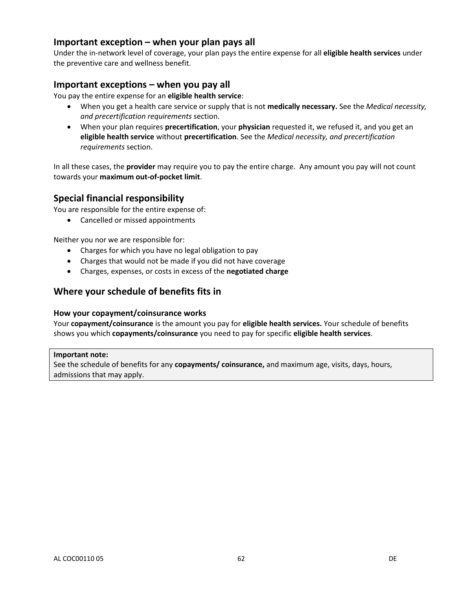# **Important exception – when your plan pays all**

Under the in-network level of coverage, your plan pays the entire expense for all **eligible health services** under the preventive care and wellness benefit.

# **Important exceptions – when you pay all**

You pay the entire expense for an **eligible health service**:

- When you get a health care service or supply that is not **medically necessary.** See the *Medical necessity, and precertification requirements* section.
- When your plan requires **precertification**, your **physician** requested it, we refused it, and you get an **eligible health service** without **precertification**. See the *Medical necessity, and precertification requirements* section.

In all these cases, the **provider** may require you to pay the entire charge. Any amount you pay will not count towards your **maximum out-of-pocket limit**.

# **Special financial responsibility**

You are responsible for the entire expense of:

• Cancelled or missed appointments

Neither you nor we are responsible for:

- Charges for which you have no legal obligation to pay
- Charges that would not be made if you did not have coverage
- Charges, expenses, or costs in excess of the **negotiated charge**

# **Where your schedule of benefits fits in**

#### **How your copayment/coinsurance works**

Your **copayment/coinsurance** is the amount you pay for **eligible health services.** Your schedule of benefits shows you which **copayments/coinsurance** you need to pay for specific **eligible health services**.

#### **Important note:**

See the schedule of benefits for any **copayments/ coinsurance,** and maximum age, visits, days, hours, admissions that may apply.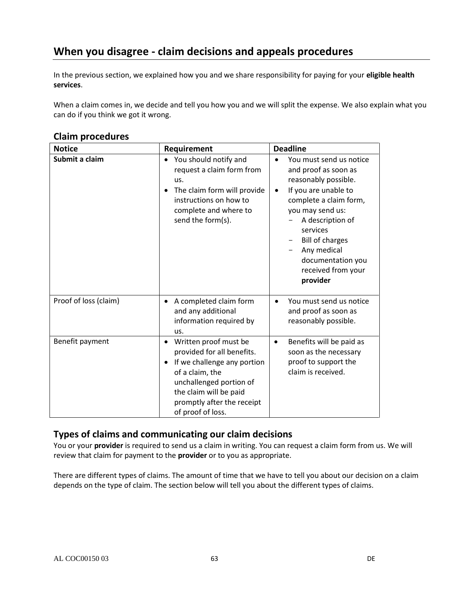# **When you disagree - claim decisions and appeals procedures**

In the previous section, we explained how you and we share responsibility for paying for your **eligible health services**.

When a claim comes in, we decide and tell you how you and we will split the expense. We also explain what you can do if you think we got it wrong.

#### **Notice Requirement Deadline Submit a claim**  $\bullet$  You should notify and request a claim form from us. • The claim form will provide instructions on how to complete and where to send the form(s). You must send us notice and proof as soon as reasonably possible. • If you are unable to complete a claim form, you may send us: A description of services - Bill of charges - Any medical documentation you received from your **provider** Proof of loss (claim)  $\bullet$  A completed claim form and any additional information required by us. You must send us notice and proof as soon as reasonably possible. Benefit payment **Benefit payment CO** provided for all benefits. • If we challenge any portion of a claim, the unchallenged portion of the claim will be paid promptly after the receipt of proof of loss. • Benefits will be paid as soon as the necessary proof to support the claim is received.

# **Claim procedures**

# **Types of claims and communicating our claim decisions**

You or your **provider** is required to send us a claim in writing. You can request a claim form from us. We will review that claim for payment to the **provider** or to you as appropriate.

There are different types of claims. The amount of time that we have to tell you about our decision on a claim depends on the type of claim. The section below will tell you about the different types of claims.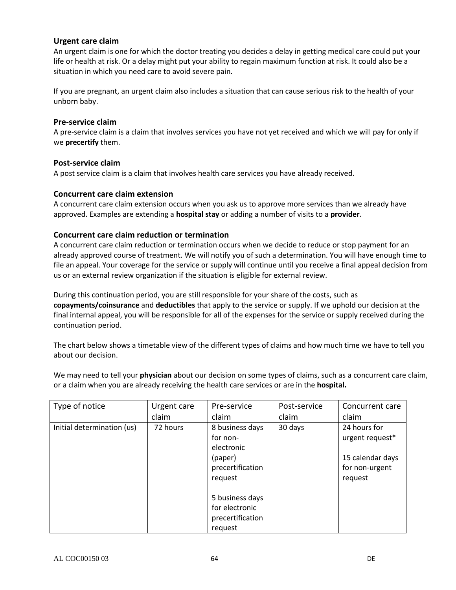### **Urgent care claim**

An urgent claim is one for which the doctor treating you decides a delay in getting medical care could put your life or health at risk. Or a delay might put your ability to regain maximum function at risk. It could also be a situation in which you need care to avoid severe pain.

If you are pregnant, an urgent claim also includes a situation that can cause serious risk to the health of your unborn baby.

#### **Pre-service claim**

A pre-service claim is a claim that involves services you have not yet received and which we will pay for only if we **precertify** them.

#### **Post-service claim**

A post service claim is a claim that involves health care services you have already received.

#### **Concurrent care claim extension**

A concurrent care claim extension occurs when you ask us to approve more services than we already have approved. Examples are extending a **hospital stay** or adding a number of visits to a **provider**.

#### **Concurrent care claim reduction or termination**

A concurrent care claim reduction or termination occurs when we decide to reduce or stop payment for an already approved course of treatment. We will notify you of such a determination. You will have enough time to file an appeal. Your coverage for the service or supply will continue until you receive a final appeal decision from us or an external review organization if the situation is eligible for external review.

During this continuation period, you are still responsible for your share of the costs, such as **copayments/coinsurance** and **deductibles** that apply to the service or supply. If we uphold our decision at the final internal appeal, you will be responsible for all of the expenses for the service or supply received during the continuation period.

The chart below shows a timetable view of the different types of claims and how much time we have to tell you about our decision.

We may need to tell your **physician** about our decision on some types of claims, such as a concurrent care claim, or a claim when you are already receiving the health care services or are in the **hospital.**

| Type of notice             | Urgent care | Pre-service      | Post-service | Concurrent care  |
|----------------------------|-------------|------------------|--------------|------------------|
|                            | claim       | claim            | claim        | claim            |
| Initial determination (us) | 72 hours    | 8 business days  | 30 days      | 24 hours for     |
|                            |             | for non-         |              | urgent request*  |
|                            |             | electronic       |              |                  |
|                            |             | (paper)          |              | 15 calendar days |
|                            |             | precertification |              | for non-urgent   |
|                            |             | request          |              | request          |
|                            |             |                  |              |                  |
|                            |             | 5 business days  |              |                  |
|                            |             | for electronic   |              |                  |
|                            |             | precertification |              |                  |
|                            |             | request          |              |                  |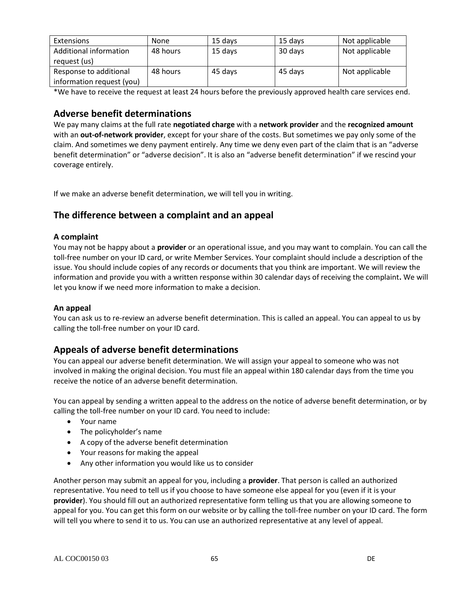| Extensions                | <b>None</b> | 15 days | 15 days | Not applicable |
|---------------------------|-------------|---------|---------|----------------|
| Additional information    | 48 hours    | 15 days | 30 days | Not applicable |
| request (us)              |             |         |         |                |
| Response to additional    | 48 hours    | 45 days | 45 days | Not applicable |
| information request (you) |             |         |         |                |

\*We have to receive the request at least 24 hours before the previously approved health care services end.

# **Adverse benefit determinations**

We pay many claims at the full rate **negotiated charge** with a **network provider** and the **recognized amount**  with an **out-of-network provider**, except for your share of the costs. But sometimes we pay only some of the claim. And sometimes we deny payment entirely. Any time we deny even part of the claim that is an "adverse benefit determination" or "adverse decision". It is also an "adverse benefit determination" if we rescind your coverage entirely.

If we make an adverse benefit determination, we will tell you in writing.

# **The difference between a complaint and an appeal**

### **A complaint**

You may not be happy about a **provider** or an operational issue, and you may want to complain. You can call the toll-free number on your ID card, or write Member Services. Your complaint should include a description of the issue. You should include copies of any records or documents that you think are important. We will review the information and provide you with a written response within 30 calendar days of receiving the complaint**.** We will let you know if we need more information to make a decision.

### **An appeal**

You can ask us to re-review an adverse benefit determination. This is called an appeal. You can appeal to us by calling the toll-free number on your ID card.

# **Appeals of adverse benefit determinations**

You can appeal our adverse benefit determination. We will assign your appeal to someone who was not involved in making the original decision. You must file an appeal within 180 calendar days from the time you receive the notice of an adverse benefit determination.

You can appeal by sending a written appeal to the address on the notice of adverse benefit determination, or by calling the toll-free number on your ID card. You need to include:

- Your name
- The policyholder's name
- A copy of the adverse benefit determination
- Your reasons for making the appeal
- Any other information you would like us to consider

Another person may submit an appeal for you, including a **provider**. That person is called an authorized representative. You need to tell us if you choose to have someone else appeal for you (even if it is your **provider**). You should fill out an authorized representative form telling us that you are allowing someone to appeal for you. You can get this form on our website or by calling the toll-free number on your ID card. The form will tell you where to send it to us. You can use an authorized representative at any level of appeal.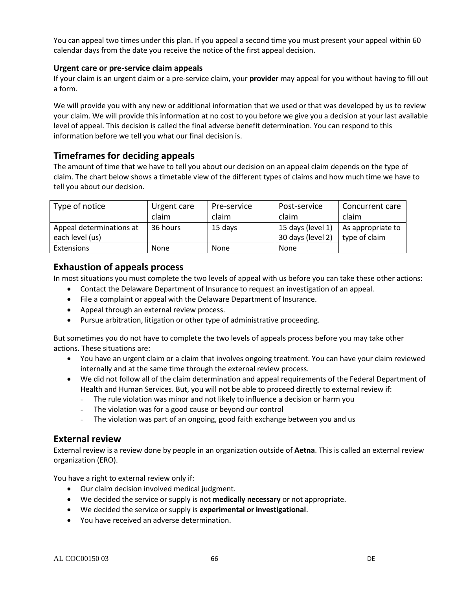You can appeal two times under this plan. If you appeal a second time you must present your appeal within 60 calendar days from the date you receive the notice of the first appeal decision.

### **Urgent care or pre-service claim appeals**

If your claim is an urgent claim or a pre-service claim, your **provider** may appeal for you without having to fill out a form.

We will provide you with any new or additional information that we used or that was developed by us to review your claim. We will provide this information at no cost to you before we give you a decision at your last available level of appeal. This decision is called the final adverse benefit determination. You can respond to this information before we tell you what our final decision is.

# **Timeframes for deciding appeals**

The amount of time that we have to tell you about our decision on an appeal claim depends on the type of claim. The chart below shows a timetable view of the different types of claims and how much time we have to tell you about our decision.

| Type of notice           | Urgent care | Pre-service | Post-service      | Concurrent care   |
|--------------------------|-------------|-------------|-------------------|-------------------|
|                          | claim       | claim       | claim             | claim             |
| Appeal determinations at | 36 hours    | 15 days     | 15 days (level 1) | As appropriate to |
| each level (us)          |             |             | 30 days (level 2) | type of claim     |
| Extensions               | <b>None</b> | None        | None              |                   |

# **Exhaustion of appeals process**

In most situations you must complete the two levels of appeal with us before you can take these other actions:

- Contact the Delaware Department of Insurance to request an investigation of an appeal.
- File a complaint or appeal with the Delaware Department of Insurance.
- Appeal through an external review process.
- Pursue arbitration, litigation or other type of administrative proceeding.

But sometimes you do not have to complete the two levels of appeals process before you may take other actions. These situations are:

- You have an urgent claim or a claim that involves ongoing treatment. You can have your claim reviewed internally and at the same time through the external review process.
- We did not follow all of the claim determination and appeal requirements of the Federal Department of Health and Human Services. But, you will not be able to proceed directly to external review if:
	- The rule violation was minor and not likely to influence a decision or harm you
	- The violation was for a good cause or beyond our control
	- The violation was part of an ongoing, good faith exchange between you and us

# **External review**

External review is a review done by people in an organization outside of **Aetna**. This is called an external review organization (ERO).

You have a right to external review only if:

- Our claim decision involved medical judgment.
- We decided the service or supply is not **medically necessary** or not appropriate.
- We decided the service or supply is **experimental or investigational**.
- You have received an adverse determination.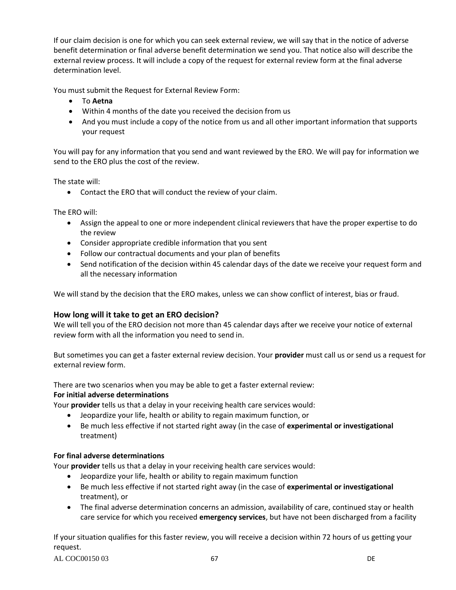If our claim decision is one for which you can seek external review, we will say that in the notice of adverse benefit determination or final adverse benefit determination we send you. That notice also will describe the external review process. It will include a copy of the request for external review form at the final adverse determination level.

You must submit the Request for External Review Form:

- To **Aetna**
- Within 4 months of the date you received the decision from us
- And you must include a copy of the notice from us and all other important information that supports your request

You will pay for any information that you send and want reviewed by the ERO. We will pay for information we send to the ERO plus the cost of the review.

The state will:

Contact the ERO that will conduct the review of your claim.

The ERO will:

- Assign the appeal to one or more independent clinical reviewers that have the proper expertise to do the review
- Consider appropriate credible information that you sent
- Follow our contractual documents and your plan of benefits
- Send notification of the decision within 45 calendar days of the date we receive your request form and all the necessary information

We will stand by the decision that the ERO makes, unless we can show conflict of interest, bias or fraud.

#### **How long will it take to get an ERO decision?**

We will tell you of the ERO decision not more than 45 calendar days after we receive your notice of external review form with all the information you need to send in.

But sometimes you can get a faster external review decision. Your **provider** must call us or send us a request for external review form.

There are two scenarios when you may be able to get a faster external review:

#### **For initial adverse determinations**

Your **provider** tells us that a delay in your receiving health care services would:

- Jeopardize your life, health or ability to regain maximum function, or
- Be much less effective if not started right away (in the case of **experimental or investigational** treatment)

#### **For final adverse determinations**

Your **provider** tells us that a delay in your receiving health care services would:

- Jeopardize your life, health or ability to regain maximum function
- Be much less effective if not started right away (in the case of **experimental or investigational** treatment), or
- The final adverse determination concerns an admission, availability of care, continued stay or health care service for which you received **emergency services**, but have not been discharged from a facility

If your situation qualifies for this faster review, you will receive a decision within 72 hours of us getting your request.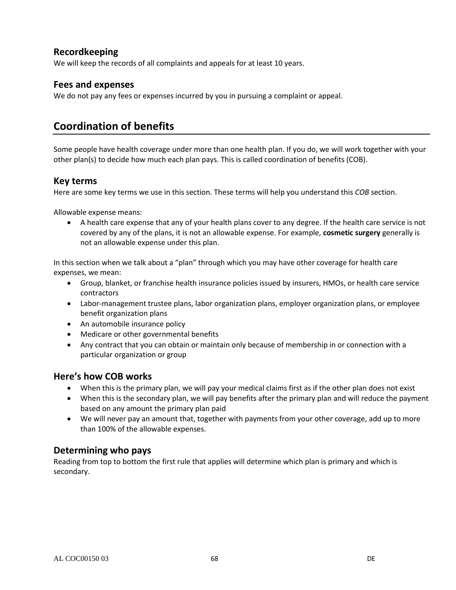# **Recordkeeping**

We will keep the records of all complaints and appeals for at least 10 years.

# **Fees and expenses**

We do not pay any fees or expenses incurred by you in pursuing a complaint or appeal.

# **Coordination of benefits**

Some people have health coverage under more than one health plan. If you do, we will work together with your other plan(s) to decide how much each plan pays. This is called coordination of benefits (COB).

# **Key terms**

Here are some key terms we use in this section. These terms will help you understand this *COB* section.

Allowable expense means:

 A health care expense that any of your health plans cover to any degree. If the health care service is not covered by any of the plans, it is not an allowable expense. For example, **cosmetic surgery** generally is not an allowable expense under this plan.

In this section when we talk about a "plan" through which you may have other coverage for health care expenses, we mean:

- Group, blanket, or franchise health insurance policies issued by insurers, HMOs, or health care service contractors
- Labor-management trustee plans, labor organization plans, employer organization plans, or employee benefit organization plans
- An automobile insurance policy
- Medicare or other governmental benefits
- Any contract that you can obtain or maintain only because of membership in or connection with a particular organization or group

# **Here's how COB works**

- When this is the primary plan, we will pay your medical claims first as if the other plan does not exist
- When this is the secondary plan, we will pay benefits after the primary plan and will reduce the payment based on any amount the primary plan paid
- We will never pay an amount that, together with payments from your other coverage, add up to more than 100% of the allowable expenses.

# **Determining who pays**

Reading from top to bottom the first rule that applies will determine which plan is primary and which is secondary.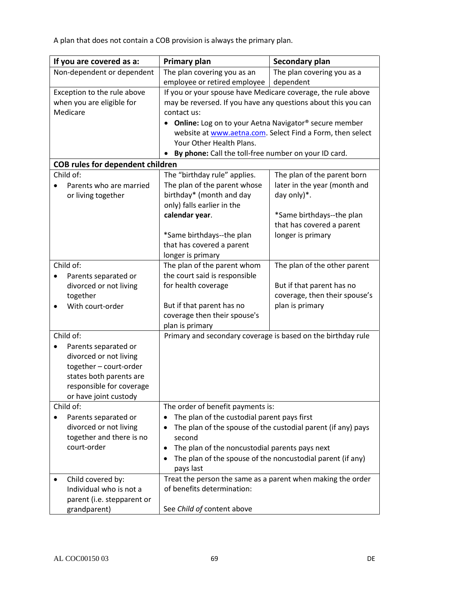A plan that does not contain a COB provision is always the primary plan.

| If you are covered as a:                | <b>Primary plan</b>                                                                       | Secondary plan                                               |
|-----------------------------------------|-------------------------------------------------------------------------------------------|--------------------------------------------------------------|
| Non-dependent or dependent              | The plan covering you as an                                                               | The plan covering you as a                                   |
|                                         | employee or retired employee                                                              | dependent                                                    |
| Exception to the rule above             | If you or your spouse have Medicare coverage, the rule above                              |                                                              |
| when you are eligible for               | may be reversed. If you have any questions about this you can                             |                                                              |
| Medicare                                | contact us:                                                                               |                                                              |
|                                         | Online: Log on to your Aetna Navigator® secure member<br>$\bullet$                        |                                                              |
|                                         |                                                                                           | website at www.aetna.com. Select Find a Form, then select    |
|                                         | Your Other Health Plans.                                                                  |                                                              |
|                                         | By phone: Call the toll-free number on your ID card.                                      |                                                              |
| <b>COB rules for dependent children</b> |                                                                                           |                                                              |
| Child of:                               | The "birthday rule" applies.                                                              | The plan of the parent born                                  |
| Parents who are married                 | The plan of the parent whose                                                              | later in the year (month and                                 |
| or living together                      | birthday* (month and day                                                                  | day only)*.                                                  |
|                                         | only) falls earlier in the                                                                |                                                              |
|                                         | calendar year.                                                                            | *Same birthdays--the plan                                    |
|                                         |                                                                                           | that has covered a parent                                    |
|                                         | *Same birthdays--the plan                                                                 | longer is primary                                            |
|                                         | that has covered a parent                                                                 |                                                              |
|                                         | longer is primary                                                                         |                                                              |
| Child of:                               | The plan of the parent whom                                                               | The plan of the other parent                                 |
| Parents separated or<br>$\bullet$       | the court said is responsible                                                             |                                                              |
| divorced or not living                  | for health coverage                                                                       | But if that parent has no                                    |
| together                                |                                                                                           | coverage, then their spouse's                                |
| With court-order                        | But if that parent has no                                                                 | plan is primary                                              |
|                                         | coverage then their spouse's                                                              |                                                              |
|                                         | plan is primary                                                                           |                                                              |
| Child of:                               | Primary and secondary coverage is based on the birthday rule                              |                                                              |
| Parents separated or                    |                                                                                           |                                                              |
| divorced or not living                  |                                                                                           |                                                              |
| together - court-order                  |                                                                                           |                                                              |
| states both parents are                 |                                                                                           |                                                              |
| responsible for coverage                |                                                                                           |                                                              |
| or have joint custody<br>Child of:      |                                                                                           |                                                              |
|                                         | The order of benefit payments is:                                                         |                                                              |
| Parents separated or                    | The plan of the custodial parent pays first<br>٠                                          |                                                              |
| divorced or not living                  | ٠                                                                                         | The plan of the spouse of the custodial parent (if any) pays |
| together and there is no<br>court-order | second                                                                                    |                                                              |
|                                         | The plan of the noncustodial parents pays next<br>٠                                       |                                                              |
|                                         | ٠                                                                                         | The plan of the spouse of the noncustodial parent (if any)   |
|                                         | pays last                                                                                 |                                                              |
| Child covered by:                       | Treat the person the same as a parent when making the order<br>of benefits determination: |                                                              |
| Individual who is not a                 |                                                                                           |                                                              |
| parent (i.e. stepparent or              |                                                                                           |                                                              |
| grandparent)                            | See Child of content above                                                                |                                                              |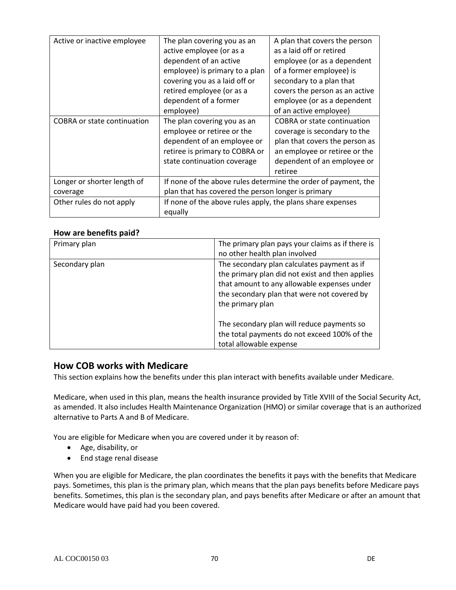| Active or inactive employee        | The plan covering you as an                                    | A plan that covers the person      |
|------------------------------------|----------------------------------------------------------------|------------------------------------|
|                                    | active employee (or as a                                       | as a laid off or retired           |
|                                    | dependent of an active                                         | employee (or as a dependent        |
|                                    | employee) is primary to a plan                                 | of a former employee) is           |
|                                    | covering you as a laid off or                                  | secondary to a plan that           |
|                                    | retired employee (or as a                                      | covers the person as an active     |
|                                    | dependent of a former                                          | employee (or as a dependent        |
|                                    | employee)                                                      | of an active employee)             |
| <b>COBRA or state continuation</b> | The plan covering you as an                                    | <b>COBRA or state continuation</b> |
|                                    | employee or retiree or the                                     | coverage is secondary to the       |
|                                    | dependent of an employee or                                    | plan that covers the person as     |
|                                    | retiree is primary to COBRA or                                 | an employee or retiree or the      |
|                                    | state continuation coverage                                    | dependent of an employee or        |
|                                    |                                                                | retiree                            |
| Longer or shorter length of        | If none of the above rules determine the order of payment, the |                                    |
| coverage                           | plan that has covered the person longer is primary             |                                    |
| Other rules do not apply           | If none of the above rules apply, the plans share expenses     |                                    |
|                                    | equally                                                        |                                    |

### **How are benefits paid?**

| Primary plan   | The primary plan pays your claims as if there is<br>no other health plan involved                                                                                                                                |
|----------------|------------------------------------------------------------------------------------------------------------------------------------------------------------------------------------------------------------------|
| Secondary plan | The secondary plan calculates payment as if<br>the primary plan did not exist and then applies<br>that amount to any allowable expenses under<br>the secondary plan that were not covered by<br>the primary plan |
|                | The secondary plan will reduce payments so<br>the total payments do not exceed 100% of the<br>total allowable expense                                                                                            |

# **How COB works with Medicare**

This section explains how the benefits under this plan interact with benefits available under Medicare.

Medicare, when used in this plan, means the health insurance provided by Title XVIII of the Social Security Act, as amended. It also includes Health Maintenance Organization (HMO) or similar coverage that is an authorized alternative to Parts A and B of Medicare.

You are eligible for Medicare when you are covered under it by reason of:

- Age, disability, or
- End stage renal disease

When you are eligible for Medicare, the plan coordinates the benefits it pays with the benefits that Medicare pays. Sometimes, this plan is the primary plan, which means that the plan pays benefits before Medicare pays benefits. Sometimes, this plan is the secondary plan, and pays benefits after Medicare or after an amount that Medicare would have paid had you been covered.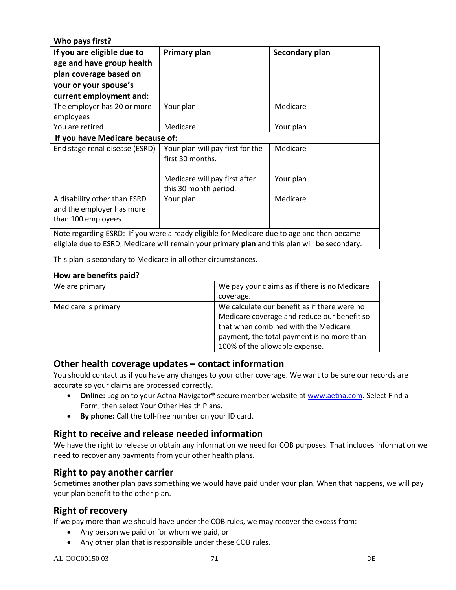**Who pays first?**

| If you are eligible due to<br>age and have group health<br>plan coverage based on<br>your or your spouse's<br>current employment and: | Primary plan                                                                              | Secondary plan |
|---------------------------------------------------------------------------------------------------------------------------------------|-------------------------------------------------------------------------------------------|----------------|
| The employer has 20 or more<br>employees                                                                                              | Your plan                                                                                 | Medicare       |
| You are retired                                                                                                                       | Medicare                                                                                  | Your plan      |
| If you have Medicare because of:                                                                                                      |                                                                                           |                |
| End stage renal disease (ESRD)                                                                                                        | Your plan will pay first for the<br>first 30 months.                                      | Medicare       |
|                                                                                                                                       | Medicare will pay first after<br>this 30 month period.                                    | Your plan      |
| A disability other than ESRD<br>and the employer has more<br>than 100 employees                                                       | Your plan                                                                                 | Medicare       |
|                                                                                                                                       | Note regarding ESRD: If you were already eligible for Medicare due to age and then became |                |

eligible due to ESRD, Medicare will remain your primary **plan** and this plan will be secondary.

This plan is secondary to Medicare in all other circumstances.

#### **How are benefits paid?**

| We are primary      | We pay your claims as if there is no Medicare |
|---------------------|-----------------------------------------------|
|                     | coverage.                                     |
| Medicare is primary | We calculate our benefit as if there were no  |
|                     | Medicare coverage and reduce our benefit so   |
|                     | that when combined with the Medicare          |
|                     | payment, the total payment is no more than    |
|                     | 100% of the allowable expense.                |

# **Other health coverage updates – contact information**

You should contact us if you have any changes to your other coverage. We want to be sure our records are accurate so your claims are processed correctly.

- **Online:** Log on to your Aetna Navigator® secure member website at [www.aetna.com.](http://www.aetna.com/) Select Find a Form, then select Your Other Health Plans.
- **By phone:** Call the toll-free number on your ID card.

# **Right to receive and release needed information**

We have the right to release or obtain any information we need for COB purposes. That includes information we need to recover any payments from your other health plans.

# **Right to pay another carrier**

Sometimes another plan pays something we would have paid under your plan. When that happens, we will pay your plan benefit to the other plan.

# **Right of recovery**

If we pay more than we should have under the COB rules, we may recover the excess from:

- Any person we paid or for whom we paid, or
- Any other plan that is responsible under these COB rules.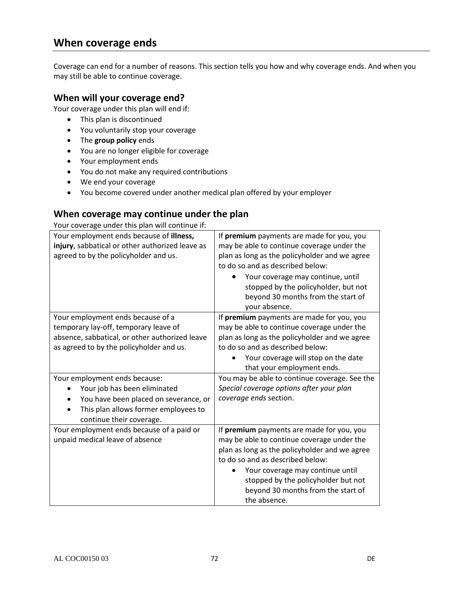# **When coverage ends**

Coverage can end for a number of reasons. This section tells you how and why coverage ends. And when you may still be able to continue coverage.

## **When will your coverage end?**

Your coverage under this plan will end if:

- This plan is discontinued
- You voluntarily stop your coverage
- The **group policy** ends
- You are no longer eligible for coverage
- Your employment ends
- You do not make any required contributions
- We end your coverage
- You become covered under another medical plan offered by your employer

# **When coverage may continue under the plan**

Your coverage under this plan will continue if:

| If premium payments are made for you, you<br>may be able to continue coverage under the<br>plan as long as the policyholder and we agree<br>to do so and as described below: |
|------------------------------------------------------------------------------------------------------------------------------------------------------------------------------|
| Your coverage may continue, until<br>stopped by the policyholder, but not<br>beyond 30 months from the start of<br>your absence.                                             |
| If premium payments are made for you, you                                                                                                                                    |
| may be able to continue coverage under the                                                                                                                                   |
| plan as long as the policyholder and we agree                                                                                                                                |
| to do so and as described below:                                                                                                                                             |
| Your coverage will stop on the date                                                                                                                                          |
| that your employment ends.                                                                                                                                                   |
| You may be able to continue coverage. See the                                                                                                                                |
| Special coverage options after your plan                                                                                                                                     |
| coverage ends section.                                                                                                                                                       |
|                                                                                                                                                                              |
|                                                                                                                                                                              |
| If premium payments are made for you, you                                                                                                                                    |
| may be able to continue coverage under the                                                                                                                                   |
| plan as long as the policyholder and we agree                                                                                                                                |
| to do so and as described below:                                                                                                                                             |
| Your coverage may continue until<br>stopped by the policyholder but not<br>beyond 30 months from the start of<br>the absence.                                                |
|                                                                                                                                                                              |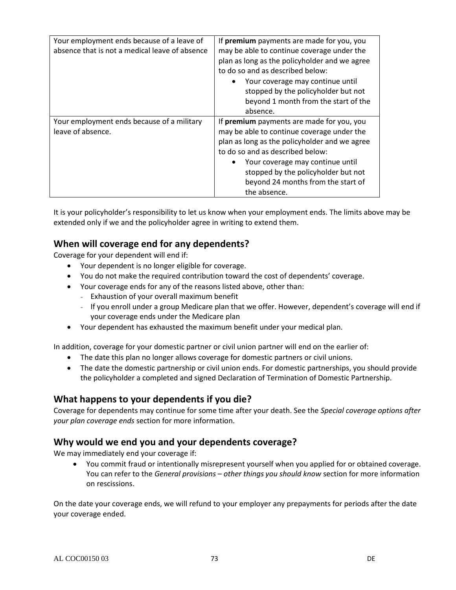| Your employment ends because of a leave of<br>absence that is not a medical leave of absence | If premium payments are made for you, you<br>may be able to continue coverage under the<br>plan as long as the policyholder and we agree<br>to do so and as described below:<br>Your coverage may continue until<br>stopped by the policyholder but not<br>beyond 1 month from the start of the |
|----------------------------------------------------------------------------------------------|-------------------------------------------------------------------------------------------------------------------------------------------------------------------------------------------------------------------------------------------------------------------------------------------------|
|                                                                                              | absence.                                                                                                                                                                                                                                                                                        |
| Your employment ends because of a military                                                   | If premium payments are made for you, you                                                                                                                                                                                                                                                       |
| leave of absence.                                                                            | may be able to continue coverage under the                                                                                                                                                                                                                                                      |
|                                                                                              | plan as long as the policyholder and we agree                                                                                                                                                                                                                                                   |
|                                                                                              | to do so and as described below:                                                                                                                                                                                                                                                                |
|                                                                                              | Your coverage may continue until<br>stopped by the policyholder but not                                                                                                                                                                                                                         |
|                                                                                              | beyond 24 months from the start of                                                                                                                                                                                                                                                              |
|                                                                                              | the absence.                                                                                                                                                                                                                                                                                    |

It is your policyholder's responsibility to let us know when your employment ends. The limits above may be extended only if we and the policyholder agree in writing to extend them.

## **When will coverage end for any dependents?**

Coverage for your dependent will end if:

- Your dependent is no longer eligible for coverage.
- You do not make the required contribution toward the cost of dependents' coverage.
- Your coverage ends for any of the reasons listed above, other than:
	- Exhaustion of your overall maximum benefit
	- If you enroll under a group Medicare plan that we offer. However, dependent's coverage will end if your coverage ends under the Medicare plan
- Your dependent has exhausted the maximum benefit under your medical plan.

In addition, coverage for your domestic partner or civil union partner will end on the earlier of:

- The date this plan no longer allows coverage for domestic partners or civil unions.
- The date the domestic partnership or civil union ends. For domestic partnerships, you should provide the policyholder a completed and signed Declaration of Termination of Domestic Partnership.

## **What happens to your dependents if you die?**

Coverage for dependents may continue for some time after your death. See the *Special coverage options after your plan coverage ends* section for more information.

## **Why would we end you and your dependents coverage?**

We may immediately end your coverage if:

 You commit fraud or intentionally misrepresent yourself when you applied for or obtained coverage. You can refer to the *General provisions – other things you should know* section for more information on rescissions.

On the date your coverage ends, we will refund to your employer any prepayments for periods after the date your coverage ended.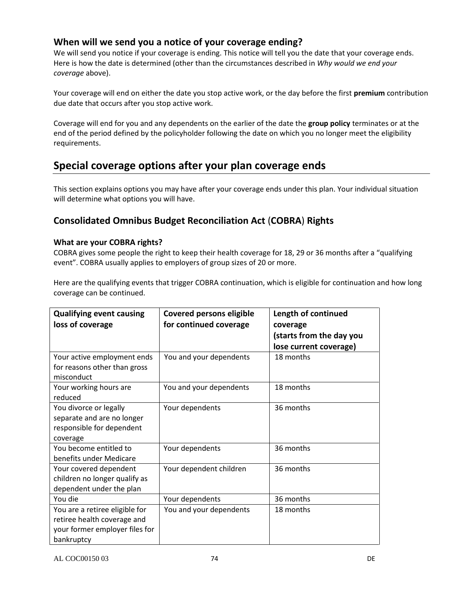## **When will we send you a notice of your coverage ending?**

We will send you notice if your coverage is ending. This notice will tell you the date that your coverage ends. Here is how the date is determined (other than the circumstances described in *Why would we end your coverage* above).

Your coverage will end on either the date you stop active work, or the day before the first **premium** contribution due date that occurs after you stop active work.

Coverage will end for you and any dependents on the earlier of the date the **group policy** terminates or at the end of the period defined by the policyholder following the date on which you no longer meet the eligibility requirements.

## **Special coverage options after your plan coverage ends**

This section explains options you may have after your coverage ends under this plan. Your individual situation will determine what options you will have.

## **Consolidated Omnibus Budget Reconciliation Act** (**COBRA**) **Rights**

#### **What are your COBRA rights?**

COBRA gives some people the right to keep their health coverage for 18, 29 or 36 months after a "qualifying event". COBRA usually applies to employers of group sizes of 20 or more.

Here are the qualifying events that trigger COBRA continuation, which is eligible for continuation and how long coverage can be continued.

| <b>Qualifying event causing</b> | <b>Covered persons eligible</b> | Length of continued      |
|---------------------------------|---------------------------------|--------------------------|
| loss of coverage                | for continued coverage          | coverage                 |
|                                 |                                 | (starts from the day you |
|                                 |                                 | lose current coverage)   |
| Your active employment ends     | You and your dependents         | 18 months                |
| for reasons other than gross    |                                 |                          |
| misconduct                      |                                 |                          |
| Your working hours are          | You and your dependents         | 18 months                |
| reduced                         |                                 |                          |
| You divorce or legally          | Your dependents                 | 36 months                |
| separate and are no longer      |                                 |                          |
| responsible for dependent       |                                 |                          |
| coverage                        |                                 |                          |
| You become entitled to          | Your dependents                 | 36 months                |
| benefits under Medicare         |                                 |                          |
| Your covered dependent          | Your dependent children         | 36 months                |
| children no longer qualify as   |                                 |                          |
| dependent under the plan        |                                 |                          |
| You die                         | Your dependents                 | 36 months                |
| You are a retiree eligible for  | You and your dependents         | 18 months                |
| retiree health coverage and     |                                 |                          |
| your former employer files for  |                                 |                          |
| bankruptcy                      |                                 |                          |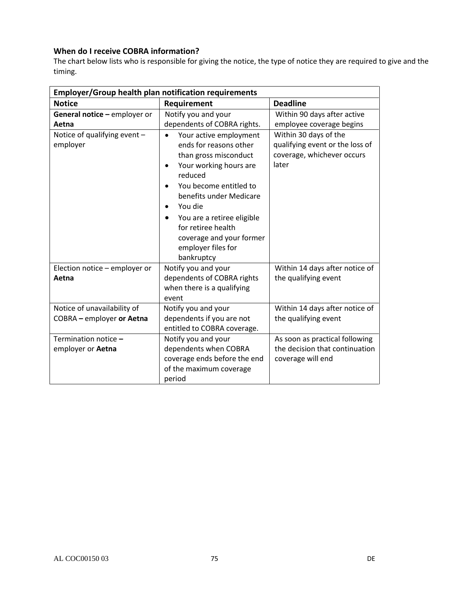## **When do I receive COBRA information?**

The chart below lists who is responsible for giving the notice, the type of notice they are required to give and the timing.

| <b>Employer/Group health plan notification requirements</b> |                                                                                                                                                                                                                                                                                                                                                             |                                                                                                 |  |
|-------------------------------------------------------------|-------------------------------------------------------------------------------------------------------------------------------------------------------------------------------------------------------------------------------------------------------------------------------------------------------------------------------------------------------------|-------------------------------------------------------------------------------------------------|--|
| <b>Notice</b>                                               | Requirement                                                                                                                                                                                                                                                                                                                                                 | <b>Deadline</b>                                                                                 |  |
| General notice - employer or<br>Aetna                       | Notify you and your<br>dependents of COBRA rights.                                                                                                                                                                                                                                                                                                          | Within 90 days after active<br>employee coverage begins                                         |  |
| Notice of qualifying event -<br>employer                    | Your active employment<br>$\bullet$<br>ends for reasons other<br>than gross misconduct<br>Your working hours are<br>$\bullet$<br>reduced<br>You become entitled to<br>$\bullet$<br>benefits under Medicare<br>You die<br>$\bullet$<br>You are a retiree eligible<br>٠<br>for retiree health<br>coverage and your former<br>employer files for<br>bankruptcy | Within 30 days of the<br>qualifying event or the loss of<br>coverage, whichever occurs<br>later |  |
| Election notice - employer or<br>Aetna                      | Notify you and your<br>dependents of COBRA rights<br>when there is a qualifying<br>event                                                                                                                                                                                                                                                                    | Within 14 days after notice of<br>the qualifying event                                          |  |
| Notice of unavailability of<br>COBRA - employer or Aetna    | Notify you and your<br>dependents if you are not<br>entitled to COBRA coverage.                                                                                                                                                                                                                                                                             | Within 14 days after notice of<br>the qualifying event                                          |  |
| Termination notice -<br>employer or Aetna                   | Notify you and your<br>dependents when COBRA<br>coverage ends before the end<br>of the maximum coverage<br>period                                                                                                                                                                                                                                           | As soon as practical following<br>the decision that continuation<br>coverage will end           |  |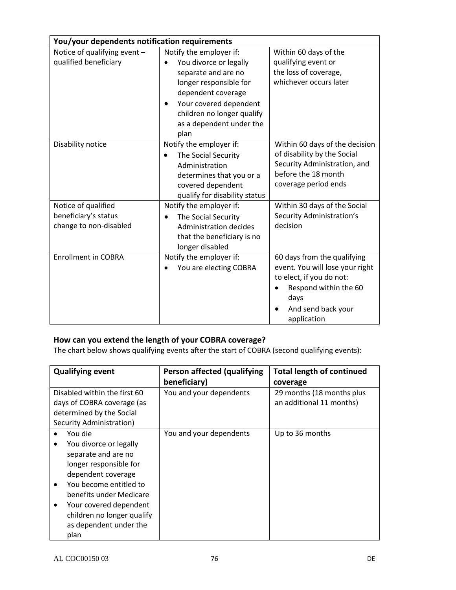| You/your dependents notification requirements                         |                                                                                                                                                                                                                                                |                                                                                                                                                                  |  |
|-----------------------------------------------------------------------|------------------------------------------------------------------------------------------------------------------------------------------------------------------------------------------------------------------------------------------------|------------------------------------------------------------------------------------------------------------------------------------------------------------------|--|
| Notice of qualifying event -<br>qualified beneficiary                 | Notify the employer if:<br>You divorce or legally<br>$\bullet$<br>separate and are no<br>longer responsible for<br>dependent coverage<br>Your covered dependent<br>$\bullet$<br>children no longer qualify<br>as a dependent under the<br>plan | Within 60 days of the<br>qualifying event or<br>the loss of coverage,<br>whichever occurs later                                                                  |  |
| Disability notice                                                     | Notify the employer if:<br>The Social Security<br>$\bullet$<br>Administration<br>determines that you or a<br>covered dependent<br>qualify for disability status                                                                                | Within 60 days of the decision<br>of disability by the Social<br>Security Administration, and<br>before the 18 month<br>coverage period ends                     |  |
| Notice of qualified<br>beneficiary's status<br>change to non-disabled | Notify the employer if:<br>The Social Security<br>$\bullet$<br>Administration decides<br>that the beneficiary is no<br>longer disabled                                                                                                         | Within 30 days of the Social<br>Security Administration's<br>decision                                                                                            |  |
| <b>Enrollment in COBRA</b>                                            | Notify the employer if:<br>You are electing COBRA                                                                                                                                                                                              | 60 days from the qualifying<br>event. You will lose your right<br>to elect, if you do not:<br>Respond within the 60<br>days<br>And send back your<br>application |  |

## **How can you extend the length of your COBRA coverage?**

The chart below shows qualifying events after the start of COBRA (second qualifying events):

| <b>Qualifying event</b>      | Person affected (qualifying | <b>Total length of continued</b> |
|------------------------------|-----------------------------|----------------------------------|
|                              | beneficiary)                | coverage                         |
| Disabled within the first 60 | You and your dependents     | 29 months (18 months plus        |
| days of COBRA coverage (as   |                             | an additional 11 months)         |
| determined by the Social     |                             |                                  |
| Security Administration)     |                             |                                  |
| You die                      | You and your dependents     | Up to 36 months                  |
| You divorce or legally       |                             |                                  |
| separate and are no          |                             |                                  |
| longer responsible for       |                             |                                  |
| dependent coverage           |                             |                                  |
| You become entitled to       |                             |                                  |
| benefits under Medicare      |                             |                                  |
| Your covered dependent       |                             |                                  |
| children no longer qualify   |                             |                                  |
| as dependent under the       |                             |                                  |
| plan                         |                             |                                  |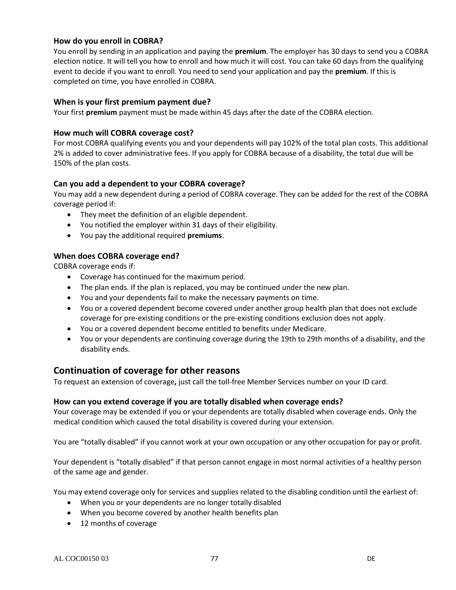#### **How do you enroll in COBRA?**

You enroll by sending in an application and paying the **premium**. The employer has 30 days to send you a COBRA election notice. It will tell you how to enroll and how much it will cost. You can take 60 days from the qualifying event to decide if you want to enroll. You need to send your application and pay the **premium**. If this is completed on time, you have enrolled in COBRA.

#### **When is your first premium payment due?**

Your first **premium** payment must be made within 45 days after the date of the COBRA election.

#### **How much will COBRA coverage cost?**

For most COBRA qualifying events you and your dependents will pay 102% of the total plan costs. This additional 2% is added to cover administrative fees. If you apply for COBRA because of a disability, the total due will be 150% of the plan costs.

#### **Can you add a dependent to your COBRA coverage?**

You may add a new dependent during a period of COBRA coverage. They can be added for the rest of the COBRA coverage period if:

- They meet the definition of an eligible dependent.
- You notified the employer within 31 days of their eligibility.
- You pay the additional required **premiums**.

#### **When does COBRA coverage end?**

COBRA coverage ends if:

- Coverage has continued for the maximum period.
- The plan ends. If the plan is replaced, you may be continued under the new plan.
- You and your dependents fail to make the necessary payments on time.
- You or a covered dependent become covered under another group health plan that does not exclude coverage for pre-existing conditions or the pre-existing conditions exclusion does not apply.
- You or a covered dependent become entitled to benefits under Medicare.
- You or your dependents are continuing coverage during the 19th to 29th months of a disability, and the disability ends.

#### **Continuation of coverage for other reasons**

To request an extension of coverage**,** just call the toll-free Member Services number on your ID card.

#### **How can you extend coverage if you are totally disabled when coverage ends?**

Your coverage may be extended if you or your dependents are totally disabled when coverage ends. Only the medical condition which caused the total disability is covered during your extension.

You are "totally disabled" if you cannot work at your own occupation or any other occupation for pay or profit.

Your dependent is "totally disabled" if that person cannot engage in most normal activities of a healthy person of the same age and gender.

You may extend coverage only for services and supplies related to the disabling condition until the earliest of:

- When you or your dependents are no longer totally disabled
- When you become covered by another health benefits plan
- 12 months of coverage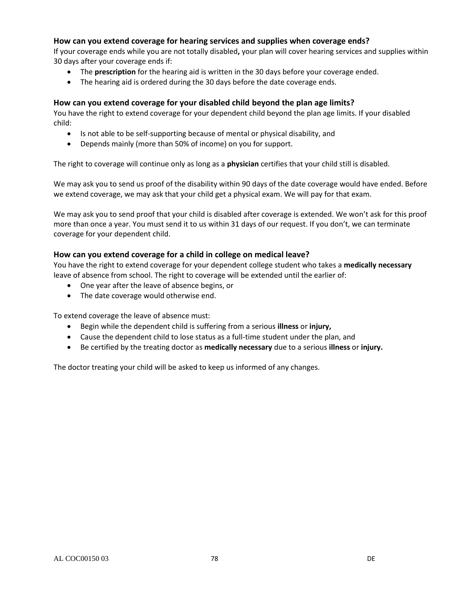#### **How can you extend coverage for hearing services and supplies when coverage ends?**

If your coverage ends while you are not totally disabled**,** your plan will cover hearing services and supplies within 30 days after your coverage ends if:

- The **prescription** for the hearing aid is written in the 30 days before your coverage ended.
- The hearing aid is ordered during the 30 days before the date coverage ends.

#### **How can you extend coverage for your disabled child beyond the plan age limits?**

You have the right to extend coverage for your dependent child beyond the plan age limits. If your disabled child:

- Is not able to be self-supporting because of mental or physical disability, and
- Depends mainly (more than 50% of income) on you for support.

The right to coverage will continue only as long as a **physician** certifies that your child still is disabled.

We may ask you to send us proof of the disability within 90 days of the date coverage would have ended. Before we extend coverage, we may ask that your child get a physical exam. We will pay for that exam.

We may ask you to send proof that your child is disabled after coverage is extended. We won't ask for this proof more than once a year. You must send it to us within 31 days of our request. If you don't, we can terminate coverage for your dependent child.

#### **How can you extend coverage for a child in college on medical leave?**

You have the right to extend coverage for your dependent college student who takes a **medically necessary** leave of absence from school. The right to coverage will be extended until the earlier of:

- One year after the leave of absence begins, or
- The date coverage would otherwise end.

To extend coverage the leave of absence must:

- Begin while the dependent child is suffering from a serious **illness** or **injury,**
- Cause the dependent child to lose status as a full-time student under the plan, and
- Be certified by the treating doctor as **medically necessary** due to a serious **illness** or **injury.**

The doctor treating your child will be asked to keep us informed of any changes.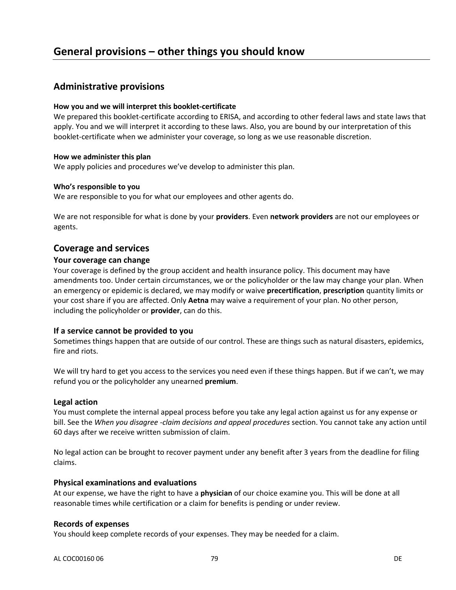## **Administrative provisions**

#### **How you and we will interpret this booklet-certificate**

We prepared this booklet-certificate according to ERISA, and according to other federal laws and state laws that apply. You and we will interpret it according to these laws. Also, you are bound by our interpretation of this booklet-certificate when we administer your coverage, so long as we use reasonable discretion.

#### **How we administer this plan**

We apply policies and procedures we've develop to administer this plan.

#### **Who's responsible to you**

We are responsible to you for what our employees and other agents do.

We are not responsible for what is done by your **providers**. Even **network providers** are not our employees or agents.

#### **Coverage and services**

#### **Your coverage can change**

Your coverage is defined by the group accident and health insurance policy. This document may have amendments too. Under certain circumstances, we or the policyholder or the law may change your plan. When an emergency or epidemic is declared, we may modify or waive **precertification**, **prescription** quantity limits or your cost share if you are affected. Only **Aetna** may waive a requirement of your plan. No other person, including the policyholder or **provider**, can do this.

#### **If a service cannot be provided to you**

Sometimes things happen that are outside of our control. These are things such as natural disasters, epidemics, fire and riots.

We will try hard to get you access to the services you need even if these things happen. But if we can't, we may refund you or the policyholder any unearned **premium**.

#### **Legal action**

You must complete the internal appeal process before you take any legal action against us for any expense or bill. See the *When you disagree -claim decisions and appeal procedures* section. You cannot take any action until 60 days after we receive written submission of claim.

No legal action can be brought to recover payment under any benefit after 3 years from the deadline for filing claims.

#### **Physical examinations and evaluations**

At our expense, we have the right to have a **physician** of our choice examine you. This will be done at all reasonable times while certification or a claim for benefits is pending or under review.

#### **Records of expenses**

You should keep complete records of your expenses. They may be needed for a claim.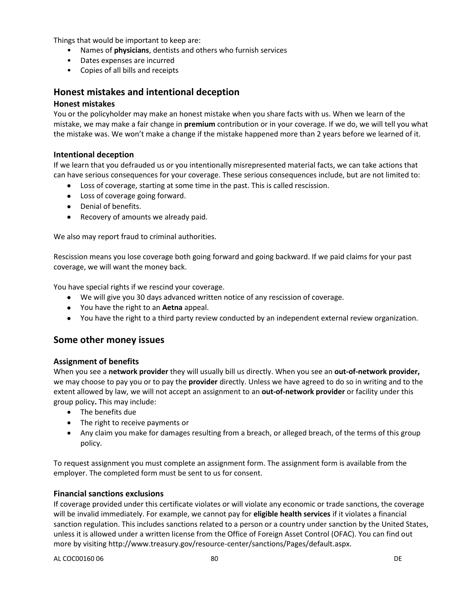Things that would be important to keep are:

- Names of **physicians**, dentists and others who furnish services
- Dates expenses are incurred
- Copies of all bills and receipts

## **Honest mistakes and intentional deception**

#### **Honest mistakes**

You or the policyholder may make an honest mistake when you share facts with us. When we learn of the mistake, we may make a fair change in **premium** contribution or in your coverage. If we do, we will tell you what the mistake was. We won't make a change if the mistake happened more than 2 years before we learned of it.

#### **Intentional deception**

If we learn that you defrauded us or you intentionally misrepresented material facts, we can take actions that can have serious consequences for your coverage. These serious consequences include, but are not limited to:

- Loss of coverage, starting at some time in the past. This is called rescission.
- Loss of coverage going forward.
- Denial of benefits.
- Recovery of amounts we already paid.

We also may report fraud to criminal authorities.

Rescission means you lose coverage both going forward and going backward. If we paid claims for your past coverage, we will want the money back.

You have special rights if we rescind your coverage.

- We will give you 30 days advanced written notice of any rescission of coverage.
- You have the right to an **Aetna** appeal.
- You have the right to a third party review conducted by an independent external review organization.

## **Some other money issues**

#### **Assignment of benefits**

When you see a **network provider** they will usually bill us directly. When you see an **out-of-network provider,** we may choose to pay you or to pay the **provider** directly. Unless we have agreed to do so in writing and to the extent allowed by law, we will not accept an assignment to an **out-of-network provider** or facility under this group policy**.** This may include:

- The benefits due
- The right to receive payments or
- Any claim you make for damages resulting from a breach, or alleged breach, of the terms of this group policy.

To request assignment you must complete an assignment form. The assignment form is available from the employer. The completed form must be sent to us for consent.

#### **Financial sanctions exclusions**

If coverage provided under this certificate violates or will violate any economic or trade sanctions, the coverage will be invalid immediately. For example, we cannot pay for **eligible health services** if it violates a financial sanction regulation. This includes sanctions related to a person or a country under sanction by the United States, unless it is allowed under a written license from the Office of Foreign Asset Control (OFAC). You can find out more by visiting http://www.treasury.gov/resource-center/sanctions/Pages/default.aspx.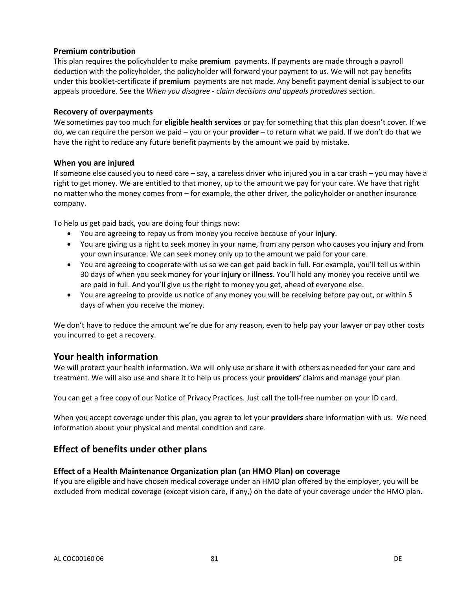#### **Premium contribution**

This plan requires the policyholder to make **premium** payments. If payments are made through a payroll deduction with the policyholder, the policyholder will forward your payment to us. We will not pay benefits under this booklet-certificate if **premium** payments are not made. Any benefit payment denial is subject to our appeals procedure. See the *When you disagree -* c*laim decisions and appeals procedures* section.

#### **Recovery of overpayments**

We sometimes pay too much for **eligible health services** or pay for something that this plan doesn't cover. If we do, we can require the person we paid – you or your **provider** – to return what we paid. If we don't do that we have the right to reduce any future benefit payments by the amount we paid by mistake.

#### **When you are injured**

If someone else caused you to need care – say, a careless driver who injured you in a car crash – you may have a right to get money. We are entitled to that money, up to the amount we pay for your care. We have that right no matter who the money comes from – for example, the other driver, the policyholder or another insurance company.

To help us get paid back, you are doing four things now:

- You are agreeing to repay us from money you receive because of your **injury**.
- You are giving us a right to seek money in your name, from any person who causes you **injury** and from your own insurance. We can seek money only up to the amount we paid for your care.
- You are agreeing to cooperate with us so we can get paid back in full. For example, you'll tell us within 30 days of when you seek money for your **injury** or **illness**. You'll hold any money you receive until we are paid in full. And you'll give us the right to money you get, ahead of everyone else.
- You are agreeing to provide us notice of any money you will be receiving before pay out, or within 5 days of when you receive the money.

We don't have to reduce the amount we're due for any reason, even to help pay your lawyer or pay other costs you incurred to get a recovery.

#### **Your health information**

We will protect your health information. We will only use or share it with others as needed for your care and treatment. We will also use and share it to help us process your **providers'** claims and manage your plan

You can get a free copy of our Notice of Privacy Practices. Just call the toll-free number on your ID card.

When you accept coverage under this plan, you agree to let your **providers** share information with us. We need information about your physical and mental condition and care.

## **Effect of benefits under other plans**

#### **Effect of a Health Maintenance Organization plan (an HMO Plan) on coverage**

If you are eligible and have chosen medical coverage under an HMO plan offered by the employer, you will be excluded from medical coverage (except vision care, if any,) on the date of your coverage under the HMO plan.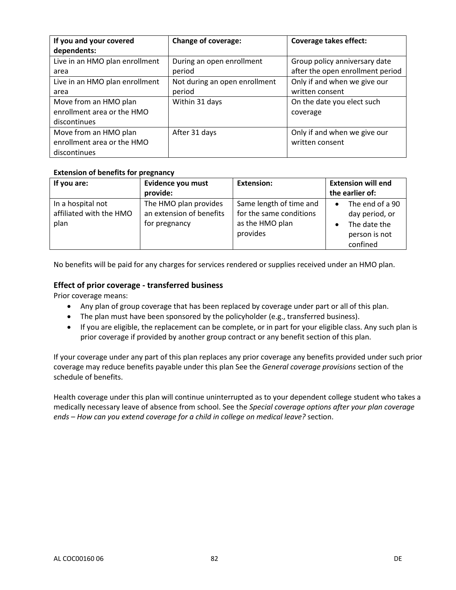| If you and your covered<br>dependents: | <b>Change of coverage:</b>    | <b>Coverage takes effect:</b>    |
|----------------------------------------|-------------------------------|----------------------------------|
| Live in an HMO plan enrollment         | During an open enrollment     | Group policy anniversary date    |
| area                                   | period                        | after the open enrollment period |
| Live in an HMO plan enrollment         | Not during an open enrollment | Only if and when we give our     |
| area                                   | period                        | written consent                  |
| Move from an HMO plan                  | Within 31 days                | On the date you elect such       |
| enrollment area or the HMO             |                               | coverage                         |
| discontinues                           |                               |                                  |
| Move from an HMO plan                  | After 31 days                 | Only if and when we give our     |
| enrollment area or the HMO             |                               | written consent                  |
| discontinues                           |                               |                                  |

#### **Extension of benefits for pregnancy**

| If you are:                                          | Evidence you must<br>provide:                                      | <b>Extension:</b>                                                                 | <b>Extension will end</b><br>the earlier of:                                   |
|------------------------------------------------------|--------------------------------------------------------------------|-----------------------------------------------------------------------------------|--------------------------------------------------------------------------------|
| In a hospital not<br>affiliated with the HMO<br>plan | The HMO plan provides<br>an extension of benefits<br>for pregnancy | Same length of time and<br>for the same conditions<br>as the HMO plan<br>provides | The end of a 90<br>day period, or<br>The date the<br>person is not<br>confined |

No benefits will be paid for any charges for services rendered or supplies received under an HMO plan.

#### **Effect of prior coverage - transferred business**

Prior coverage means:

- Any plan of group coverage that has been replaced by coverage under part or all of this plan.
- The plan must have been sponsored by the policyholder (e.g., transferred business).
- If you are eligible, the replacement can be complete, or in part for your eligible class. Any such plan is prior coverage if provided by another group contract or any benefit section of this plan.

If your coverage under any part of this plan replaces any prior coverage any benefits provided under such prior coverage may reduce benefits payable under this plan See the *General coverage provisions* section of the schedule of benefits.

Health coverage under this plan will continue uninterrupted as to your dependent college student who takes a medically necessary leave of absence from school. See the *Special coverage options after your plan coverage ends – How can you extend coverage for a child in college on medical leave?* section.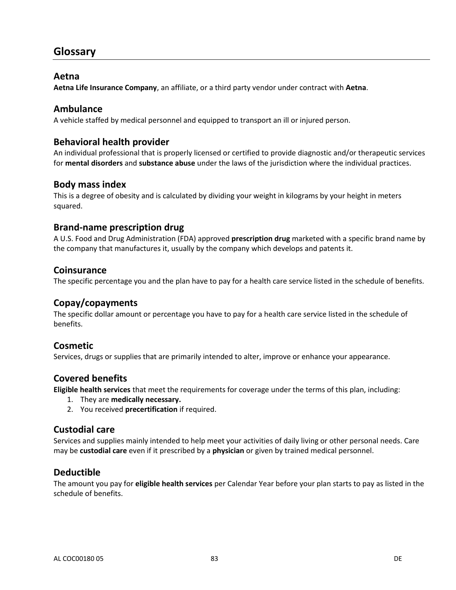## **Glossary**

#### **Aetna**

**Aetna Life Insurance Company**, an affiliate, or a third party vendor under contract with **Aetna**.

#### **Ambulance**

A vehicle staffed by medical personnel and equipped to transport an ill or injured person.

#### **Behavioral health provider**

An individual professional that is properly licensed or certified to provide diagnostic and/or therapeutic services for **mental disorders** and **substance abuse** under the laws of the jurisdiction where the individual practices.

#### **Body mass index**

This is a degree of obesity and is calculated by dividing your weight in kilograms by your height in meters squared.

#### **Brand-name prescription drug**

A U.S. Food and Drug Administration (FDA) approved **prescription drug** marketed with a specific brand name by the company that manufactures it, usually by the company which develops and patents it.

#### **Coinsurance**

The specific percentage you and the plan have to pay for a health care service listed in the schedule of benefits.

## **Copay/copayments**

The specific dollar amount or percentage you have to pay for a health care service listed in the schedule of benefits.

#### **Cosmetic**

Services, drugs or supplies that are primarily intended to alter, improve or enhance your appearance.

## **Covered benefits**

**Eligible health services** that meet the requirements for coverage under the terms of this plan, including:

- 1. They are **medically necessary.**
- 2. You received **precertification** if required.

#### **Custodial care**

Services and supplies mainly intended to help meet your activities of daily living or other personal needs. Care may be **custodial care** even if it prescribed by a **physician** or given by trained medical personnel.

## **Deductible**

The amount you pay for **eligible health services** per Calendar Year before your plan starts to pay as listed in the schedule of benefits.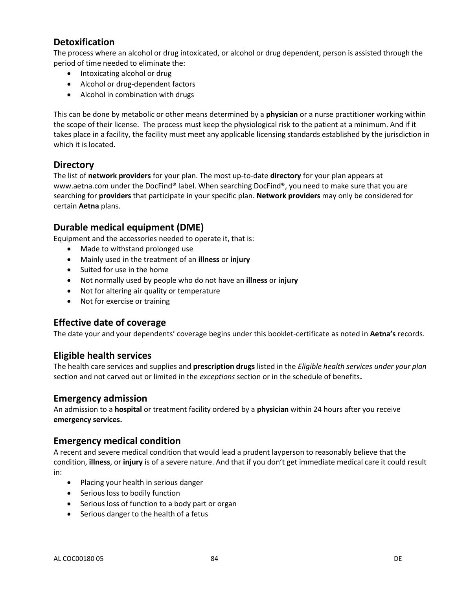## **Detoxification**

The process where an alcohol or drug intoxicated, or alcohol or drug dependent, person is assisted through the period of time needed to eliminate the:

- Intoxicating alcohol or drug
- Alcohol or drug-dependent factors
- Alcohol in combination with drugs

This can be done by metabolic or other means determined by a **physician** or a nurse practitioner working within the scope of their license. The process must keep the physiological risk to the patient at a minimum. And if it takes place in a facility, the facility must meet any applicable licensing standards established by the jurisdiction in which it is located.

## **Directory**

The list of **network providers** for your plan. The most up-to-date **directory** for your plan appears at www.aetna.com under the DocFind® label. When searching DocFind®, you need to make sure that you are searching for **providers** that participate in your specific plan. **Network providers** may only be considered for certain **Aetna** plans.

## **Durable medical equipment (DME)**

Equipment and the accessories needed to operate it, that is:

- Made to withstand prolonged use
- Mainly used in the treatment of an **illness** or **injury**
- Suited for use in the home
- Not normally used by people who do not have an **illness** or **injury**
- Not for altering air quality or temperature
- Not for exercise or training

## **Effective date of coverage**

The date your and your dependents' coverage begins under this booklet-certificate as noted in **Aetna's** records.

## **Eligible health services**

The health care services and supplies and **prescription drugs** listed in the *Eligible health services under your plan* section and not carved out or limited in the *exceptions* section or in the schedule of benefits**.**

## **Emergency admission**

An admission to a **hospital** or treatment facility ordered by a **physician** within 24 hours after you receive **emergency services.**

#### **Emergency medical condition**

A recent and severe medical condition that would lead a prudent layperson to reasonably believe that the condition, **illness**, or **injury** is of a severe nature. And that if you don't get immediate medical care it could result in:

- Placing your health in serious danger
- Serious loss to bodily function
- Serious loss of function to a body part or organ
- Serious danger to the health of a fetus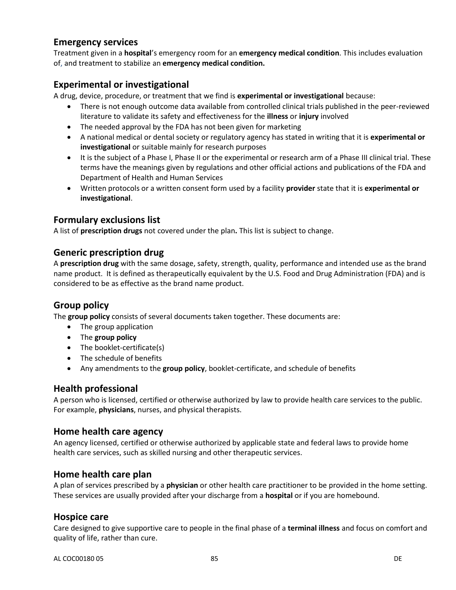## **Emergency services**

Treatment given in a **hospital**'s emergency room for an **emergency medical condition**. This includes evaluation of, and treatment to stabilize an **emergency medical condition.**

## **Experimental or investigational**

A drug, device, procedure, or treatment that we find is **experimental or investigational** because:

- There is not enough outcome data available from controlled clinical trials published in the peer-reviewed literature to validate its safety and effectiveness for the **illness** or **injury** involved
- The needed approval by the FDA has not been given for marketing
- A national medical or dental society or regulatory agency has stated in writing that it is **experimental or investigational** or suitable mainly for research purposes
- It is the subject of a Phase I, Phase II or the experimental or research arm of a Phase III clinical trial. These terms have the meanings given by regulations and other official actions and publications of the FDA and Department of Health and Human Services
- Written protocols or a written consent form used by a facility **provider** state that it is **experimental or investigational**.

## **Formulary exclusions list**

A list of **prescription drugs** not covered under the plan**.** This list is subject to change.

## **Generic prescription drug**

A **prescription drug** with the same dosage, safety, strength, quality, performance and intended use as the brand name product. It is defined as therapeutically equivalent by the U.S. Food and Drug Administration (FDA) and is considered to be as effective as the brand name product.

## **Group policy**

The **group policy** consists of several documents taken together. These documents are:

- The group application
- The **group policy**
- The booklet-certificate(s)
- The schedule of benefits
- Any amendments to the **group policy**, booklet-certificate, and schedule of benefits

## **Health professional**

A person who is licensed, certified or otherwise authorized by law to provide health care services to the public. For example, **physicians**, nurses, and physical therapists.

#### **Home health care agency**

An agency licensed, certified or otherwise authorized by applicable state and federal laws to provide home health care services, such as skilled nursing and other therapeutic services.

## **Home health care plan**

A plan of services prescribed by a **physician** or other health care practitioner to be provided in the home setting. These services are usually provided after your discharge from a **hospital** or if you are homebound.

#### **Hospice care**

Care designed to give supportive care to people in the final phase of a **terminal illness** and focus on comfort and quality of life, rather than cure.

AL COC00180 05 DE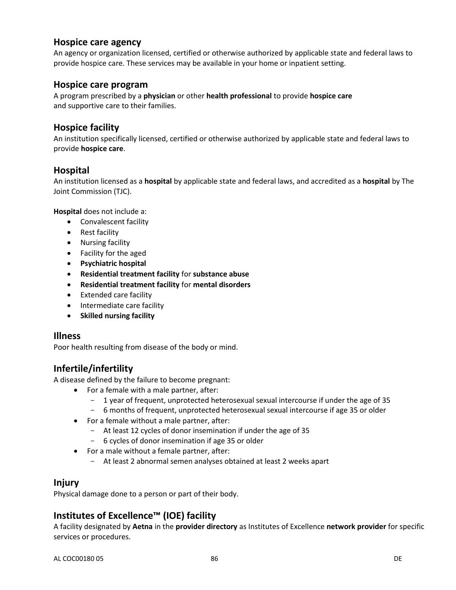## **Hospice care agency**

An agency or organization licensed, certified or otherwise authorized by applicable state and federal laws to provide hospice care. These services may be available in your home or inpatient setting.

#### **Hospice care program**

A program prescribed by a **physician** or other **health professional** to provide **hospice care** and supportive care to their families.

## **Hospice facility**

An institution specifically licensed, certified or otherwise authorized by applicable state and federal laws to provide **hospice care**.

## **Hospital**

An institution licensed as a **hospital** by applicable state and federal laws, and accredited as a **hospital** by The Joint Commission (TJC).

**Hospital** does not include a:

- Convalescent facility
- Rest facility
- Nursing facility
- Facility for the aged
- **Psychiatric hospital**
- **Residential treatment facility** for **substance abuse**
- **Residential treatment facility** for **mental disorders**
- Extended care facility
- Intermediate care facility
- **•** Skilled nursing facility

#### **Illness**

Poor health resulting from disease of the body or mind.

## **Infertile/infertility**

A disease defined by the failure to become pregnant:

- For a female with a male partner, after:
	- 1 year of frequent, unprotected heterosexual sexual intercourse if under the age of 35
	- 6 months of frequent, unprotected heterosexual sexual intercourse if age 35 or older
- For a female without a male partner, after:
	- At least 12 cycles of donor insemination if under the age of 35
	- 6 cycles of donor insemination if age 35 or older
- For a male without a female partner, after:
	- At least 2 abnormal semen analyses obtained at least 2 weeks apart

## **Injury**

Physical damage done to a person or part of their body.

## **Institutes of Excellence™ (IOE) facility**

A facility designated by **Aetna** in the **provider directory** as Institutes of Excellence **network provider** for specific services or procedures.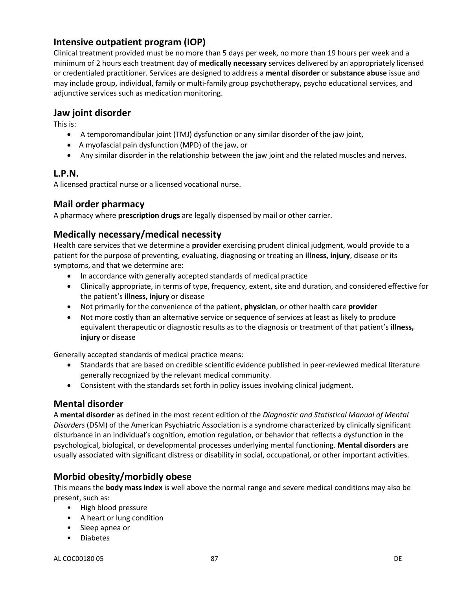## **Intensive outpatient program (IOP)**

Clinical treatment provided must be no more than 5 days per week, no more than 19 hours per week and a minimum of 2 hours each treatment day of **medically necessary** services delivered by an appropriately licensed or credentialed practitioner. Services are designed to address a **mental disorder** or **substance abuse** issue and may include group, individual, family or multi-family group psychotherapy, psycho educational services, and adjunctive services such as medication monitoring.

#### **Jaw joint disorder**

This is:

- A temporomandibular joint (TMJ) dysfunction or any similar disorder of the jaw joint,
- A myofascial pain dysfunction (MPD) of the jaw, or
- Any similar disorder in the relationship between the jaw joint and the related muscles and nerves.

## **L.P.N.**

A licensed practical nurse or a licensed vocational nurse.

## **Mail order pharmacy**

A pharmacy where **prescription drugs** are legally dispensed by mail or other carrier.

## **Medically necessary/medical necessity**

Health care services that we determine a **provider** exercising prudent clinical judgment, would provide to a patient for the purpose of preventing, evaluating, diagnosing or treating an **illness, injury**, disease or its symptoms, and that we determine are:

- In accordance with generally accepted standards of medical practice
- Clinically appropriate, in terms of type, frequency, extent, site and duration, and considered effective for the patient's **illness, injury** or disease
- Not primarily for the convenience of the patient, **physician**, or other health care **provider**
- Not more costly than an alternative service or sequence of services at least as likely to produce equivalent therapeutic or diagnostic results as to the diagnosis or treatment of that patient's **illness, injury** or disease

Generally accepted standards of medical practice means:

- Standards that are based on credible scientific evidence published in peer-reviewed medical literature generally recognized by the relevant medical community.
- Consistent with the standards set forth in policy issues involving clinical judgment.

## **Mental disorder**

A **mental disorder** as defined in the most recent edition of the *Diagnostic and Statistical Manual of Mental Disorders* (DSM) of the American Psychiatric Association is a syndrome characterized by clinically significant disturbance in an individual's cognition, emotion regulation, or behavior that reflects a dysfunction in the psychological, biological, or developmental processes underlying mental functioning. **Mental disorders** are usually associated with significant distress or disability in social, occupational, or other important activities.

## **Morbid obesity/morbidly obese**

This means the **body mass index** is well above the normal range and severe medical conditions may also be present, such as:

- High blood pressure
- A heart or lung condition
- Sleep apnea or
- Diabetes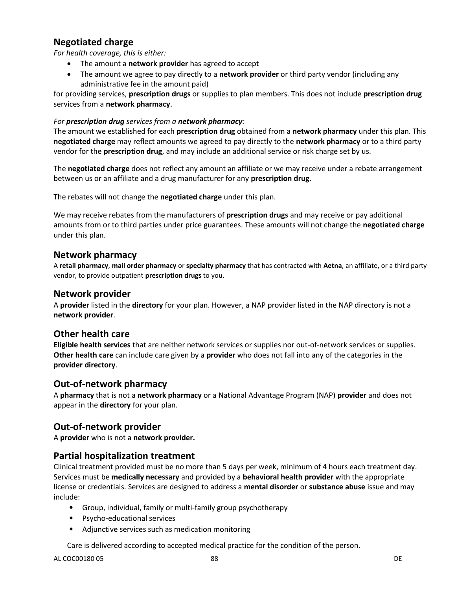## **Negotiated charge**

*For health coverage, this is either:*

- The amount a **network provider** has agreed to accept
- The amount we agree to pay directly to a **network provider** or third party vendor (including any administrative fee in the amount paid)

for providing services, **prescription drugs** or supplies to plan members. This does not include **prescription drug** services from a **network pharmacy**.

#### *For prescription drug services from a network pharmacy:*

The amount we established for each **prescription drug** obtained from a **network pharmacy** under this plan. This **negotiated charge** may reflect amounts we agreed to pay directly to the **network pharmacy** or to a third party vendor for the **prescription drug**, and may include an additional service or risk charge set by us.

The **negotiated charge** does not reflect any amount an affiliate or we may receive under a rebate arrangement between us or an affiliate and a drug manufacturer for any **prescription drug**.

The rebates will not change the **negotiated charge** under this plan.

We may receive rebates from the manufacturers of **prescription drugs** and may receive or pay additional amounts from or to third parties under price guarantees. These amounts will not change the **negotiated charge** under this plan.

## **Network pharmacy**

A **retail pharmacy**, **mail order pharmacy** or **specialty pharmacy** that has contracted with **Aetna**, an affiliate, or a third party vendor, to provide outpatient **prescription drugs** to you.

#### **Network provider**

A **provider** listed in the **directory** for your plan. However, a NAP provider listed in the NAP directory is not a **network provider**.

## **Other health care**

**Eligible health services** that are neither network services or supplies nor out-of-network services or supplies. **Other health care** can include care given by a **provider** who does not fall into any of the categories in the **provider directory**.

## **Out-of-network pharmacy**

A **pharmacy** that is not a **network pharmacy** or a National Advantage Program (NAP) **provider** and does not appear in the **directory** for your plan.

## **Out-of-network provider**

A **provider** who is not a **network provider.**

## **Partial hospitalization treatment**

Clinical treatment provided must be no more than 5 days per week, minimum of 4 hours each treatment day. Services must be **medically necessary** and provided by a **behavioral health provider** with the appropriate license or credentials. Services are designed to address a **mental disorder** or **substance abuse** issue and may include:

- Group, individual, family or multi-family group psychotherapy
- Psycho-educational services
- Adjunctive services such as medication monitoring

Care is delivered according to accepted medical practice for the condition of the person.

AL COC00180 05 DE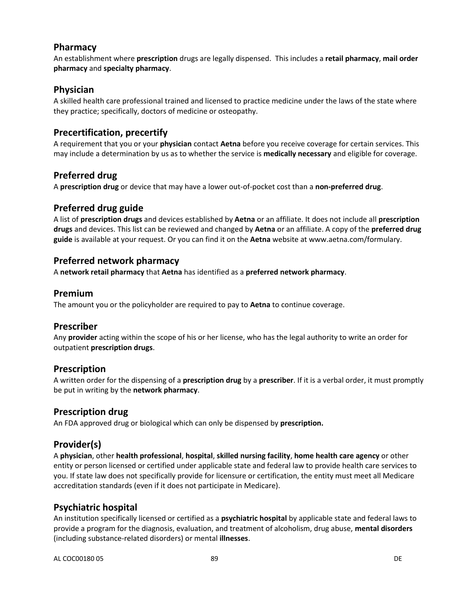## **Pharmacy**

An establishment where **prescription** drugs are legally dispensed. This includes a **retail pharmacy**, **mail order pharmacy** and **specialty pharmacy**.

## **Physician**

A skilled health care professional trained and licensed to practice medicine under the laws of the state where they practice; specifically, doctors of medicine or osteopathy.

## **Precertification, precertify**

A requirement that you or your **physician** contact **Aetna** before you receive coverage for certain services. This may include a determination by us as to whether the service is **medically necessary** and eligible for coverage.

## **Preferred drug**

A **prescription drug** or device that may have a lower out-of-pocket cost than a **non-preferred drug**.

## **Preferred drug guide**

A list of **prescription drugs** and devices established by **Aetna** or an affiliate. It does not include all **prescription drugs** and devices. This list can be reviewed and changed by **Aetna** or an affiliate. A copy of the **preferred drug guide** is available at your request. Or you can find it on the **Aetna** website at www.aetna.com/formulary.

## **Preferred network pharmacy**

A **network retail pharmacy** that **Aetna** has identified as a **preferred network pharmacy**.

## **Premium**

The amount you or the policyholder are required to pay to **Aetna** to continue coverage.

## **Prescriber**

Any **provider** acting within the scope of his or her license, who has the legal authority to write an order for outpatient **prescription drugs**.

## **Prescription**

A written order for the dispensing of a **prescription drug** by a **prescriber**. If it is a verbal order, it must promptly be put in writing by the **network pharmacy**.

## **Prescription drug**

An FDA approved drug or biological which can only be dispensed by **prescription.**

## **Provider(s)**

A **physician**, other **health professional**, **hospital**, **skilled nursing facility**, **home health care agency** or other entity or person licensed or certified under applicable state and federal law to provide health care services to you. If state law does not specifically provide for licensure or certification, the entity must meet all Medicare accreditation standards (even if it does not participate in Medicare).

## **Psychiatric hospital**

An institution specifically licensed or certified as a **psychiatric hospital** by applicable state and federal laws to provide a program for the diagnosis, evaluation, and treatment of alcoholism, drug abuse, **mental disorders** (including substance-related disorders) or mental **illnesses**.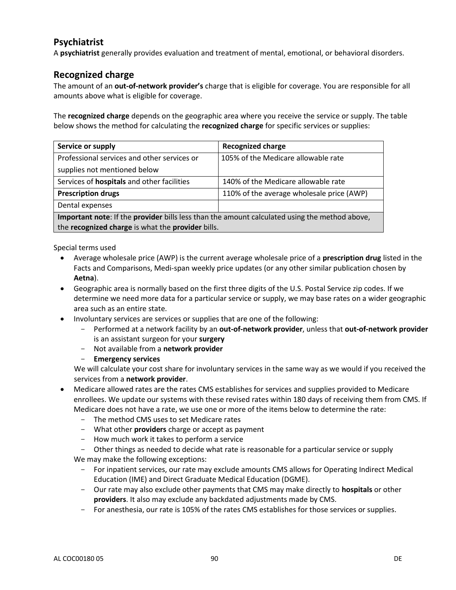## **Psychiatrist**

A **psychiatrist** generally provides evaluation and treatment of mental, emotional, or behavioral disorders.

## **Recognized charge**

The amount of an **out-of-network provider's** charge that is eligible for coverage. You are responsible for all amounts above what is eligible for coverage.

The **recognized charge** depends on the geographic area where you receive the service or supply. The table below shows the method for calculating the **recognized charge** for specific services or supplies:

| Service or supply                                                                             | <b>Recognized charge</b>                  |  |
|-----------------------------------------------------------------------------------------------|-------------------------------------------|--|
| Professional services and other services or                                                   | 105% of the Medicare allowable rate       |  |
| supplies not mentioned below                                                                  |                                           |  |
| Services of <b>hospitals</b> and other facilities                                             | 140% of the Medicare allowable rate       |  |
| <b>Prescription drugs</b>                                                                     | 110% of the average wholesale price (AWP) |  |
| Dental expenses                                                                               |                                           |  |
| Important note: If the provider bills less than the amount calculated using the method above, |                                           |  |
| the recognized charge is what the provider bills.                                             |                                           |  |

Special terms used

- Average wholesale price (AWP) is the current average wholesale price of a **prescription drug** listed in the Facts and Comparisons, Medi-span weekly price updates (or any other similar publication chosen by **Aetna**).
- Geographic area is normally based on the first three digits of the U.S. Postal Service zip codes. If we determine we need more data for a particular service or supply, we may base rates on a wider geographic area such as an entire state.
- Involuntary services are services or supplies that are one of the following:
	- Performed at a network facility by an **out-of-network provider**, unless that **out-of-network provider** is an assistant surgeon for your **surgery**
	- Not available from a **network provider**
	- **Emergency services**

We will calculate your cost share for involuntary services in the same way as we would if you received the services from a **network provider**.

- Medicare allowed rates are the rates CMS establishes for services and supplies provided to Medicare enrollees. We update our systems with these revised rates within 180 days of receiving them from CMS. If Medicare does not have a rate, we use one or more of the items below to determine the rate:
	- The method CMS uses to set Medicare rates
	- What other **providers** charge or accept as payment
	- How much work it takes to perform a service
	- Other things as needed to decide what rate is reasonable for a particular service or supply We may make the following exceptions:
		- For inpatient services, our rate may exclude amounts CMS allows for Operating Indirect Medical Education (IME) and Direct Graduate Medical Education (DGME).
		- Our rate may also exclude other payments that CMS may make directly to **hospitals** or other **providers**. It also may exclude any backdated adjustments made by CMS.
		- For anesthesia, our rate is 105% of the rates CMS establishes for those services or supplies.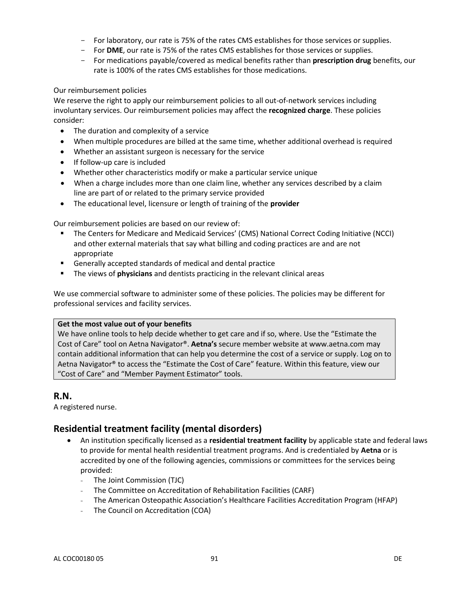- For laboratory, our rate is 75% of the rates CMS establishes for those services or supplies.
- For **DME**, our rate is 75% of the rates CMS establishes for those services or supplies.
- For medications payable/covered as medical benefits rather than **prescription drug** benefits, our rate is 100% of the rates CMS establishes for those medications.

#### Our reimbursement policies

We reserve the right to apply our reimbursement policies to all out-of-network services including involuntary services. Our reimbursement policies may affect the **recognized charge**. These policies consider:

- The duration and complexity of a service
- When multiple procedures are billed at the same time, whether additional overhead is required
- Whether an assistant surgeon is necessary for the service
- If follow-up care is included
- Whether other characteristics modify or make a particular service unique
- When a charge includes more than one claim line, whether any services described by a claim line are part of or related to the primary service provided
- The educational level, licensure or length of training of the **provider**

Our reimbursement policies are based on our review of:

- The Centers for Medicare and Medicaid Services' (CMS) National Correct Coding Initiative (NCCI) and other external materials that say what billing and coding practices are and are not appropriate
- Generally accepted standards of medical and dental practice
- The views of **physicians** and dentists practicing in the relevant clinical areas

We use commercial software to administer some of these policies. The policies may be different for professional services and facility services.

#### **Get the most value out of your benefits**

We have online tools to help decide whether to get care and if so, where. Use the "Estimate the Cost of Care" tool on Aetna Navigator®. **Aetna's** secure member website at www.aetna.com may contain additional information that can help you determine the cost of a service or supply. Log on to Aetna Navigator® to access the "Estimate the Cost of Care" feature. Within this feature, view our "Cost of Care" and "Member Payment Estimator" tools.

#### **R.N.**

A registered nurse.

## **Residential treatment facility (mental disorders)**

- An institution specifically licensed as a **residential treatment facility** by applicable state and federal laws to provide for mental health residential treatment programs. And is credentialed by **Aetna** or is accredited by one of the following agencies, commissions or committees for the services being provided:
	- The Joint Commission (TJC)
	- The Committee on Accreditation of Rehabilitation Facilities (CARF)
	- The American Osteopathic Association's Healthcare Facilities Accreditation Program (HFAP)
	- The Council on Accreditation (COA)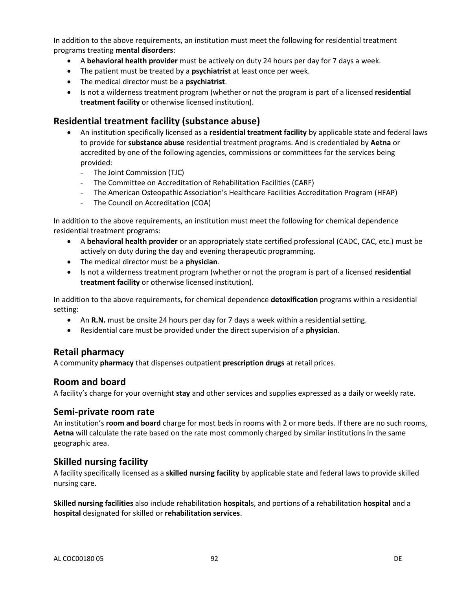In addition to the above requirements, an institution must meet the following for residential treatment programs treating **mental disorders**:

- A **behavioral health provider** must be actively on duty 24 hours per day for 7 days a week.
- The patient must be treated by a **psychiatrist** at least once per week.
- The medical director must be a **psychiatrist**.
- Is not a wilderness treatment program (whether or not the program is part of a licensed **residential treatment facility** or otherwise licensed institution).

#### **Residential treatment facility (substance abuse)**

- An institution specifically licensed as a **residential treatment facility** by applicable state and federal laws to provide for **substance abuse** residential treatment programs. And is credentialed by **Aetna** or accredited by one of the following agencies, commissions or committees for the services being provided:
	- The Joint Commission (TJC)
	- The Committee on Accreditation of Rehabilitation Facilities (CARF)
	- The American Osteopathic Association's Healthcare Facilities Accreditation Program (HFAP)
	- The Council on Accreditation (COA)

In addition to the above requirements, an institution must meet the following for chemical dependence residential treatment programs:

- A **behavioral health provider** or an appropriately state certified professional (CADC, CAC, etc.) must be actively on duty during the day and evening therapeutic programming.
- The medical director must be a **physician**.
- Is not a wilderness treatment program (whether or not the program is part of a licensed **residential treatment facility** or otherwise licensed institution).

In addition to the above requirements, for chemical dependence **detoxification** programs within a residential setting:

- An **R.N.** must be onsite 24 hours per day for 7 days a week within a residential setting.
- Residential care must be provided under the direct supervision of a **physician**.

## **Retail pharmacy**

A community **pharmacy** that dispenses outpatient **prescription drugs** at retail prices.

#### **Room and board**

A facility's charge for your overnight **stay** and other services and supplies expressed as a daily or weekly rate.

#### **Semi-private room rate**

An institution's **room and board** charge for most beds in rooms with 2 or more beds. If there are no such rooms, **Aetna** will calculate the rate based on the rate most commonly charged by similar institutions in the same geographic area.

## **Skilled nursing facility**

A facility specifically licensed as a **skilled nursing facility** by applicable state and federal laws to provide skilled nursing care.

**Skilled nursing facilities** also include rehabilitation **hospital**s, and portions of a rehabilitation **hospital** and a **hospital** designated for skilled or **rehabilitation services**.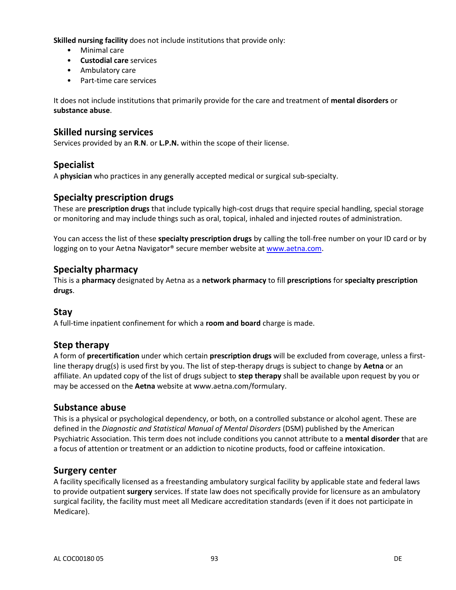**Skilled nursing facility** does not include institutions that provide only:

- Minimal care
- **Custodial care** services
- Ambulatory care
- Part-time care services

It does not include institutions that primarily provide for the care and treatment of **mental disorders** or **substance abuse**.

## **Skilled nursing services**

Services provided by an **R**.**N**. or **L.P.N.** within the scope of their license.

## **Specialist**

A **physician** who practices in any generally accepted medical or surgical sub-specialty.

## **Specialty prescription drugs**

These are **prescription drugs** that include typically high-cost drugs that require special handling, special storage or monitoring and may include things such as oral, topical, inhaled and injected routes of administration.

You can access the list of these **specialty prescription drugs** by calling the toll-free number on your ID card or by logging on to your Aetna Navigator® secure member website at [www.aetna.com.](http://www.aetna.com/)

## **Specialty pharmacy**

This is a **pharmacy** designated by Aetna as a **network pharmacy** to fill **prescriptions** for **specialty prescription drugs**.

## **Stay**

A full-time inpatient confinement for which a **room and board** charge is made.

## **Step therapy**

A form of **precertification** under which certain **prescription drugs** will be excluded from coverage, unless a firstline therapy drug(s) is used first by you. The list of step-therapy drugs is subject to change by **Aetna** or an affiliate. An updated copy of the list of drugs subject to **step therapy** shall be available upon request by you or may be accessed on the **Aetna** website at www.aetna.com/formulary.

## **Substance abuse**

This is a physical or psychological dependency, or both, on a controlled substance or alcohol agent. These are defined in the *Diagnostic and Statistical Manual of Mental Disorders* (DSM) published by the American Psychiatric Association. This term does not include conditions you cannot attribute to a **mental disorder** that are a focus of attention or treatment or an addiction to nicotine products, food or caffeine intoxication.

## **Surgery center**

A facility specifically licensed as a freestanding ambulatory surgical facility by applicable state and federal laws to provide outpatient **surgery** services. If state law does not specifically provide for licensure as an ambulatory surgical facility, the facility must meet all Medicare accreditation standards (even if it does not participate in Medicare).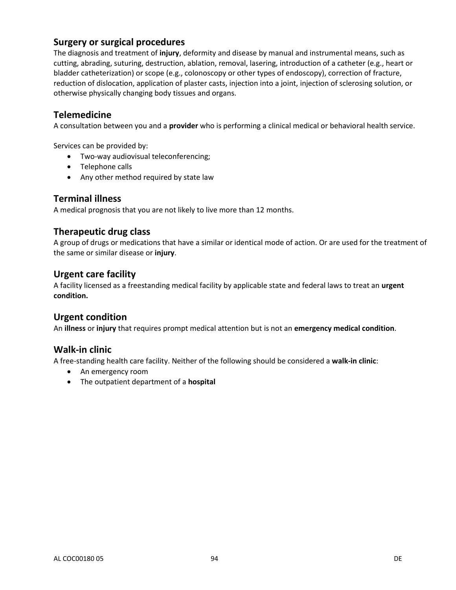## **Surgery or surgical procedures**

The diagnosis and treatment of **injury**, deformity and disease by manual and instrumental means, such as cutting, abrading, suturing, destruction, ablation, removal, lasering, introduction of a catheter (e.g., heart or bladder catheterization) or scope (e.g., colonoscopy or other types of endoscopy), correction of fracture, reduction of dislocation, application of plaster casts, injection into a joint, injection of sclerosing solution, or otherwise physically changing body tissues and organs.

## **Telemedicine**

A consultation between you and a **provider** who is performing a clinical medical or behavioral health service.

Services can be provided by:

- Two-way audiovisual teleconferencing;
- Telephone calls
- Any other method required by state law

#### **Terminal illness**

A medical prognosis that you are not likely to live more than 12 months.

#### **Therapeutic drug class**

A group of drugs or medications that have a similar or identical mode of action. Or are used for the treatment of the same or similar disease or **injury**.

#### **Urgent care facility**

A facility licensed as a freestanding medical facility by applicable state and federal laws to treat an **urgent condition.**

#### **Urgent condition**

An **illness** or **injury** that requires prompt medical attention but is not an **emergency medical condition**.

#### **Walk-in clinic**

A free-standing health care facility. Neither of the following should be considered a **walk-in clinic**:

- An emergency room
- The outpatient department of a **hospital**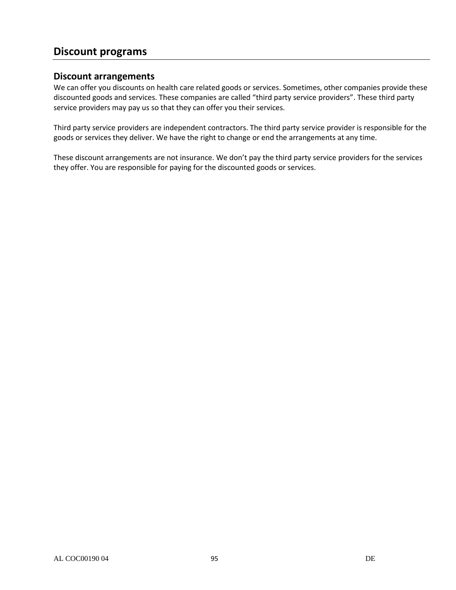## **Discount programs**

#### **Discount arrangements**

We can offer you discounts on health care related goods or services. Sometimes, other companies provide these discounted goods and services. These companies are called "third party service providers". These third party service providers may pay us so that they can offer you their services.

Third party service providers are independent contractors. The third party service provider is responsible for the goods or services they deliver. We have the right to change or end the arrangements at any time.

These discount arrangements are not insurance. We don't pay the third party service providers for the services they offer. You are responsible for paying for the discounted goods or services.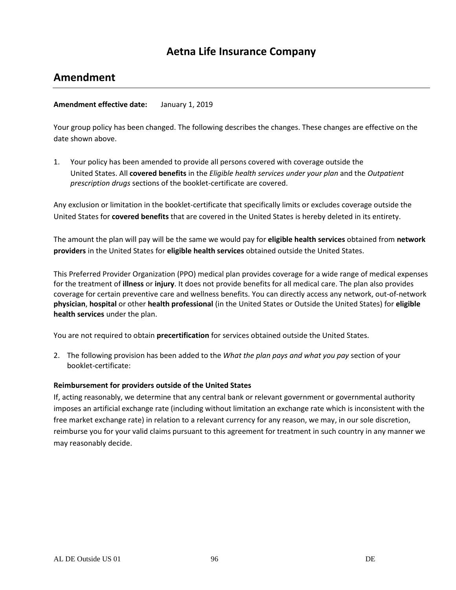## **Aetna Life Insurance Company**

## **Amendment**

#### **Amendment effective date:** January 1, 2019

Your group policy has been changed. The following describes the changes. These changes are effective on the date shown above.

1. Your policy has been amended to provide all persons covered with coverage outside the United States. All **covered benefits** in the *Eligible health services under your plan* and the *Outpatient prescription drugs* sections of the booklet-certificate are covered.

Any exclusion or limitation in the booklet-certificate that specifically limits or excludes coverage outside the United States for **covered benefits** that are covered in the United States is hereby deleted in its entirety.

The amount the plan will pay will be the same we would pay for **eligible health services** obtained from **network providers** in the United States for **eligible health services** obtained outside the United States.

This Preferred Provider Organization (PPO) medical plan provides coverage for a wide range of medical expenses for the treatment of **illness** or **injury**. It does not provide benefits for all medical care. The plan also provides coverage for certain preventive care and wellness benefits. You can directly access any network, out-of-network **physician**, **hospital** or other **health professional** (in the United States or Outside the United States) for **eligible health services** under the plan.

You are not required to obtain **precertification** for services obtained outside the United States.

2. The following provision has been added to the *What the plan pays and what you pay* section of your booklet-certificate:

#### **Reimbursement for providers outside of the United States**

If, acting reasonably, we determine that any central bank or relevant government or governmental authority imposes an artificial exchange rate (including without limitation an exchange rate which is inconsistent with the free market exchange rate) in relation to a relevant currency for any reason, we may, in our sole discretion, reimburse you for your valid claims pursuant to this agreement for treatment in such country in any manner we may reasonably decide.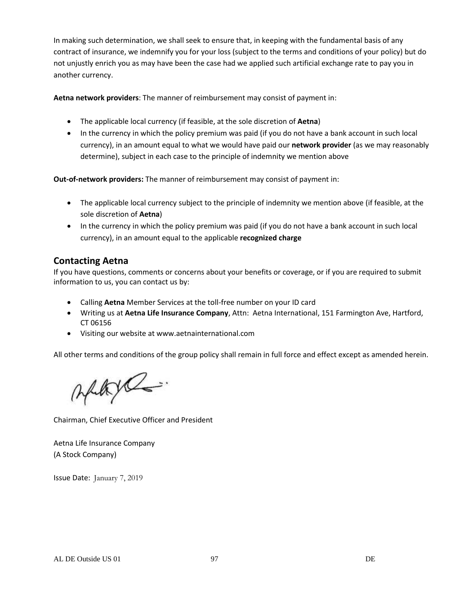In making such determination, we shall seek to ensure that, in keeping with the fundamental basis of any contract of insurance, we indemnify you for your loss (subject to the terms and conditions of your policy) but do not unjustly enrich you as may have been the case had we applied such artificial exchange rate to pay you in another currency.

**Aetna network providers**: The manner of reimbursement may consist of payment in:

- The applicable local currency (if feasible, at the sole discretion of **Aetna**)
- In the currency in which the policy premium was paid (if you do not have a bank account in such local currency), in an amount equal to what we would have paid our **network provider** (as we may reasonably determine), subject in each case to the principle of indemnity we mention above

**Out-of-network providers:** The manner of reimbursement may consist of payment in:

- The applicable local currency subject to the principle of indemnity we mention above (if feasible, at the sole discretion of **Aetna**)
- In the currency in which the policy premium was paid (if you do not have a bank account in such local currency), in an amount equal to the applicable **recognized charge**

## **Contacting Aetna**

If you have questions, comments or concerns about your benefits or coverage, or if you are required to submit information to us, you can contact us by:

- Calling **Aetna** Member Services at the toll-free number on your ID card
- Writing us at **Aetna Life Insurance Company**, Attn: Aetna International, 151 Farmington Ave, Hartford, CT 06156
- Visiting our website at www.aetnainternational.com

All other terms and conditions of the group policy shall remain in full force and effect except as amended herein.

Altyl

Chairman, Chief Executive Officer and President

Aetna Life Insurance Company (A Stock Company)

Issue Date: January 7, 2019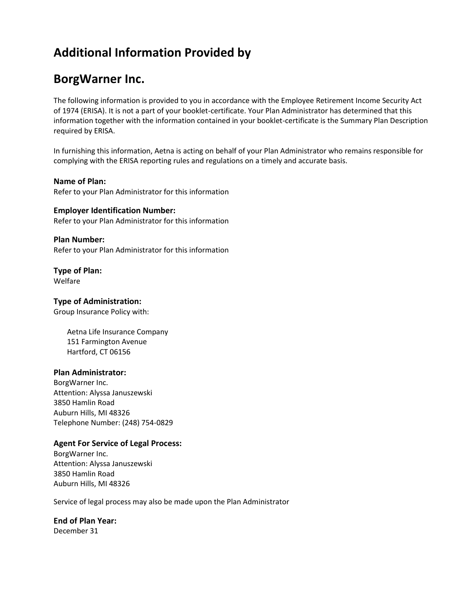## **Additional Information Provided by**

## **BorgWarner Inc.**

The following information is provided to you in accordance with the Employee Retirement Income Security Act of 1974 (ERISA). It is not a part of your booklet-certificate. Your Plan Administrator has determined that this information together with the information contained in your booklet-certificate is the Summary Plan Description required by ERISA.

In furnishing this information, Aetna is acting on behalf of your Plan Administrator who remains responsible for complying with the ERISA reporting rules and regulations on a timely and accurate basis.

#### **Name of Plan:**

Refer to your Plan Administrator for this information

**Employer Identification Number:** Refer to your Plan Administrator for this information

**Plan Number:** Refer to your Plan Administrator for this information

**Type of Plan:** Welfare

#### **Type of Administration:**

Group Insurance Policy with:

Aetna Life Insurance Company 151 Farmington Avenue Hartford, CT 06156

#### **Plan Administrator:**

BorgWarner Inc. Attention: Alyssa Januszewski 3850 Hamlin Road Auburn Hills, MI 48326 Telephone Number: (248) 754-0829

#### **Agent For Service of Legal Process:**

BorgWarner Inc. Attention: Alyssa Januszewski 3850 Hamlin Road Auburn Hills, MI 48326

Service of legal process may also be made upon the Plan Administrator

**End of Plan Year:**

December 31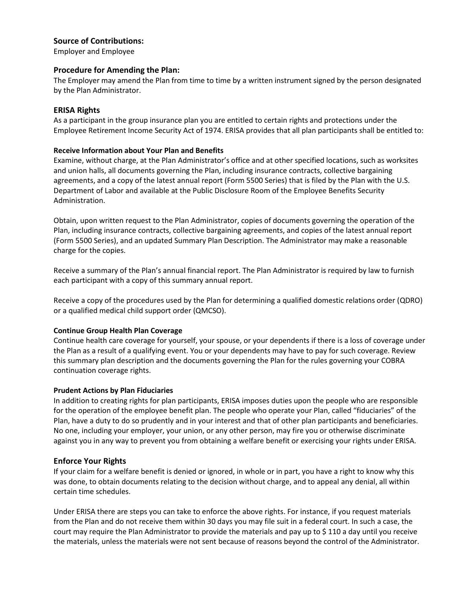#### **Source of Contributions:**

Employer and Employee

#### **Procedure for Amending the Plan:**

The Employer may amend the Plan from time to time by a written instrument signed by the person designated by the Plan Administrator.

#### **ERISA Rights**

As a participant in the group insurance plan you are entitled to certain rights and protections under the Employee Retirement Income Security Act of 1974. ERISA provides that all plan participants shall be entitled to:

#### **Receive Information about Your Plan and Benefits**

Examine, without charge, at the Plan Administrator's office and at other specified locations, such as worksites and union halls, all documents governing the Plan, including insurance contracts, collective bargaining agreements, and a copy of the latest annual report (Form 5500 Series) that is filed by the Plan with the U.S. Department of Labor and available at the Public Disclosure Room of the Employee Benefits Security Administration.

Obtain, upon written request to the Plan Administrator, copies of documents governing the operation of the Plan, including insurance contracts, collective bargaining agreements, and copies of the latest annual report (Form 5500 Series), and an updated Summary Plan Description. The Administrator may make a reasonable charge for the copies.

Receive a summary of the Plan's annual financial report. The Plan Administrator is required by law to furnish each participant with a copy of this summary annual report.

Receive a copy of the procedures used by the Plan for determining a qualified domestic relations order (QDRO) or a qualified medical child support order (QMCSO).

#### **Continue Group Health Plan Coverage**

Continue health care coverage for yourself, your spouse, or your dependents if there is a loss of coverage under the Plan as a result of a qualifying event. You or your dependents may have to pay for such coverage. Review this summary plan description and the documents governing the Plan for the rules governing your COBRA continuation coverage rights.

#### **Prudent Actions by Plan Fiduciaries**

In addition to creating rights for plan participants, ERISA imposes duties upon the people who are responsible for the operation of the employee benefit plan. The people who operate your Plan, called "fiduciaries" of the Plan, have a duty to do so prudently and in your interest and that of other plan participants and beneficiaries. No one, including your employer, your union, or any other person, may fire you or otherwise discriminate against you in any way to prevent you from obtaining a welfare benefit or exercising your rights under ERISA.

#### **Enforce Your Rights**

If your claim for a welfare benefit is denied or ignored, in whole or in part, you have a right to know why this was done, to obtain documents relating to the decision without charge, and to appeal any denial, all within certain time schedules.

Under ERISA there are steps you can take to enforce the above rights. For instance, if you request materials from the Plan and do not receive them within 30 days you may file suit in a federal court. In such a case, the court may require the Plan Administrator to provide the materials and pay up to \$ 110 a day until you receive the materials, unless the materials were not sent because of reasons beyond the control of the Administrator.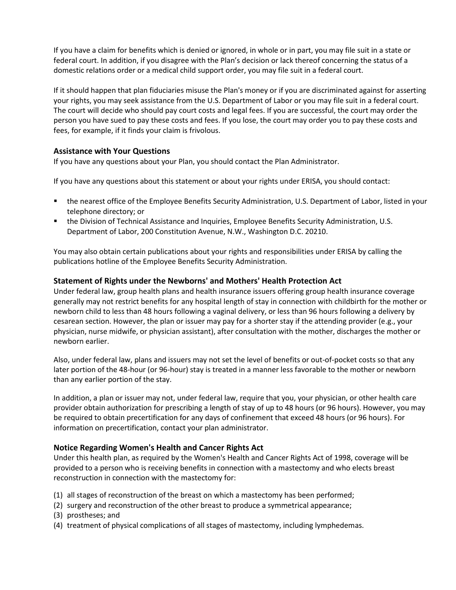If you have a claim for benefits which is denied or ignored, in whole or in part, you may file suit in a state or federal court. In addition, if you disagree with the Plan's decision or lack thereof concerning the status of a domestic relations order or a medical child support order, you may file suit in a federal court.

If it should happen that plan fiduciaries misuse the Plan's money or if you are discriminated against for asserting your rights, you may seek assistance from the U.S. Department of Labor or you may file suit in a federal court. The court will decide who should pay court costs and legal fees. If you are successful, the court may order the person you have sued to pay these costs and fees. If you lose, the court may order you to pay these costs and fees, for example, if it finds your claim is frivolous.

#### **Assistance with Your Questions**

If you have any questions about your Plan, you should contact the Plan Administrator.

If you have any questions about this statement or about your rights under ERISA, you should contact:

- the nearest office of the Employee Benefits Security Administration, U.S. Department of Labor, listed in your telephone directory; or
- **the Division of Technical Assistance and Inquiries, Employee Benefits Security Administration, U.S.** Department of Labor, 200 Constitution Avenue, N.W., Washington D.C. 20210.

You may also obtain certain publications about your rights and responsibilities under ERISA by calling the publications hotline of the Employee Benefits Security Administration.

#### **Statement of Rights under the Newborns' and Mothers' Health Protection Act**

Under federal law, group health plans and health insurance issuers offering group health insurance coverage generally may not restrict benefits for any hospital length of stay in connection with childbirth for the mother or newborn child to less than 48 hours following a vaginal delivery, or less than 96 hours following a delivery by cesarean section. However, the plan or issuer may pay for a shorter stay if the attending provider (e.g., your physician, nurse midwife, or physician assistant), after consultation with the mother, discharges the mother or newborn earlier.

Also, under federal law, plans and issuers may not set the level of benefits or out-of-pocket costs so that any later portion of the 48-hour (or 96-hour) stay is treated in a manner less favorable to the mother or newborn than any earlier portion of the stay.

In addition, a plan or issuer may not, under federal law, require that you, your physician, or other health care provider obtain authorization for prescribing a length of stay of up to 48 hours (or 96 hours). However, you may be required to obtain precertification for any days of confinement that exceed 48 hours (or 96 hours). For information on precertification, contact your plan administrator.

#### **Notice Regarding Women's Health and Cancer Rights Act**

Under this health plan, as required by the Women's Health and Cancer Rights Act of 1998, coverage will be provided to a person who is receiving benefits in connection with a mastectomy and who elects breast reconstruction in connection with the mastectomy for:

- (1) all stages of reconstruction of the breast on which a mastectomy has been performed;
- (2) surgery and reconstruction of the other breast to produce a symmetrical appearance;
- (3) prostheses; and
- (4) treatment of physical complications of all stages of mastectomy, including lymphedemas.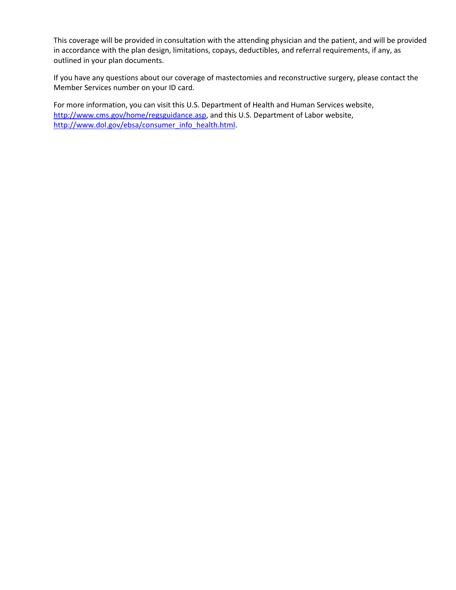This coverage will be provided in consultation with the attending physician and the patient, and will be provided in accordance with the plan design, limitations, copays, deductibles, and referral requirements, if any, as outlined in your plan documents.

If you have any questions about our coverage of mastectomies and reconstructive surgery, please contact the Member Services number on your ID card.

For more information, you can visit this U.S. Department of Health and Human Services website, [http://www.cms.gov/home/regsguidance.asp,](http://www.cms.gov/home/regsguidance.asp) and this U.S. Department of Labor website, [http://www.dol.gov/ebsa/consumer\\_info\\_health.html.](http://www.dol.gov/ebsa/consumer_info_health.html)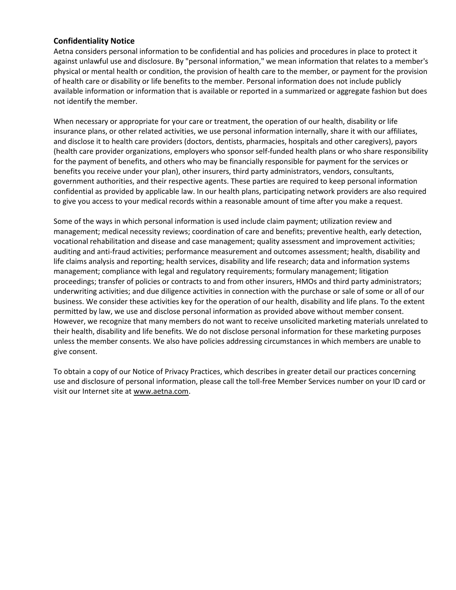#### **Confidentiality Notice**

Aetna considers personal information to be confidential and has policies and procedures in place to protect it against unlawful use and disclosure. By "personal information," we mean information that relates to a member's physical or mental health or condition, the provision of health care to the member, or payment for the provision of health care or disability or life benefits to the member. Personal information does not include publicly available information or information that is available or reported in a summarized or aggregate fashion but does not identify the member.

When necessary or appropriate for your care or treatment, the operation of our health, disability or life insurance plans, or other related activities, we use personal information internally, share it with our affiliates, and disclose it to health care providers (doctors, dentists, pharmacies, hospitals and other caregivers), payors (health care provider organizations, employers who sponsor self-funded health plans or who share responsibility for the payment of benefits, and others who may be financially responsible for payment for the services or benefits you receive under your plan), other insurers, third party administrators, vendors, consultants, government authorities, and their respective agents. These parties are required to keep personal information confidential as provided by applicable law. In our health plans, participating network providers are also required to give you access to your medical records within a reasonable amount of time after you make a request.

Some of the ways in which personal information is used include claim payment; utilization review and management; medical necessity reviews; coordination of care and benefits; preventive health, early detection, vocational rehabilitation and disease and case management; quality assessment and improvement activities; auditing and anti-fraud activities; performance measurement and outcomes assessment; health, disability and life claims analysis and reporting; health services, disability and life research; data and information systems management; compliance with legal and regulatory requirements; formulary management; litigation proceedings; transfer of policies or contracts to and from other insurers, HMOs and third party administrators; underwriting activities; and due diligence activities in connection with the purchase or sale of some or all of our business. We consider these activities key for the operation of our health, disability and life plans. To the extent permitted by law, we use and disclose personal information as provided above without member consent. However, we recognize that many members do not want to receive unsolicited marketing materials unrelated to their health, disability and life benefits. We do not disclose personal information for these marketing purposes unless the member consents. We also have policies addressing circumstances in which members are unable to give consent.

To obtain a copy of our Notice of Privacy Practices, which describes in greater detail our practices concerning use and disclosure of personal information, please call the toll-free Member Services number on your ID card or visit our Internet site at www.aetna.com.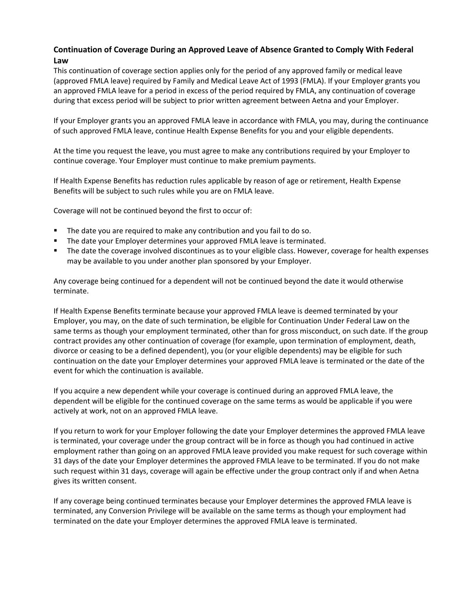## **Continuation of Coverage During an Approved Leave of Absence Granted to Comply With Federal Law**

This continuation of coverage section applies only for the period of any approved family or medical leave (approved FMLA leave) required by Family and Medical Leave Act of 1993 (FMLA). If your Employer grants you an approved FMLA leave for a period in excess of the period required by FMLA, any continuation of coverage during that excess period will be subject to prior written agreement between Aetna and your Employer.

If your Employer grants you an approved FMLA leave in accordance with FMLA, you may, during the continuance of such approved FMLA leave, continue Health Expense Benefits for you and your eligible dependents.

At the time you request the leave, you must agree to make any contributions required by your Employer to continue coverage. Your Employer must continue to make premium payments.

If Health Expense Benefits has reduction rules applicable by reason of age or retirement, Health Expense Benefits will be subject to such rules while you are on FMLA leave.

Coverage will not be continued beyond the first to occur of:

- The date you are required to make any contribution and you fail to do so.
- **The date your Employer determines your approved FMLA leave is terminated.**
- The date the coverage involved discontinues as to your eligible class. However, coverage for health expenses may be available to you under another plan sponsored by your Employer.

Any coverage being continued for a dependent will not be continued beyond the date it would otherwise terminate.

If Health Expense Benefits terminate because your approved FMLA leave is deemed terminated by your Employer, you may, on the date of such termination, be eligible for Continuation Under Federal Law on the same terms as though your employment terminated, other than for gross misconduct, on such date. If the group contract provides any other continuation of coverage (for example, upon termination of employment, death, divorce or ceasing to be a defined dependent), you (or your eligible dependents) may be eligible for such continuation on the date your Employer determines your approved FMLA leave is terminated or the date of the event for which the continuation is available.

If you acquire a new dependent while your coverage is continued during an approved FMLA leave, the dependent will be eligible for the continued coverage on the same terms as would be applicable if you were actively at work, not on an approved FMLA leave.

If you return to work for your Employer following the date your Employer determines the approved FMLA leave is terminated, your coverage under the group contract will be in force as though you had continued in active employment rather than going on an approved FMLA leave provided you make request for such coverage within 31 days of the date your Employer determines the approved FMLA leave to be terminated. If you do not make such request within 31 days, coverage will again be effective under the group contract only if and when Aetna gives its written consent.

If any coverage being continued terminates because your Employer determines the approved FMLA leave is terminated, any Conversion Privilege will be available on the same terms as though your employment had terminated on the date your Employer determines the approved FMLA leave is terminated.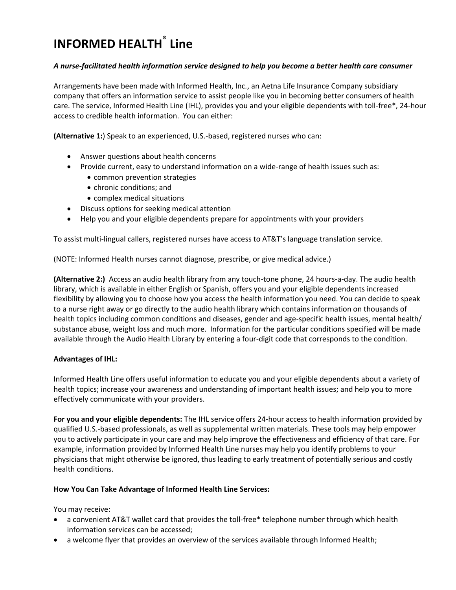# **INFORMED HEALTH ® Line**

#### *A nurse-facilitated health information service designed to help you become a better health care consumer*

Arrangements have been made with Informed Health, Inc*.*, an Aetna Life Insurance Company subsidiary company that offers an information service to assist people like you in becoming better consumers of health care. The service, Informed Health Line (IHL), provides you and your eligible dependents with toll-free\*, 24-hour access to credible health information. You can either:

**(Alternative 1:**) Speak to an experienced, U.S.-based, registered nurses who can:

- Answer questions about health concerns
- Provide current, easy to understand information on a wide-range of health issues such as:
	- common prevention strategies
	- chronic conditions; and
	- complex medical situations
- Discuss options for seeking medical attention
- Help you and your eligible dependents prepare for appointments with your providers

To assist multi-lingual callers, registered nurses have access to AT&T's language translation service.

(NOTE: Informed Health nurses cannot diagnose, prescribe, or give medical advice.)

**(Alternative 2:)** Access an audio health library from any touch-tone phone, 24 hours-a-day. The audio health library, which is available in either English or Spanish, offers you and your eligible dependents increased flexibility by allowing you to choose how you access the health information you need. You can decide to speak to a nurse right away or go directly to the audio health library which contains information on thousands of health topics including common conditions and diseases, gender and age-specific health issues, mental health/ substance abuse, weight loss and much more. Information for the particular conditions specified will be made available through the Audio Health Library by entering a four-digit code that corresponds to the condition.

#### **Advantages of IHL:**

Informed Health Line offers useful information to educate you and your eligible dependents about a variety of health topics; increase your awareness and understanding of important health issues; and help you to more effectively communicate with your providers.

**For you and your eligible dependents:** The IHL service offers 24-hour access to health information provided by qualified U.S.-based professionals, as well as supplemental written materials. These tools may help empower you to actively participate in your care and may help improve the effectiveness and efficiency of that care. For example, information provided by Informed Health Line nurses may help you identify problems to your physicians that might otherwise be ignored, thus leading to early treatment of potentially serious and costly health conditions.

#### **How You Can Take Advantage of Informed Health Line Services:**

You may receive:

- a convenient AT&T wallet card that provides the toll-free\* telephone number through which health information services can be accessed;
- a welcome flyer that provides an overview of the services available through Informed Health;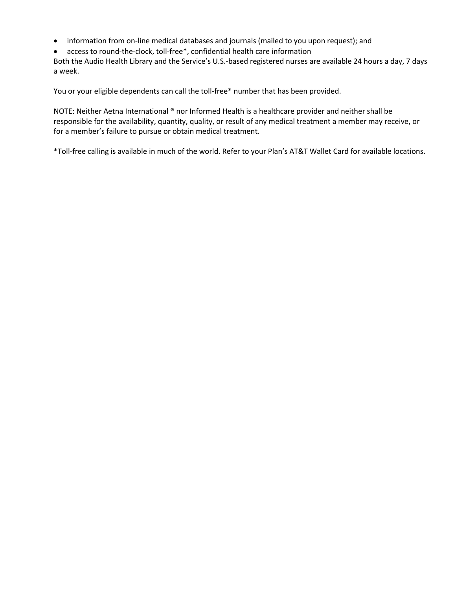- information from on-line medical databases and journals (mailed to you upon request); and
- access to round-the-clock, toll-free\*, confidential health care information

Both the Audio Health Library and the Service's U.S.-based registered nurses are available 24 hours a day, 7 days a week.

You or your eligible dependents can call the toll-free\* number that has been provided.

NOTE: Neither Aetna International ® nor Informed Health is a healthcare provider and neither shall be responsible for the availability, quantity, quality, or result of any medical treatment a member may receive, or for a member's failure to pursue or obtain medical treatment.

\*Toll-free calling is available in much of the world. Refer to your Plan's AT&T Wallet Card for available locations.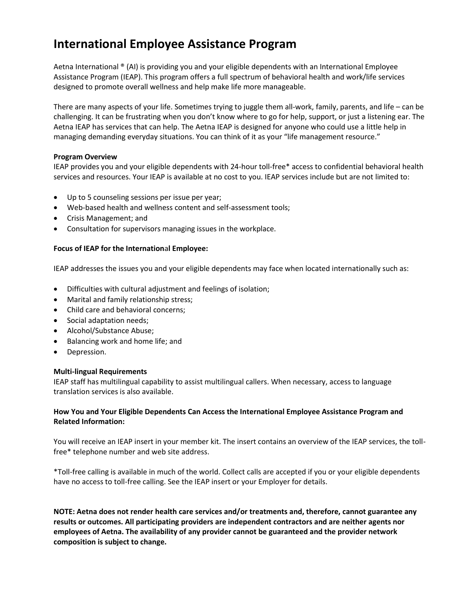## **International Employee Assistance Program**

Aetna International ® (AI) is providing you and your eligible dependents with an International Employee Assistance Program (IEAP). This program offers a full spectrum of behavioral health and work/life services designed to promote overall wellness and help make life more manageable.

There are many aspects of your life. Sometimes trying to juggle them all-work, family, parents, and life – can be challenging. It can be frustrating when you don't know where to go for help, support, or just a listening ear. The Aetna IEAP has services that can help. The Aetna IEAP is designed for anyone who could use a little help in managing demanding everyday situations. You can think of it as your "life management resource."

#### **Program Overview**

IEAP provides you and your eligible dependents with 24-hour toll-free\* access to confidential behavioral health services and resources. Your IEAP is available at no cost to you. IEAP services include but are not limited to:

- Up to 5 counseling sessions per issue per year;
- Web-based health and wellness content and self-assessment tools;
- Crisis Management; and
- Consultation for supervisors managing issues in the workplace.

#### **Focus of IEAP for the Internation**a**l Employee:**

IEAP addresses the issues you and your eligible dependents may face when located internationally such as:

- Difficulties with cultural adjustment and feelings of isolation;
- Marital and family relationship stress;
- Child care and behavioral concerns;
- Social adaptation needs;
- Alcohol/Substance Abuse;
- Balancing work and home life; and
- Depression.

#### **Multi-lingual Requirements**

IEAP staff has multilingual capability to assist multilingual callers. When necessary, access to language translation services is also available.

#### **How You and Your Eligible Dependents Can Access the International Employee Assistance Program and Related Information:**

You will receive an IEAP insert in your member kit. The insert contains an overview of the IEAP services, the tollfree\* telephone number and web site address.

\*Toll-free calling is available in much of the world. Collect calls are accepted if you or your eligible dependents have no access to toll-free calling. See the IEAP insert or your Employer for details.

**NOTE: Aetna does not render health care services and/or treatments and, therefore, cannot guarantee any results or outcomes. All participating providers are independent contractors and are neither agents nor employees of Aetna. The availability of any provider cannot be guaranteed and the provider network composition is subject to change.**